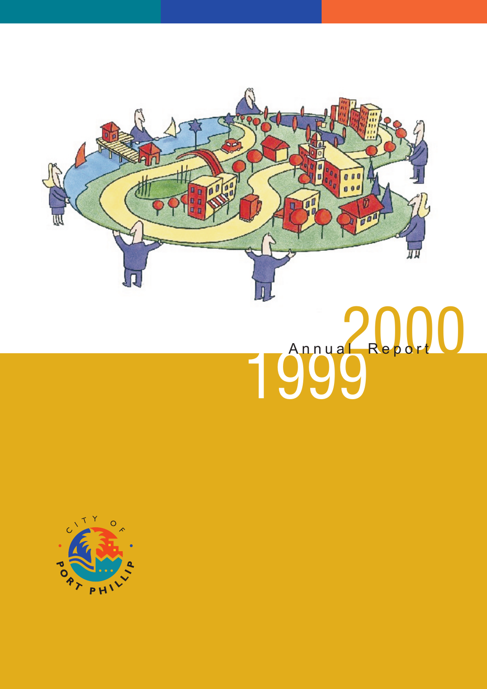

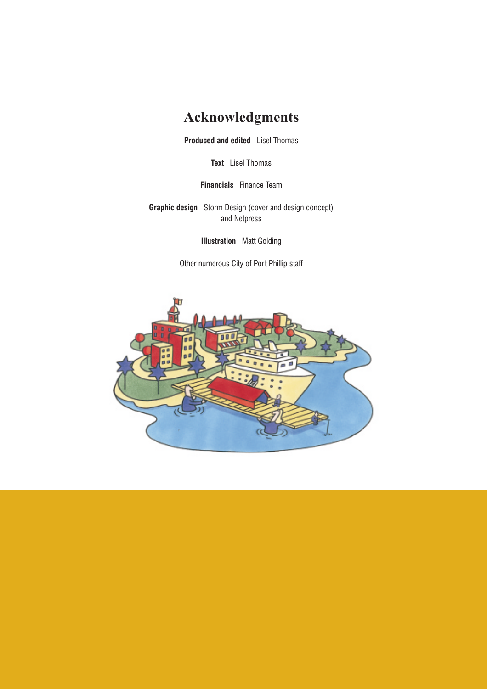## **Acknowledgments**

**Produced and edited** Lisel Thomas

**Text** Lisel Thomas

**Financials** Finance Team

**Graphic design** Storm Design (cover and design concept) and Netpress

**Illustration** Matt Golding

Other numerous City of Port Phillip staff

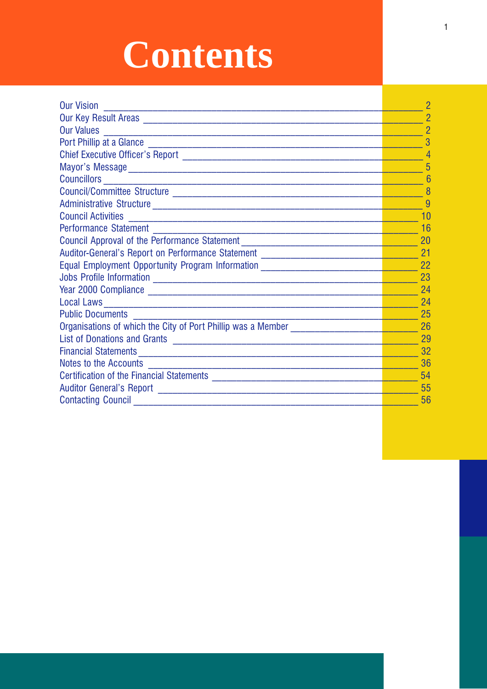# **Contents**

| <b>Our Vision</b>                                                                | 2              |
|----------------------------------------------------------------------------------|----------------|
|                                                                                  | $\overline{2}$ |
| <b>Our Values</b><br><u> 1989 - Johann John Stone, mars eta biztanleria (</u>    | $\overline{2}$ |
|                                                                                  | 3              |
|                                                                                  |                |
|                                                                                  | 5              |
|                                                                                  | 6              |
|                                                                                  | 8              |
|                                                                                  | 9              |
| <b>Council Activities</b>                                                        | 10             |
| <b>Performance Statement</b>                                                     | 16             |
| Council Approval of the Performance Statement __________________________________ | 20             |
| Auditor-General's Report on Performance Statement ______________________________ | 21             |
| Equal Employment Opportunity Program Information _______________________________ | 22             |
|                                                                                  | 23             |
|                                                                                  | 24             |
|                                                                                  | 24             |
| <b>Public Documents</b>                                                          | 25             |
| Organisations of which the City of Port Phillip was a Member                     | 26             |
|                                                                                  | 29             |
|                                                                                  | 32             |
| Notes to the Accounts                                                            | 36             |
|                                                                                  | 54             |
|                                                                                  | 55             |
|                                                                                  | 56             |
|                                                                                  |                |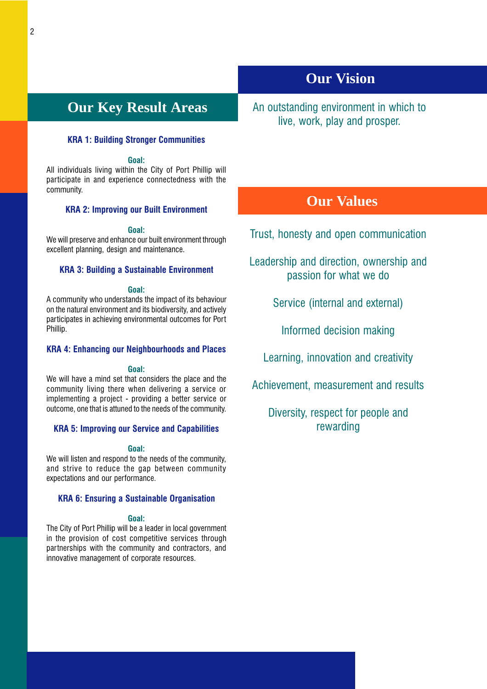## <span id="page-3-0"></span>**Our Key Result Areas**

### KRA 1: Building Stronger Communities

### Goal:

All individuals living within the City of Port Phillip will participate in and experience connectedness with the community.

### KRA 2: Improving our Built Environment

### Goal:

We will preserve and enhance our built environment through excellent planning, design and maintenance.

### KRA 3: Building a Sustainable Environment

### Goal:

A community who understands the impact of its behaviour on the natural environment and its biodiversity, and actively participates in achieving environmental outcomes for Port Phillip.

### KRA 4: Enhancing our Neighbourhoods and Places

### Goal:

We will have a mind set that considers the place and the community living there when delivering a service or implementing a project - providing a better service or outcome, one that is attuned to the needs of the community.

### KRA 5: Improving our Service and Capabilities

### Goal:

We will listen and respond to the needs of the community, and strive to reduce the gap between community expectations and our performance.

### KRA 6: Ensuring a Sustainable Organisation

### Goal:

The City of Port Phillip will be a leader in local government in the provision of cost competitive services through partnerships with the community and contractors, and innovative management of corporate resources.

## **Our Vision**

An outstanding environment in which to live, work, play and prosper.

## **Our Values**

Trust, honesty and open communication

Leadership and direction, ownership and passion for what we do

Service (internal and external)

Informed decision making

Learning, innovation and creativity

Achievement, measurement and results

## Diversity, respect for people and rewarding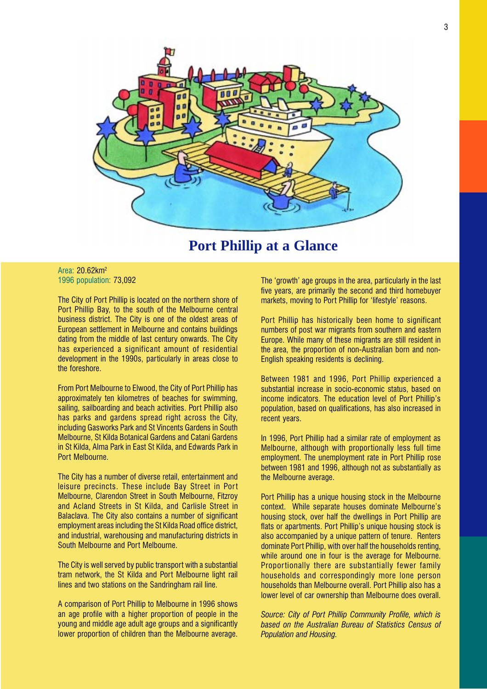<span id="page-4-0"></span>

## **Port Phillip at a Glance**

### Area: 20.62km2 1996 population: 73,092

The City of Port Phillip is located on the northern shore of Port Phillip Bay, to the south of the Melbourne central business district. The City is one of the oldest areas of European settlement in Melbourne and contains buildings dating from the middle of last century onwards. The City has experienced a significant amount of residential development in the 1990s, particularly in areas close to the foreshore.

From Port Melbourne to Elwood, the City of Port Phillip has approximately ten kilometres of beaches for swimming, sailing, sailboarding and beach activities. Port Phillip also has parks and gardens spread right across the City, including Gasworks Park and St Vincents Gardens in South Melbourne, St Kilda Botanical Gardens and Catani Gardens in St Kilda, Alma Park in East St Kilda, and Edwards Park in Port Melbourne.

The City has a number of diverse retail, entertainment and leisure precincts. These include Bay Street in Port Melbourne, Clarendon Street in South Melbourne, Fitzroy and Acland Streets in St Kilda, and Carlisle Street in Balaclava. The City also contains a number of significant employment areas including the St Kilda Road office district, and industrial, warehousing and manufacturing districts in South Melbourne and Port Melbourne.

The City is well served by public transport with a substantial tram network, the St Kilda and Port Melbourne light rail lines and two stations on the Sandringham rail line.

A comparison of Port Phillip to Melbourne in 1996 shows an age profile with a higher proportion of people in the young and middle age adult age groups and a significantly lower proportion of children than the Melbourne average. The 'growth' age groups in the area, particularly in the last five years, are primarily the second and third homebuyer markets, moving to Port Phillip for 'lifestyle' reasons.

Port Phillip has historically been home to significant numbers of post war migrants from southern and eastern Europe. While many of these migrants are still resident in the area, the proportion of non-Australian born and non-English speaking residents is declining.

Between 1981 and 1996, Port Phillip experienced a substantial increase in socio-economic status, based on income indicators. The education level of Port Phillip's population, based on qualifications, has also increased in recent years.

In 1996, Port Phillip had a similar rate of employment as Melbourne, although with proportionally less full time employment. The unemployment rate in Port Phillip rose between 1981 and 1996, although not as substantially as the Melbourne average.

Port Phillip has a unique housing stock in the Melbourne context. While separate houses dominate Melbourne's housing stock, over half the dwellings in Port Phillip are flats or apartments. Port Phillip's unique housing stock is also accompanied by a unique pattern of tenure. Renters dominate Port Phillip, with over half the households renting, while around one in four is the average for Melbourne. Proportionally there are substantially fewer family households and correspondingly more lone person households than Melbourne overall. Port Phillip also has a lower level of car ownership than Melbourne does overall.

Source: City of Port Phillip Community Profile, which is based on the Australian Bureau of Statistics Census of Population and Housing.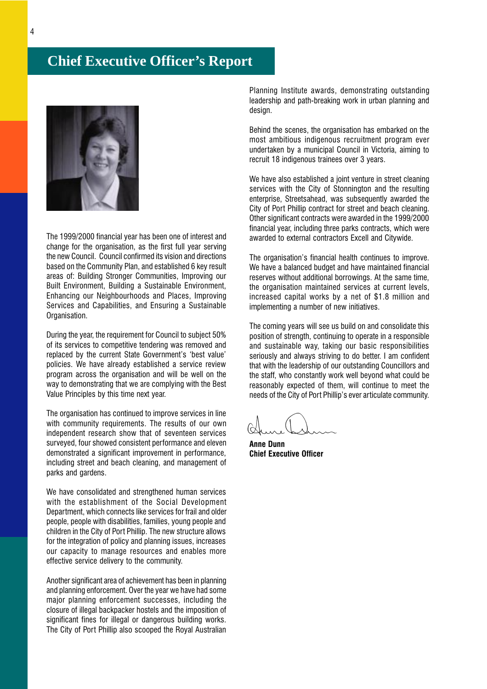## <span id="page-5-0"></span>**Chief Executive Officer's Report**



The 1999/2000 financial year has been one of interest and change for the organisation, as the first full year serving the new Council. Council confirmed its vision and directions based on the Community Plan, and established 6 key result areas of: Building Stronger Communities, Improving our Built Environment, Building a Sustainable Environment, Enhancing our Neighbourhoods and Places, Improving Services and Capabilities, and Ensuring a Sustainable Organisation.

During the year, the requirement for Council to subject 50% of its services to competitive tendering was removed and replaced by the current State Government's 'best value' policies. We have already established a service review program across the organisation and will be well on the way to demonstrating that we are complying with the Best Value Principles by this time next year.

The organisation has continued to improve services in line with community requirements. The results of our own independent research show that of seventeen services surveyed, four showed consistent performance and eleven demonstrated a significant improvement in performance, including street and beach cleaning, and management of parks and gardens.

We have consolidated and strengthened human services with the establishment of the Social Development Department, which connects like services for frail and older people, people with disabilities, families, young people and children in the City of Port Phillip. The new structure allows for the integration of policy and planning issues, increases our capacity to manage resources and enables more effective service delivery to the community.

Another significant area of achievement has been in planning and planning enforcement. Over the year we have had some major planning enforcement successes, including the closure of illegal backpacker hostels and the imposition of significant fines for illegal or dangerous building works. The City of Port Phillip also scooped the Royal Australian

Planning Institute awards, demonstrating outstanding leadership and path-breaking work in urban planning and design.

Behind the scenes, the organisation has embarked on the most ambitious indigenous recruitment program ever undertaken by a municipal Council in Victoria, aiming to recruit 18 indigenous trainees over 3 years.

We have also established a joint venture in street cleaning services with the City of Stonnington and the resulting enterprise, Streetsahead, was subsequently awarded the City of Port Phillip contract for street and beach cleaning. Other significant contracts were awarded in the 1999/2000 financial year, including three parks contracts, which were awarded to external contractors Excell and Citywide.

The organisation's financial health continues to improve. We have a balanced budget and have maintained financial reserves without additional borrowings. At the same time, the organisation maintained services at current levels, increased capital works by a net of \$1.8 million and implementing a number of new initiatives.

The coming years will see us build on and consolidate this position of strength, continuing to operate in a responsible and sustainable way, taking our basic responsibilities seriously and always striving to do better. I am confident that with the leadership of our outstanding Councillors and the staff, who constantly work well beyond what could be reasonably expected of them, will continue to meet the needs of the City of Port Phillip's ever articulate community.

Anne Dunn Chief Executive Officer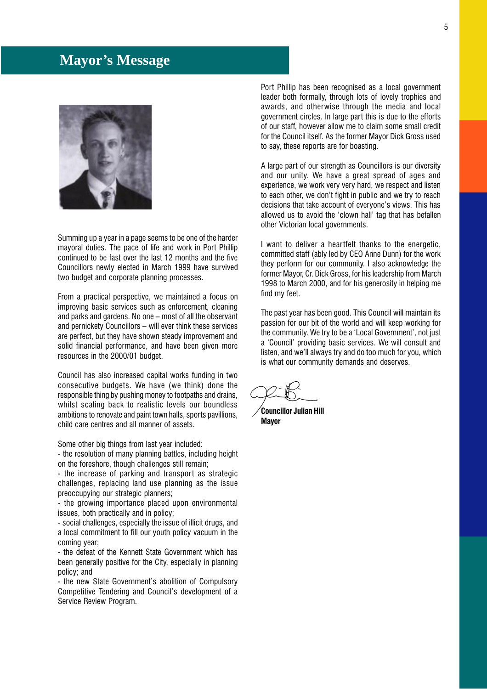## <span id="page-6-0"></span>**Mayor's Message**



Summing up a year in a page seems to be one of the harder mayoral duties. The pace of life and work in Port Phillip continued to be fast over the last 12 months and the five Councillors newly elected in March 1999 have survived two budget and corporate planning processes.

From a practical perspective, we maintained a focus on improving basic services such as enforcement, cleaning and parks and gardens. No one  $-$  most of all the observant and pernickety Councillors  $-$  will ever think these services are perfect, but they have shown steady improvement and solid financial performance, and have been given more resources in the 2000/01 budget.

Council has also increased capital works funding in two consecutive budgets. We have (we think) done the responsible thing by pushing money to footpaths and drains, whilst scaling back to realistic levels our boundless ambitions to renovate and paint town halls, sports pavillions, child care centres and all manner of assets.

Some other big things from last year included:

- the resolution of many planning battles, including height on the foreshore, though challenges still remain;

- the increase of parking and transport as strategic challenges, replacing land use planning as the issue preoccupying our strategic planners;

- the growing importance placed upon environmental issues, both practically and in policy;

- social challenges, especially the issue of illicit drugs, and a local commitment to fill our youth policy vacuum in the coming year;

- the defeat of the Kennett State Government which has been generally positive for the City, especially in planning policy; and

- the new State Government's abolition of Compulsorv Competitive Tendering and Council's development of a Service Review Program.

Port Phillip has been recognised as a local government leader both formally, through lots of lovely trophies and awards, and otherwise through the media and local government circles. In large part this is due to the efforts of our staff, however allow me to claim some small credit for the Council itself. As the former Mayor Dick Gross used to say, these reports are for boasting.

A large part of our strength as Councillors is our diversity and our unity. We have a great spread of ages and experience, we work very very hard, we respect and listen to each other, we don't fight in public and we try to reach decisions that take account of everyone's views. This has allowed us to avoid the 'clown hall' tag that has befallen other Victorian local governments.

I want to deliver a heartfelt thanks to the energetic, committed staff (ably led by CEO Anne Dunn) for the work they perform for our community. I also acknowledge the former Mayor, Cr. Dick Gross, for his leadership from March 1998 to March 2000, and for his generosity in helping me find my feet.

The past year has been good. This Council will maintain its passion for our bit of the world and will keep working for the community. We try to be a 'Local Government', not just a 'Council' providing basic services. We will consult and listen, and we'll always try and do too much for you, which is what our community demands and deserves.

Councillor Julian Hill Mayor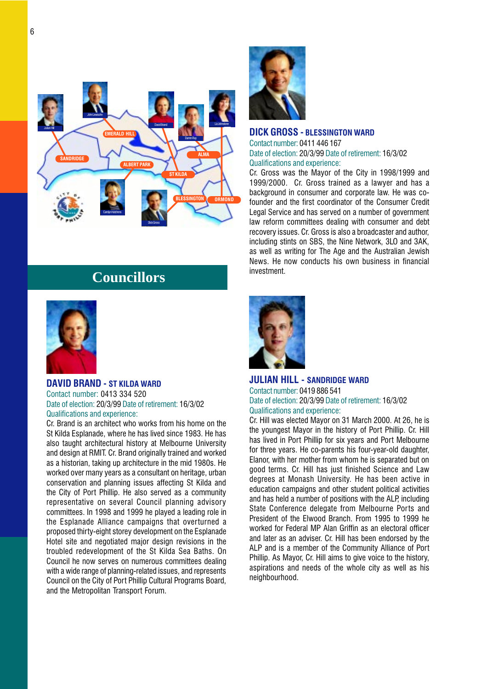<span id="page-7-0"></span>

## **Councillors**



### DAVID BRAND - ST KILDA WARD Contact number: 0413 334 520 Date of election: 20/3/99 Date of retirement: 16/3/02 Qualifications and experience:

Cr. Brand is an architect who works from his home on the St Kilda Esplanade, where he has lived since 1983. He has also taught architectural history at Melbourne University and design at RMIT. Cr. Brand originally trained and worked as a historian, taking up architecture in the mid 1980s. He worked over many years as a consultant on heritage, urban conservation and planning issues affecting St Kilda and the City of Port Phillip. He also served as a community representative on several Council planning advisory committees. In 1998 and 1999 he played a leading role in the Esplanade Alliance campaigns that overturned a proposed thirty-eight storey development on the Esplanade Hotel site and negotiated major design revisions in the troubled redevelopment of the St Kilda Sea Baths. On Council he now serves on numerous committees dealing with a wide range of planning-related issues, and represents Council on the City of Port Phillip Cultural Programs Board, and the Metropolitan Transport Forum.



### DICK GROSS - BLESSINGTON WARD

Contact number: 0411 446 167 Date of election: 20/3/99 Date of retirement: 16/3/02 Qualifications and experience:

Cr. Gross was the Mayor of the City in 1998/1999 and 1999/2000. Cr. Gross trained as a lawyer and has a background in consumer and corporate law. He was cofounder and the first coordinator of the Consumer Credit Legal Service and has served on a number of government law reform committees dealing with consumer and debt recovery issues. Cr. Gross is also a broadcaster and author, including stints on SBS, the Nine Network, 3LO and 3AK, as well as writing for The Age and the Australian Jewish News. He now conducts his own business in financial investment.



### JULIAN HILL - SANDRIDGE WARD

Contact number: 0419 886 541 Date of election: 20/3/99 Date of retirement: 16/3/02 Qualifications and experience:

Cr. Hill was elected Mayor on 31 March 2000. At 26, he is the youngest Mayor in the history of Port Phillip. Cr. Hill has lived in Port Phillip for six years and Port Melbourne for three years. He co-parents his four-year-old daughter, Elanor, with her mother from whom he is separated but on good terms. Cr. Hill has just finished Science and Law degrees at Monash University. He has been active in education campaigns and other student political activities and has held a number of positions with the ALP, including State Conference delegate from Melbourne Ports and President of the Elwood Branch. From 1995 to 1999 he worked for Federal MP Alan Griffin as an electoral officer and later as an adviser. Cr. Hill has been endorsed by the ALP and is a member of the Community Alliance of Port Phillip. As Mayor, Cr. Hill aims to give voice to the history, aspirations and needs of the whole city as well as his neighbourhood.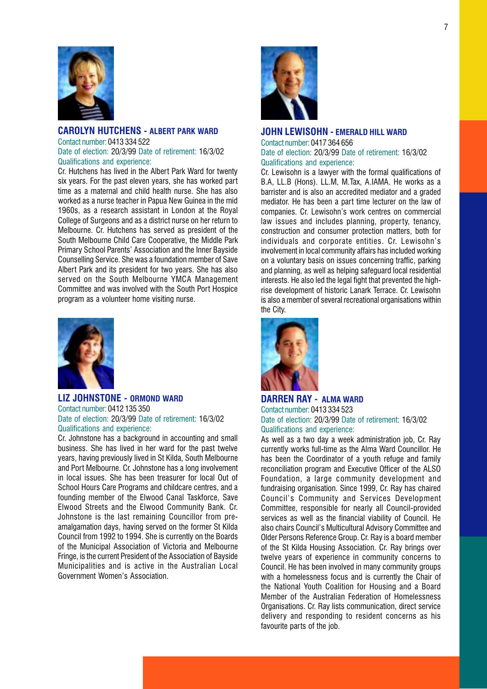<span id="page-8-0"></span>

### CAROLYN HUTCHENS - ALBERT PARK WARD Contact number: 0413 334 522 Date of election: 20/3/99 Date of retirement: 16/3/02 Qualifications and experience:

Cr. Hutchens has lived in the Albert Park Ward for twenty six years. For the past eleven years, she has worked part time as a maternal and child health nurse. She has also worked as a nurse teacher in Papua New Guinea in the mid 1960s, as a research assistant in London at the Royal College of Surgeons and as a district nurse on her return to Melbourne. Cr. Hutchens has served as president of the South Melbourne Child Care Cooperative, the Middle Park Primary School Parents' Association and the Inner Bayside Counselling Service. She was a foundation member of Save Albert Park and its president for two years. She has also served on the South Melbourne YMCA Management Committee and was involved with the South Port Hospice program as a volunteer home visiting nurse.



### LIZ JOHNSTONE - ORMOND WARD Contact number: 0412 135 350 Date of election: 20/3/99 Date of retirement: 16/3/02 Qualifications and experience:

Cr. Johnstone has a background in accounting and small business. She has lived in her ward for the past twelve years, having previously lived in St Kilda, South Melbourne and Port Melbourne. Cr. Johnstone has a long involvement in local issues. She has been treasurer for local Out of School Hours Care Programs and childcare centres, and a founding member of the Elwood Canal Taskforce, Save Elwood Streets and the Elwood Community Bank. Cr. Johnstone is the last remaining Councillor from preamalgamation days, having served on the former St Kilda Council from 1992 to 1994. She is currently on the Boards of the Municipal Association of Victoria and Melbourne Fringe, is the current President of the Association of Bayside Municipalities and is active in the Australian Local Government Women's Association.



### JOHN LEWISOHN - EMERALD HILL WARD

Contact number: 0417 364 656 Date of election: 20/3/99 Date of retirement: 16/3/02 Qualifications and experience:

Cr. Lewisohn is a lawyer with the formal qualifications of B.A, LL.B (Hons). LL.M, M.Tax, A.IAMA. He works as a barrister and is also an accredited mediator and a graded mediator. He has been a part time lecturer on the law of companies. Cr. Lewisohn's work centres on commercial law issues and includes planning, property, tenancy, construction and consumer protection matters, both for individuals and corporate entities. Cr. Lewisohn's involvement in local community affairs has included working on a voluntary basis on issues concerning traffic, parking and planning, as well as helping safeguard local residential interests. He also led the legal fight that prevented the highrise development of historic Lanark Terrace. Cr. Lewisohn is also a member of several recreational organisations within the City.



### DARREN RAY - ALMA WARD Contact number: 0413 334 523 Date of election: 20/3/99 Date of retirement: 16/3/02 Qualifications and experience:

As well as a two day a week administration job, Cr. Ray currently works full-time as the Alma Ward Councillor. He has been the Coordinator of a youth refuge and family reconciliation program and Executive Officer of the ALSO Foundation, a large community development and fundraising organisation. Since 1999, Cr. Ray has chaired Council's Community and Services Development Committee, responsible for nearly all Council-provided services as well as the financial viability of Council. He also chairs Council's Multicultural Advisory Committee and Older Persons Reference Group. Cr. Ray is a board member of the St Kilda Housing Association. Cr. Ray brings over twelve years of experience in community concerns to Council. He has been involved in many community groups with a homelessness focus and is currently the Chair of the National Youth Coalition for Housing and a Board Member of the Australian Federation of Homelessness Organisations. Cr. Ray lists communication, direct service delivery and responding to resident concerns as his favourite parts of the job.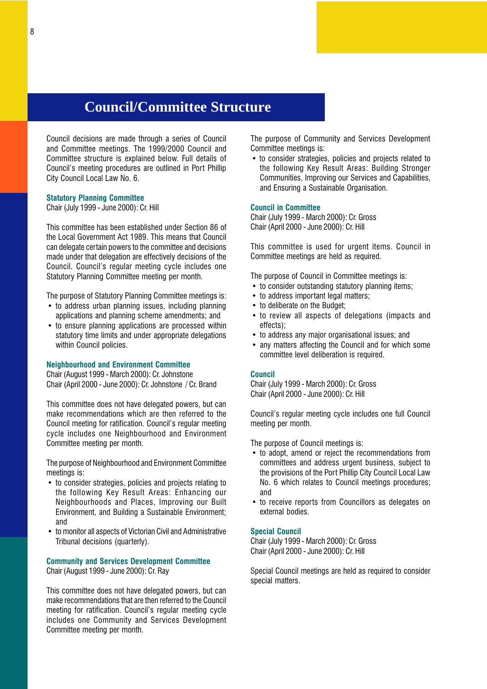## <span id="page-9-0"></span>**Council/Committee Structure**

Council decisions are made through a series of Council and Committee meetings. The 1999/2000 Council and Committee structure is explained below. Full details of Council's meeting procedures are outlined in Port Phillip City Council Local Law No. 6.

### Statutory Planning Committee

Chair (July 1999 - June 2000)[: Cr. Hill](#page-7-0)

This committee has been established under Section 86 of the Local Government Act 1989. This means that Council can delegate certain powers to the committee and decisions made under that delegation are effectively decisions of the Council. Council's regular meeting cycle includes one Statutory Planning Committee meeting per month.

The purpose of Statutory Planning Committee meetings is:

- to address urban planning issues, including planning applications and planning scheme amendments; and
- to ensure planning applications are processed within statutory time limits and under appropriate delegations within Council policies.

### Neighbourhood and Environment Committee

Chair (August 1999 - March 2000): [Cr. Johnstone](#page-8-0) Chair (April 2000 - June 2000): [Cr. Johnstone](#page-8-0) / [Cr. Brand](#page-7-0)

This committee does not have delegated powers, but can make recommendations which are then referred to the Council meeting for ratification. Council's regular meeting cycle includes one Neighbourhood and Environment Committee meeting per month.

The purpose of Neighbourhood and Environment Committee meetings is:

- to consider strategies, policies and projects relating to the following Key Result Areas: Enhancing our Neighbourhoods and Places, Improving our Built Environment, and Building a Sustainable Environment; and
- to monitor all aspects of Victorian Civil and Administrative Tribunal decisions (quarterly).

### Community and Services Development Committee Chair (August 1999 - June 2000): [Cr. Ray](#page-8-0)

This committee does not have delegated powers, but can make recommendations that are then referred to the Council meeting for ratification. Council's regular meeting cycle includes one Community and Services Development Committee meeting per month.

The purpose of Community and Services Development Committee meetings is:

• to consider strategies, policies and projects related to the following Key Result Areas: Building Stronger Communities, Improving our Services and Capabilities, and Ensuring a Sustainable Organisation.

### Council in Committee

Chair (July 1999 - March 2000): [Cr. Gross](#page-7-0) Chair (April 2000 - June 2000): [Cr. Hill](#page-7-0)

This committee is used for urgent items. Council in Committee meetings are held as required.

The purpose of Council in Committee meetings is:

- to consider outstanding statutory planning items;
- to address important legal matters;
- to deliberate on the Budget:
- to review all aspects of delegations (impacts and effects);
- to address any major organisational issues; and
- any matters affecting the Council and for which some committee level deliberation is required.

### Council

Chair (July 1999 - March 2000): [Cr. Gross](#page-7-0) Chair (April 2000 - June 2000): [Cr. Hill](#page-7-0)

Council's regular meeting cycle includes one full Council meeting per month.

The purpose of Council meetings is:

- to adopt, amend or reject the recommendations from committees and address urgent business, subject to the provisions of the Port Phillip City Council Local Law No. 6 which relates to Council meetings procedures; and
- to receive reports from Councillors as delegates on external bodies.

### Special Council

Chair (July 1999 - March 2000): [Cr. Gross](#page-7-0) Chair (April 2000 - June 2000): [Cr. Hill](#page-7-0)

Special Council meetings are held as required to consider special matters.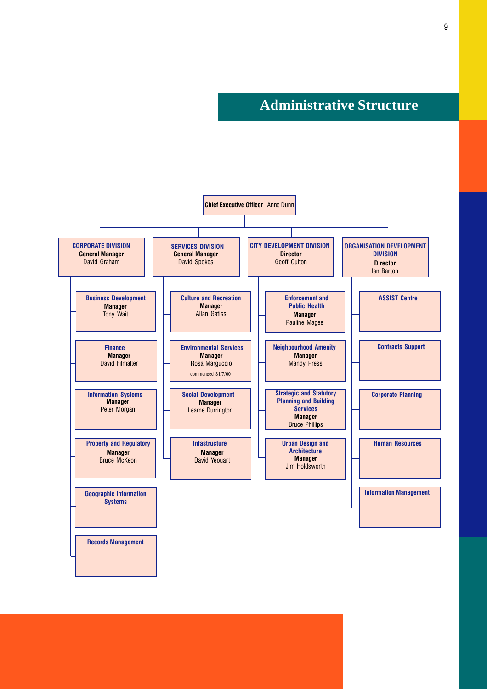**Administrative Structure**

<span id="page-10-0"></span>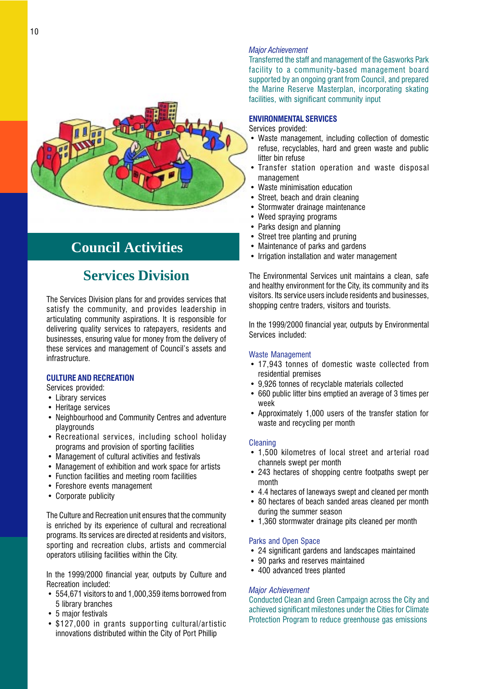<span id="page-11-0"></span>

## **Council Activities**

## **Services Division**

The Services Division plans for and provides services that satisfy the community, and provides leadership in articulating community aspirations. It is responsible for delivering quality services to ratepayers, residents and businesses, ensuring value for money from the delivery of these services and management of Council's assets and infrastructure.

### CULTURE AND RECREATION

Services provided:

- Library services
- Heritage services
- Neighbourhood and Community Centres and adventure playgrounds
- Recreational services, including school holiday programs and provision of sporting facilities
- Management of cultural activities and festivals
- Management of exhibition and work space for artists
- Function facilities and meeting room facilities
- Foreshore events management
- Corporate publicity

The Culture and Recreation unit ensures that the community is enriched by its experience of cultural and recreational programs. Its services are directed at residents and visitors, sporting and recreation clubs, artists and commercial operators utilising facilities within the City.

In the 1999/2000 financial year, outputs by Culture and Recreation included:

- 554,671 visitors to and 1,000,359 items borrowed from 5 library branches
- 5 major festivals
- \$127,000 in grants supporting cultural/artistic innovations distributed within the City of Port Phillip

### Major Achievement

Transferred the staff and management of the Gasworks Park facility to a community-based management board supported by an ongoing grant from Council, and prepared the Marine Reserve Masterplan, incorporating skating facilities, with significant community input

### ENVIRONMENTAL SERVICES

Services provided:

- Waste management, including collection of domestic refuse, recyclables, hard and green waste and public litter bin refuse
- Transfer station operation and waste disposal management
- Waste minimisation education
- Street, beach and drain cleaning
- Stormwater drainage maintenance
- Weed spraying programs
- Parks design and planning
- Street tree planting and pruning
- Maintenance of parks and gardens
- Irrigation installation and water management

The Environmental Services unit maintains a clean, safe and healthy environment for the City, its community and its visitors. Its service users include residents and businesses, shopping centre traders, visitors and tourists.

In the 1999/2000 financial year, outputs by Environmental Services included:

### Waste Management

- 17,943 tonnes of domestic waste collected from residential premises
- 9,926 tonnes of recyclable materials collected
- 660 public litter bins emptied an average of 3 times per week
- Approximately 1,000 users of the transfer station for waste and recycling per month

### **Cleaning**

- 1,500 kilometres of local street and arterial road channels swept per month
- 243 hectares of shopping centre footpaths swept per month
- 4.4 hectares of laneways swept and cleaned per month
- 80 hectares of beach sanded areas cleaned per month during the summer season
- 1,360 stormwater drainage pits cleaned per month

### Parks and Open Space

- 24 significant gardens and landscapes maintained
- 90 parks and reserves maintained
- 400 advanced trees planted

### Major Achievement

Conducted Clean and Green Campaign across the City and achieved significant milestones under the Cities for Climate Protection Program to reduce greenhouse gas emissions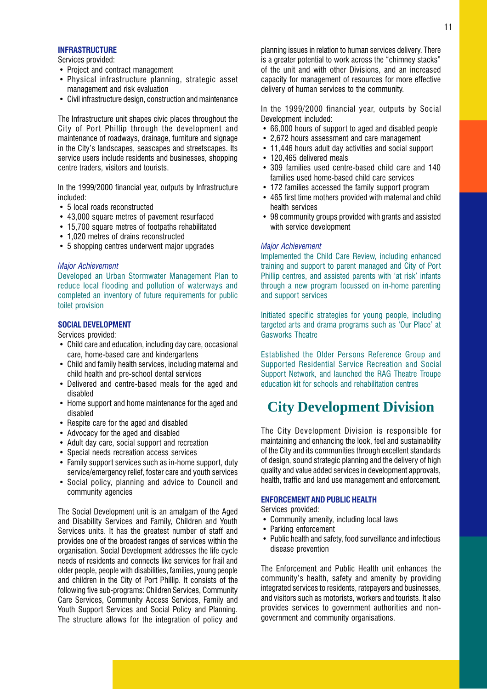### <span id="page-12-0"></span>**INFRASTRUCTURE**

Services provided:

- Project and contract management
- Physical infrastructure planning, strategic asset management and risk evaluation
- Civil infrastructure design, construction and maintenance

The Infrastructure unit shapes civic places throughout the City of Port Phillip through the development and maintenance of roadways, drainage, furniture and signage in the City's landscapes, seascapes and streetscapes. Its service users include residents and businesses, shopping centre traders, visitors and tourists.

In the 1999/2000 financial year, outputs by Infrastructure included:

- 5 local roads reconstructed
- 43,000 square metres of pavement resurfaced
- 15,700 square metres of footpaths rehabilitated
- 1.020 metres of drains reconstructed
- 5 shopping centres underwent major upgrades

### Major Achievement

Developed an Urban Stormwater Management Plan to reduce local flooding and pollution of waterways and completed an inventory of future requirements for public toilet provision

### SOCIAL DEVELOPMENT

Services provided:

- Child care and education, including day care, occasional care, home-based care and kindergartens
- Child and family health services, including maternal and child health and pre-school dental services
- Delivered and centre-based meals for the aged and disabled
- Home support and home maintenance for the aged and disabled
- Respite care for the aged and disabled
- Advocacy for the aged and disabled
- Adult day care, social support and recreation
- Special needs recreation access services
- Family support services such as in-home support, duty service/emergency relief, foster care and youth services
- Social policy, planning and advice to Council and community agencies

The Social Development unit is an amalgam of the Aged and Disability Services and Family, Children and Youth Services units. It has the greatest number of staff and provides one of the broadest ranges of services within the organisation. Social Development addresses the life cycle needs of residents and connects like services for frail and older people, people with disabilities, families, young people and children in the City of Port Phillip. It consists of the following five sub-programs: Children Services, Community Care Services, Community Access Services, Family and Youth Support Services and Social Policy and Planning. The structure allows for the integration of policy and

planning issues in relation to human services delivery. There is a greater potential to work across the "chimney stacks" of the unit and with other Divisions, and an increased capacity for management of resources for more effective delivery of human services to the community.

In the 1999/2000 financial year, outputs by Social Development included:

- 66,000 hours of support to aged and disabled people
- 2,672 hours assessment and care management
- 11,446 hours adult day activities and social support
- 120,465 delivered meals
- 309 families used centre-based child care and 140 families used home-based child care services
- 172 families accessed the family support program
- 465 first time mothers provided with maternal and child health services
- 98 community groups provided with grants and assisted with service development

### Major Achievement

Implemented the Child Care Review, including enhanced training and support to parent managed and City of Port Phillip centres, and assisted parents with 'at risk' infants through a new program focussed on in-home parenting and support services

Initiated specific strategies for young people, including targeted arts and drama programs such as 'Our Place' at Gasworks Theatre

Established the Older Persons Reference Group and Supported Residential Service Recreation and Social Support Network, and launched the RAG Theatre Troupe education kit for schools and rehabilitation centres

## **City Development Division**

The City Development Division is responsible for maintaining and enhancing the look, feel and sustainability of the City and its communities through excellent standards of design, sound strategic planning and the delivery of high quality and value added services in development approvals, health, traffic and land use management and enforcement.

### ENFORCEMENT AND PUBLIC HEALTH

Services provided:

- Community amenity, including local laws
- Parking enforcement
- Public health and safety, food surveillance and infectious disease prevention

The Enforcement and Public Health unit enhances the community's health, safety and amenity by providing integrated services to residents, ratepayers and businesses, and visitors such as motorists, workers and tourists. It also provides services to government authorities and nongovernment and community organisations.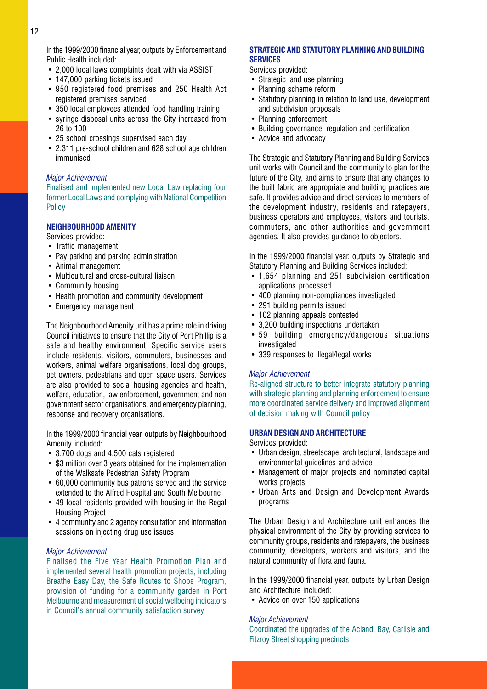<span id="page-13-0"></span>In the 1999/2000 financial year, outputs by Enforcement and Public Health included:

- 2,000 local laws complaints dealt with via ASSIST
- 147,000 parking tickets issued
- 950 registered food premises and 250 Health Act registered premises serviced
- 350 local employees attended food handling training
- syringe disposal units across the City increased from 26 to 100
- 25 school crossings supervised each day
- 2,311 pre-school children and 628 school age children immunised

### Major Achievement

Finalised and implemented new Local Law replacing four former Local Laws and complying with National Competition **Policy** 

### NEIGHBOURHOOD AMENITY

Services provided:

- Traffic management
- Pay parking and parking administration
- Animal management
- Multicultural and cross-cultural liaison
- Community housing
- Health promotion and community development
- Emergency management

The Neighbourhood Amenity unit has a prime role in driving Council initiatives to ensure that the City of Port Phillip is a safe and healthy environment. Specific service users include residents, visitors, commuters, businesses and workers, animal welfare organisations, local dog groups, pet owners, pedestrians and open space users. Services are also provided to social housing agencies and health, welfare, education, law enforcement, government and non government sector organisations, and emergency planning, response and recovery organisations.

In the 1999/2000 financial year, outputs by Neighbourhood Amenity included:

- 3,700 dogs and 4,500 cats registered
- \$3 million over 3 years obtained for the implementation of the Walksafe Pedestrian Safety Program
- 60,000 community bus patrons served and the service extended to the Alfred Hospital and South Melbourne
- 49 local residents provided with housing in the Regal Housing Project
- 4 community and 2 agency consultation and information sessions on injecting drug use issues

### Major Achievement

Finalised the Five Year Health Promotion Plan and implemented several health promotion projects, including Breathe Easy Day, the Safe Routes to Shops Program, provision of funding for a community garden in Port Melbourne and measurement of social wellbeing indicators in Council's annual community satisfaction survey

### STRATEGIC AND STATUTORY PLANNING AND BUILDING **SERVICES**

Services provided:

- Strategic land use planning
- Planning scheme reform
- Statutory planning in relation to land use, development and subdivision proposals
- Planning enforcement
- Building governance, regulation and certification
- Advice and advocacy

The Strategic and Statutory Planning and Building Services unit works with Council and the community to plan for the future of the City, and aims to ensure that any changes to the built fabric are appropriate and building practices are safe. It provides advice and direct services to members of the development industry, residents and ratepayers, business operators and employees, visitors and tourists, commuters, and other authorities and government agencies. It also provides guidance to objectors.

In the 1999/2000 financial year, outputs by Strategic and Statutory Planning and Building Services included:

- 1,654 planning and 251 subdivision certification applications processed
- 400 planning non-compliances investigated
- 291 building permits issued
- 102 planning appeals contested
- 3,200 building inspections undertaken
- 59 building emergency/dangerous situations investigated
- 339 responses to illegal/legal works

### Major Achievement

Re-aligned structure to better integrate statutory planning with strategic planning and planning enforcement to ensure more coordinated service delivery and improved alignment of decision making with Council policy

### URBAN DESIGN AND ARCHITECTURE

### Services provided:

- Urban design, streetscape, architectural, landscape and environmental guidelines and advice
- Management of major projects and nominated capital works projects
- Urban Arts and Design and Development Awards programs

The Urban Design and Architecture unit enhances the physical environment of the City by providing services to community groups, residents and ratepayers, the business community, developers, workers and visitors, and the natural community of flora and fauna.

In the 1999/2000 financial year, outputs by Urban Design and Architecture included:

• Advice on over 150 applications

### Major Achievement

Coordinated the upgrades of the Acland, Bay, Carlisle and Fitzroy Street shopping precincts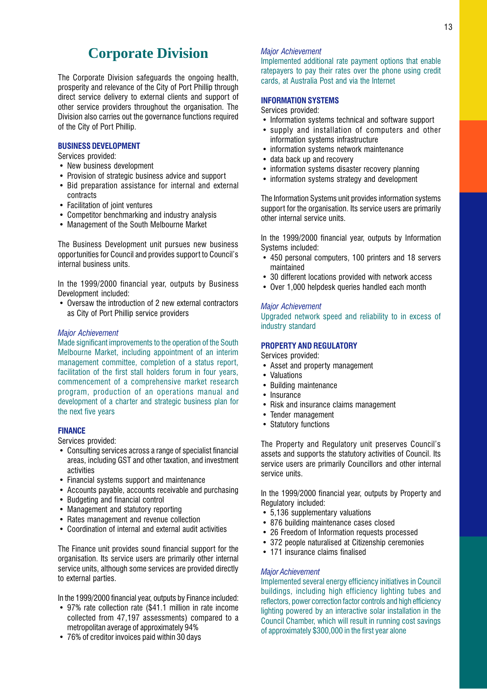## **Corporate Division**

<span id="page-14-0"></span>The Corporate Division safeguards the ongoing health, prosperity and relevance of the City of Port Phillip through direct service delivery to external clients and support of other service providers throughout the organisation. The Division also carries out the governance functions required of the City of Port Phillip.

### BUSINESS DEVELOPMENT

Services provided:

- New business development
- Provision of strategic business advice and support
- Bid preparation assistance for internal and external contracts
- Facilitation of joint ventures
- Competitor benchmarking and industry analysis
- Management of the South Melbourne Market

The Business Development unit pursues new business opportunities for Council and provides support to Council's internal business units.

In the 1999/2000 financial year, outputs by Business Development included:

 Oversaw the introduction of 2 new external contractors as City of Port Phillip service providers

### Major Achievement

Made significant improvements to the operation of the South Melbourne Market, including appointment of an interim management committee, completion of a status report, facilitation of the first stall holders forum in four years. commencement of a comprehensive market research program, production of an operations manual and development of a charter and strategic business plan for the next five years

### FINANCE

Services provided:

- Consulting services across a range of specialist financial areas, including GST and other taxation, and investment activities
- Financial systems support and maintenance
- Accounts payable, accounts receivable and purchasing
- Budgeting and financial control
- Management and statutory reporting
- Rates management and revenue collection
- Coordination of internal and external audit activities

The Finance unit provides sound financial support for the organisation. Its service users are primarily other internal service units, although some services are provided directly to external parties.

In the 1999/2000 financial year, outputs by Finance included:

- 97% rate collection rate (\$41.1 million in rate income collected from 47,197 assessments) compared to a metropolitan average of approximately 94%
- 76% of creditor invoices paid within 30 days

### Major Achievement

Implemented additional rate payment options that enable ratepayers to pay their rates over the phone using credit cards, at Australia Post and via the Internet

### INFORMATION SYSTEMS

Services provided:

- Information systems technical and software support
- supply and installation of computers and other information systems infrastructure
- information systems network maintenance
- data back up and recovery
- information systems disaster recovery planning
- information systems strategy and development

The Information Systems unit provides information systems support for the organisation. Its service users are primarily other internal service units.

In the 1999/2000 financial year, outputs by Information Systems included:

- 450 personal computers, 100 printers and 18 servers maintained
- 30 different locations provided with network access
- Over 1,000 helpdesk queries handled each month

### Major Achievement

Upgraded network speed and reliability to in excess of industry standard

### PROPERTY AND REGULATORY

Services provided:

- Asset and property management
- Valuations
- Building maintenance
- Insurance
- Risk and insurance claims management
- Tender management
- Statutory functions

The Property and Regulatory unit preserves Council's assets and supports the statutory activities of Council. Its service users are primarily Councillors and other internal service units.

In the 1999/2000 financial year, outputs by Property and Regulatory included:

- 5,136 supplementary valuations
- 876 building maintenance cases closed
- 26 Freedom of Information requests processed
- 372 people naturalised at Citizenship ceremonies
- 171 insurance claims finalised

### Major Achievement

Implemented several energy efficiency initiatives in Council buildings, including high efficiency lighting tubes and reflectors, power correction factor controls and high efficiency lighting powered by an interactive solar installation in the Council Chamber, which will result in running cost savings of approximately \$300,000 in the first year alone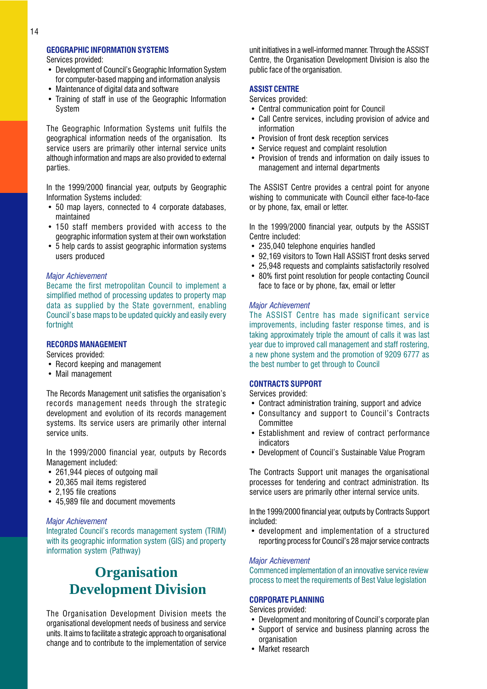### <span id="page-15-0"></span>GEOGRAPHIC INFORMATION SYSTEMS

Services provided:

- Development of Council's Geographic Information System for computer-based mapping and information analysis
- Maintenance of digital data and software
- Training of staff in use of the Geographic Information System

The Geographic Information Systems unit fulfils the geographical information needs of the organisation. Its service users are primarily other internal service units although information and maps are also provided to external parties.

In the 1999/2000 financial year, outputs by Geographic Information Systems included:

- 50 map layers, connected to 4 corporate databases, maintained
- 150 staff members provided with access to the geographic information system at their own workstation
- 5 help cards to assist geographic information systems users produced

### Major Achievement

Became the first metropolitan Council to implement a simplified method of processing updates to property map data as supplied by the State government, enabling Council's base maps to be updated quickly and easily every fortnight

### RECORDS MANAGEMENT

Services provided:

- Record keeping and management
- Mail management

The Records Management unit satisfies the organisation's records management needs through the strategic development and evolution of its records management systems. Its service users are primarily other internal service units.

In the 1999/2000 financial year, outputs by Records Management included:

- 261,944 pieces of outgoing mail
- 20.365 mail items registered
- 2,195 file creations
- 45,989 file and document movements

### Major Achievement

Integrated Council's records management system (TRIM) with its geographic information system (GIS) and property information system (Pathway)

## **Organisation Development Division**

The Organisation Development Division meets the organisational development needs of business and service units. It aims to facilitate a strategic approach to organisational change and to contribute to the implementation of service unit initiatives in a well-informed manner. Through the ASSIST Centre, the Organisation Development Division is also the public face of the organisation.

### ASSIST CENTRE

### Services provided:

- Central communication point for Council
- Call Centre services, including provision of advice and information
- Provision of front desk reception services
- Service request and complaint resolution
- Provision of trends and information on daily issues to management and internal departments

The ASSIST Centre provides a central point for anyone wishing to communicate with Council either face-to-face or by phone, fax, email or letter.

In the 1999/2000 financial year, outputs by the ASSIST Centre included:

- 235,040 telephone enquiries handled
- 92,169 visitors to Town Hall ASSIST front desks served
- 25,948 requests and complaints satisfactorily resolved
- 80% first point resolution for people contacting Council face to face or by phone, fax, email or letter

### Major Achievement

The ASSIST Centre has made significant service improvements, including faster response times, and is taking approximately triple the amount of calls it was last year due to improved call management and staff rostering, a new phone system and the promotion of 9209 6777 as the best number to get through to Council

## CONTRACTS SUPPORT

Services provided:

- Contract administration training, support and advice
- Consultancy and support to Council's Contracts **Committee**
- Establishment and review of contract performance indicators
- Development of Council's Sustainable Value Program

The Contracts Support unit manages the organisational processes for tendering and contract administration. Its service users are primarily other internal service units.

In the 1999/2000 financial year, outputs by Contracts Support included:

 development and implementation of a structured reporting process for Council's 28 major service contracts

### Major Achievement

Commenced implementation of an innovative service review process to meet the requirements of Best Value legislation

### CORPORATE PLANNING

Services provided:

- Development and monitoring of Council's corporate plan
- Support of service and business planning across the organisation
- Market research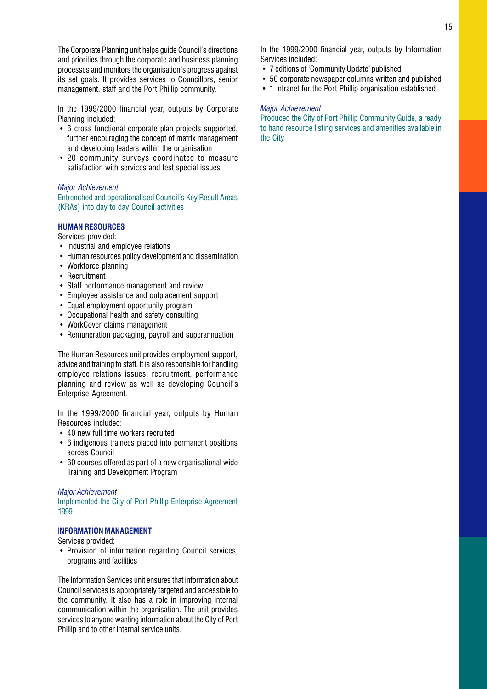<span id="page-16-0"></span>The Corporate Planning unit helps quide Council's directions and priorities through the corporate and business planning processes and monitors the organisation's progress against its set goals. It provides services to Councillors, senior management, staff and the Port Phillip community.

In the 1999/2000 financial year, outputs by Corporate Planning included:

- 6 cross functional corporate plan projects supported, further encouraging the concept of matrix management and developing leaders within the organisation
- 20 community surveys coordinated to measure satisfaction with services and test special issues

### Major Achievement

Entrenched and operationalised Council's Key Result Areas (KRAs) into day to day Council activities

### HUMAN RESOURCES

Services provided:

- Industrial and employee relations
- Human resources policy development and dissemination
- Workforce planning
- Recruitment
- Staff performance management and review
- Employee assistance and outplacement support
- Equal employment opportunity program
- Occupational health and safety consulting
- WorkCover claims management
- Remuneration packaging, payroll and superannuation

The Human Resources unit provides employment support, advice and training to staff. It is also responsible for handling employee relations issues, recruitment, performance planning and review as well as developing Council's Enterprise Agreement.

In the 1999/2000 financial year, outputs by Human Resources included:

- 40 new full time workers recruited
- 6 indigenous trainees placed into permanent positions across Council
- 60 courses offered as part of a new organisational wide Training and Development Program

### Major Achievement

Implemented the City of Port Phillip Enterprise Agreement 1999

### INFORMATION MANAGEMENT

Services provided:

• Provision of information regarding Council services, programs and facilities

The Information Services unit ensures that information about Council services is appropriately targeted and accessible to the community. It also has a role in improving internal communication within the organisation. The unit provides services to anyone wanting information about the City of Port Phillip and to other internal service units.

In the 1999/2000 financial year, outputs by Information Services included:

- 7 editions of 'Community Update' published
- 50 corporate newspaper columns written and published
- 1 Intranet for the Port Phillip organisation established

### Major Achievement

Produced the City of Port Phillip Community Guide, a ready to hand resource listing services and amenities available in the City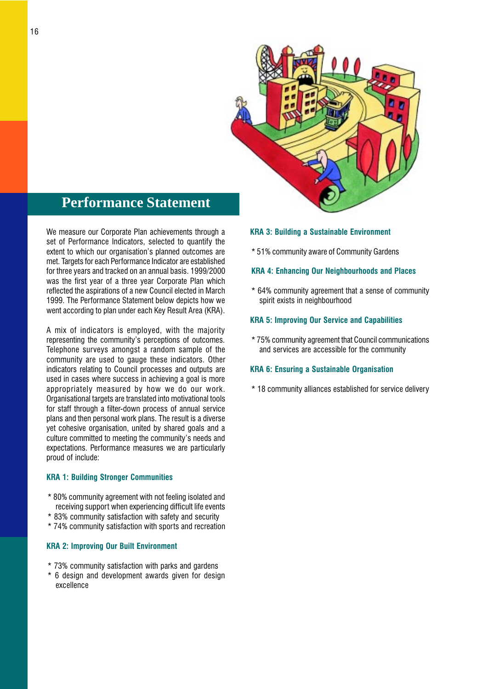

## <span id="page-17-0"></span>**Performance Statement**

We measure our Corporate Plan achievements through a set of Performance Indicators, selected to quantify the extent to which our organisation's planned outcomes are met. Targets for each Performance Indicator are established for three years and tracked on an annual basis. 1999/2000 was the first year of a three year Corporate Plan which reflected the aspirations of a new Council elected in March 1999. The Performance Statement below depicts how we went according to plan under each Key Result Area (KRA).

A mix of indicators is employed, with the majority representing the community's perceptions of outcomes. Telephone surveys amongst a random sample of the community are used to gauge these indicators. Other indicators relating to Council processes and outputs are used in cases where success in achieving a goal is more appropriately measured by how we do our work. Organisational targets are translated into motivational tools for staff through a filter-down process of annual service plans and then personal work plans. The result is a diverse yet cohesive organisation, united by shared goals and a culture committed to meeting the community's needs and expectations. Performance measures we are particularly proud of include:

### KRA 1: Building Stronger Communities

- \* 80% community agreement with not feeling isolated and receiving support when experiencing difficult life events
- \* 83% community satisfaction with safety and security
- \* 74% community satisfaction with sports and recreation

### KRA 2: Improving Our Built Environment

- \* 73% community satisfaction with parks and gardens
- 6 design and development awards given for design excellence

### KRA 3: Building a Sustainable Environment

\* 51% community aware of Community Gardens

### KRA 4: Enhancing Our Neighbourhoods and Places

\* 64% community agreement that a sense of community spirit exists in neighbourhood

### KRA 5: Improving Our Service and Capabilities

\* 75% community agreement that Council communications and services are accessible for the community

### KRA 6: Ensuring a Sustainable Organisation

\* 18 community alliances established for service delivery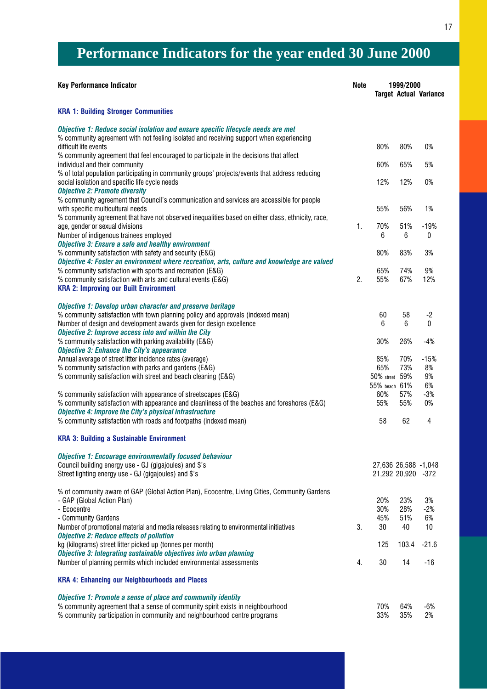## **Performance Indicators for the year ended 30 June 2000**

| <b>Key Performance Indicator</b>                                                                                                                                                                                                    | <b>Note</b> |                                            | 1999/2000         | <b>Target Actual Variance</b> |
|-------------------------------------------------------------------------------------------------------------------------------------------------------------------------------------------------------------------------------------|-------------|--------------------------------------------|-------------------|-------------------------------|
| <b>KRA 1: Building Stronger Communities</b>                                                                                                                                                                                         |             |                                            |                   |                               |
| Objective 1: Reduce social isolation and ensure specific lifecycle needs are met<br>% community agreement with not feeling isolated and receiving support when experiencing<br>difficult life events                                |             | 80%                                        | 80%               | 0%                            |
| % community agreement that feel encouraged to participate in the decisions that affect<br>individual and their community                                                                                                            |             | 60%                                        | 65%               | 5%                            |
| % of total population participating in community groups' projects/events that address reducing<br>social isolation and specific life cycle needs<br><b>Objective 2: Promote diversity</b>                                           |             | 12%                                        | 12%               | 0%                            |
| % community agreement that Council's communication and services are accessible for people<br>with specific multicultural needs<br>% community agreement that have not observed inequalities based on either class, ethnicity, race, |             | 55%                                        | 56%               | 1%                            |
| age, gender or sexual divisions<br>Number of indigenous trainees employed                                                                                                                                                           | 1.          | 70%<br>6                                   | 51%<br>6          | $-19%$<br>$\mathbf 0$         |
| <b>Objective 3: Ensure a safe and healthy environment</b><br>% community satisfaction with safety and security (E&G)<br>Objective 4: Foster an environment where recreation, arts, culture and knowledge are valued                 |             | 80%                                        | 83%               | 3%                            |
| % community satisfaction with sports and recreation (E&G)<br>% community satisfaction with arts and cultural events (E&G)<br><b>KRA 2: Improving our Built Environment</b>                                                          | 2.          | 65%<br>55%                                 | 74%<br>67%        | 9%<br>12%                     |
| Objective 1: Develop urban character and preserve heritage<br>% community satisfaction with town planning policy and approvals (indexed mean)<br>Number of design and development awards given for design excellence                |             | 60<br>6                                    | 58<br>6           | -2<br>$\Omega$                |
| <b>Objective 2: Improve access into and within the City</b><br>% community satisfaction with parking availability (E&G)<br><b>Objective 3: Enhance the City's appearance</b>                                                        |             | 30%                                        | 26%               | $-4%$                         |
| Annual average of street litter incidence rates (average)<br>% community satisfaction with parks and gardens (E&G)<br>% community satisfaction with street and beach cleaning (E&G)                                                 |             | 85%<br>65%<br>50% street<br>55% beach 61%  | 70%<br>73%<br>59% | $-15%$<br>8%<br>9%<br>6%      |
| % community satisfaction with appearance of streetscapes (E&G)<br>% community satisfaction with appearance and cleanliness of the beaches and foreshores (E&G)<br>Objective 4: Improve the City's physical infrastructure           |             | 60%<br>55%                                 | 57%<br>55%        | $-3%$<br>0%                   |
| % community satisfaction with roads and footpaths (indexed mean)<br><b>KRA 3: Building a Sustainable Environment</b>                                                                                                                |             | 58                                         | 62                | 4                             |
| <b>Objective 1: Encourage environmentally focused behaviour</b><br>Council building energy use - GJ (gigajoules) and \$'s<br>Street lighting energy use - GJ (gigajoules) and \$'s                                                  |             | 27,636 26,588 -1,048<br>21,292 20,920 -372 |                   |                               |
| % of community aware of GAP (Global Action Plan), Ecocentre, Living Cities, Community Gardens<br>- GAP (Global Action Plan)<br>- Ecocentre<br>- Community Gardens                                                                   |             | 20%<br>30%<br>45%                          | 23%<br>28%<br>51% | 3%<br>$-2%$<br>6%             |
| Number of promotional material and media releases relating to environmental initiatives<br><b>Objective 2: Reduce effects of pollution</b><br>kg (kilograms) street litter picked up (tonnes per month)                             | 3.          | 30<br>125                                  | 40<br>103.4       | 10<br>$-21.6$                 |
| Objective 3: Integrating sustainable objectives into urban planning<br>Number of planning permits which included environmental assessments                                                                                          | 4.          | 30                                         | 14                | $-16$                         |
| <b>KRA 4: Enhancing our Neighbourhoods and Places</b>                                                                                                                                                                               |             |                                            |                   |                               |
| Objective 1: Promote a sense of place and community identity<br>% community agreement that a sense of community spirit exists in neighbourhood<br>% community participation in community and neighbourhood centre programs          |             | 70%<br>33%                                 | 64%<br>35%        | $-6%$<br>2%                   |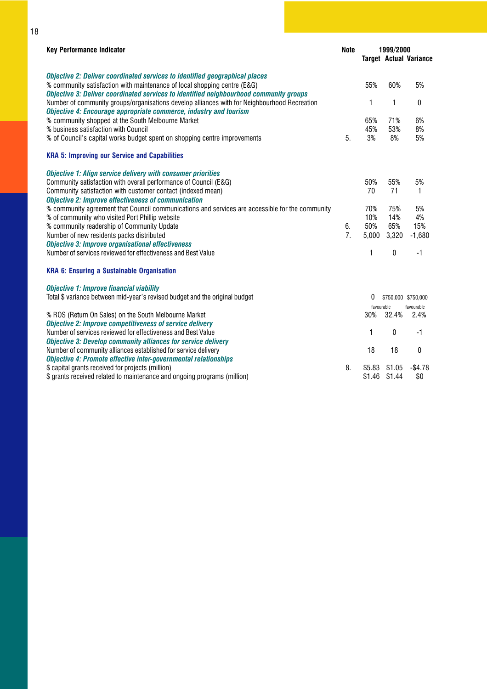| <b>Key Performance Indicator</b>                                                                                                                                                                                                                  | <b>Note</b> | 1999/2000  |            |                               |
|---------------------------------------------------------------------------------------------------------------------------------------------------------------------------------------------------------------------------------------------------|-------------|------------|------------|-------------------------------|
|                                                                                                                                                                                                                                                   |             |            |            | <b>Target Actual Variance</b> |
| Objective 2: Deliver coordinated services to identified geographical places<br>% community satisfaction with maintenance of local shopping centre (E&G)<br>Objective 3: Deliver coordinated services to identified neighbourhood community groups |             | 55%        | 60%        | 5%                            |
| Number of community groups/organisations develop alliances with for Neighbourhood Recreation<br>Objective 4: Encourage appropriate commerce, industry and tourism                                                                                 |             | 1          | 1          | 0                             |
| % community shopped at the South Melbourne Market                                                                                                                                                                                                 |             | 65%        | 71%        | 6%                            |
| % business satisfaction with Council                                                                                                                                                                                                              |             | 45%        | 53%        | 8%                            |
| % of Council's capital works budget spent on shopping centre improvements                                                                                                                                                                         | 5.          | 3%         | 8%         | 5%                            |
| <b>KRA 5: Improving our Service and Capabilities</b>                                                                                                                                                                                              |             |            |            |                               |
| <b>Objective 1: Align service delivery with consumer priorities</b>                                                                                                                                                                               |             |            |            |                               |
| Community satisfaction with overall performance of Council (E&G)                                                                                                                                                                                  |             | 50%        | 55%        | 5%                            |
| Community satisfaction with customer contact (indexed mean)                                                                                                                                                                                       |             | 70         | 71         | 1                             |
| <b>Objective 2: Improve effectiveness of communication</b>                                                                                                                                                                                        |             |            |            |                               |
| % community agreement that Council communications and services are accessible for the community                                                                                                                                                   |             | 70%<br>10% | 75%<br>14% | 5%<br>4%                      |
| % of community who visited Port Phillip website<br>% community readership of Community Update                                                                                                                                                     | 6.          | 50%        | 65%        | 15%                           |
| Number of new residents packs distributed                                                                                                                                                                                                         | 7.          | 5,000      | 3,320      | $-1,680$                      |
| <b>Objective 3: Improve organisational effectiveness</b>                                                                                                                                                                                          |             |            |            |                               |
| Number of services reviewed for effectiveness and Best Value                                                                                                                                                                                      |             | 1          | 0          | $-1$                          |
| <b>KRA 6: Ensuring a Sustainable Organisation</b>                                                                                                                                                                                                 |             |            |            |                               |
| <b>Objective 1: Improve financial viability</b>                                                                                                                                                                                                   |             |            |            |                               |
| Total \$ variance between mid-year's revised budget and the original budget                                                                                                                                                                       |             | 0          |            | \$750,000 \$750,000           |
|                                                                                                                                                                                                                                                   |             | favourable |            | favourable                    |
| % ROS (Return On Sales) on the South Melbourne Market                                                                                                                                                                                             |             | 30%        | 32.4%      | 2.4%                          |
| <b>Objective 2: Improve competitiveness of service delivery</b>                                                                                                                                                                                   |             |            |            |                               |
| Number of services reviewed for effectiveness and Best Value                                                                                                                                                                                      |             | 1          | 0          | $-1$                          |
| <b>Objective 3: Develop community alliances for service delivery</b>                                                                                                                                                                              |             |            |            |                               |
| Number of community alliances established for service delivery<br><b>Objective 4: Promote effective inter-governmental relationships</b>                                                                                                          |             | 18         | 18         | 0                             |
| \$ capital grants received for projects (million)                                                                                                                                                                                                 | 8.          | \$5.83     | \$1.05     | $-$4.78$                      |
| \$ grants received related to maintenance and ongoing programs (million)                                                                                                                                                                          |             | \$1.46     | \$1.44     | \$0                           |
|                                                                                                                                                                                                                                                   |             |            |            |                               |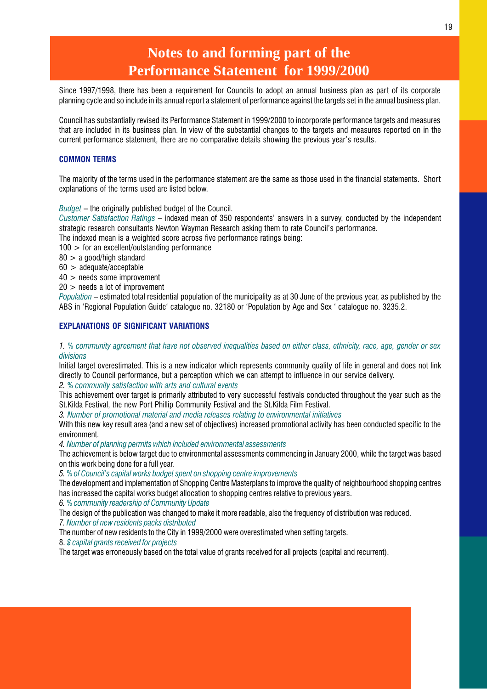## **Notes to and forming part of the Performance Statement for 1999/2000**

Since 1997/1998, there has been a requirement for Councils to adopt an annual business plan as part of its corporate planning cycle and so include in its annual report a statement of performance against the targets set in the annual business plan.

Council has substantially revised its Performance Statement in 1999/2000 to incorporate performance targets and measures that are included in its business plan. In view of the substantial changes to the targets and measures reported on in the current performance statement, there are no comparative details showing the previous vear's results.

### COMMON TERMS

The majority of the terms used in the performance statement are the same as those used in the financial statements. Short explanations of the terms used are listed below.

 $Budget$  – the originally published budget of the Council.

Customer Satisfaction Ratings – indexed mean of 350 respondents' answers in a survey, conducted by the independent strategic research consultants Newton Wayman Research asking them to rate Council's performance.

The indexed mean is a weighted score across five performance ratings being:

100 > for an excellent/outstanding performance

80 > a good/high standard

60 > adequate/acceptable

40 > needs some improvement

20 > needs a lot of improvement

Population – estimated total residential population of the municipality as at 30 June of the previous year, as published by the ABS in 'Regional Population Guide' catalogue no. 32180 or 'Population by Age and Sex ' catalogue no. 3235.2.

### EXPLANATIONS OF SIGNIFICANT VARIATIONS

1. % community agreement that have not observed inequalities based on either class, ethnicity, race, age, gender or sex divisions

Initial target overestimated. This is a new indicator which represents community quality of life in general and does not link directly to Council performance, but a perception which we can attempt to influence in our service delivery. 2. % community satisfaction with arts and cultural events

This achievement over target is primarily attributed to very successful festivals conducted throughout the year such as the St.Kilda Festival, the new Port Phillip Community Festival and the St.Kilda Film Festival.

3. Number of promotional material and media releases relating to environmental initiatives

With this new key result area (and a new set of objectives) increased promotional activity has been conducted specific to the environment.

4. Number of planning permits which included environmental assessments

The achievement is below target due to environmental assessments commencing in January 2000, while the target was based on this work being done for a full year.

5. % of Council's capital works budget spent on shopping centre improvements

The development and implementation of Shopping Centre Masterplans to improve the quality of neighbourhood shopping centres has increased the capital works budget allocation to shopping centres relative to previous years.

6. % community readership of Community Update

The design of the publication was changed to make it more readable, also the frequency of distribution was reduced. 7. Number of new residents packs distributed

The number of new residents to the City in 1999/2000 were overestimated when setting targets.

8. \$ capital grants received for projects

The target was erroneously based on the total value of grants received for all projects (capital and recurrent).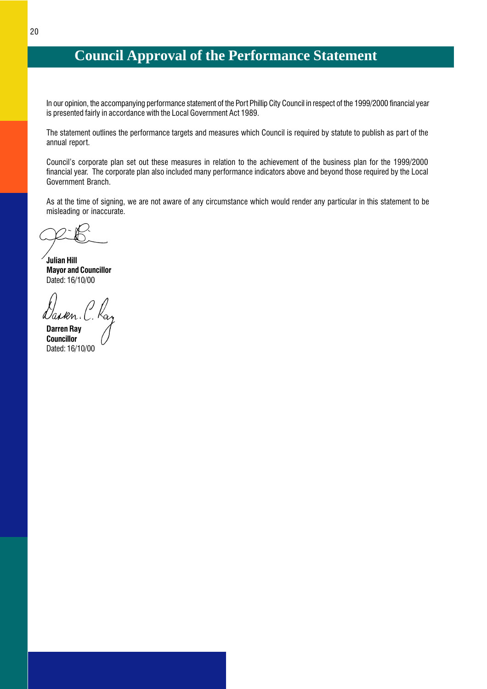## <span id="page-21-0"></span>**Council Approval of the Performance Statement**

In our opinion, the accompanying performance statement of the Port Phillip City Council in respect of the 1999/2000 financial year is presented fairly in accordance with the Local Government Act 1989.

The statement outlines the performance targets and measures which Council is required by statute to publish as part of the annual report.

Council's corporate plan set out these measures in relation to the achievement of the business plan for the 1999/2000 financial year. The corporate plan also included many performance indicators above and beyond those required by the Local Government Branch.

As at the time of signing, we are not aware of any circumstance which would render any particular in this statement to be misleading or inaccurate.

Julian Hill Mayor and Councillor Dated: 16/10/00

Darren Ray **Councillor** Dated: 16/10/00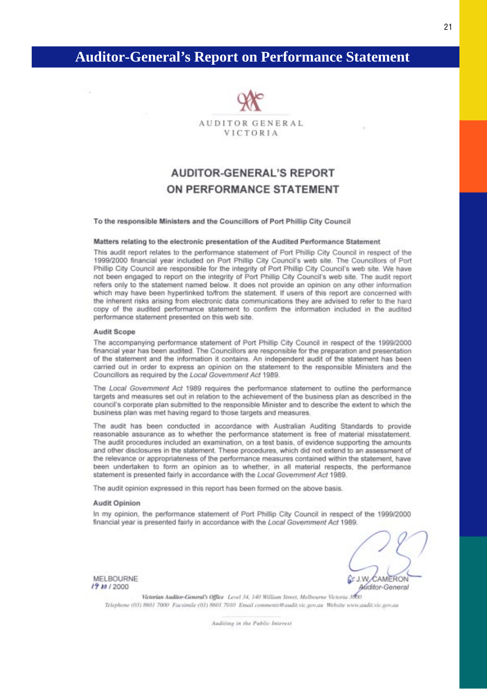## <span id="page-22-0"></span>**Auditor-General's Report on Performance Statement**



## **AUDITOR-GENERAL'S REPORT** ON PERFORMANCE STATEMENT

### To the responsible Ministers and the Councillors of Port Phillip City Council

### Matters relating to the electronic presentation of the Audited Performance Statement

This audit report relates to the performance statement of Port Phillip City Council in respect of the 1999/2000 financial year included on Port Phillip City Council's web site. The Councillors of Port Phillip City Council are responsible for the integrity of Port Phillip City Council's web site. We have not been engaged to report on the integrity of Port Phillip City Council's web site. The audit report refers only to the statement named below. It does not provide an opinion on any other information which may have been hyperlinked to/from the statement. If users of this report are concerned with the inherent risks arising from electronic data communications they are advised to refer to the hard copy of the audited performance statement to confirm the information included in the audited performance statement presented on this web site.

### Audit Scope

n.

The accompanying performance statement of Port Phillip City Council in respect of the 1999/2000 financial year has been audited. The Councillors are responsible for the preparation and presentation of the statement and the information it contains. An independent audit of the statement has been carried out in order to express an opinion on the statement to the responsible Ministers and the Councillors as required by the Local Government Act 1989.

The Local Government Act 1989 requires the performance statement to outline the performance targets and measures set out in relation to the achievement of the business plan as described in the council's corporate plan submitted to the responsible Minister and to describe the extent to which the business plan was met having regard to those targets and measures.

The audit has been conducted in accordance with Australian Auditing Standards to provide reasonable assurance as to whether the performance statement is free of material misstatement. The audit procedures included an examination, on a test basis, of evidence supporting the amounts and other disclosures in the statement. These procedures, which did not extend to an assessment of the relevance or appropriateness of the performance measures contained within the statement, have been undertaken to form an opinion as to whether, in all material respects, the performance statement is presented fairly in accordance with the Local Government Act 1989.

The audit opinion expressed in this report has been formed on the above basis.

### **Audit Opinion**

In my opinion, the performance statement of Port Phillip City Council in respect of the 1999/2000 financial year is presented fairly in accordance with the Local Government Act 1989.

MELBOURNE 19 Ap / 2000

 $0<sub>c</sub>$  J.W. CAMERON Auditor-General

Victorian Auditor-General's Office Level 34, 140 William Street, Melbourne Victoria 3000 Telephone (03) 8601 7000 Facsimile (03) 8601 7010 Email comments@andit.vic.gov.au Website www.andit.vic.gov.au

Auditing in the Public Interest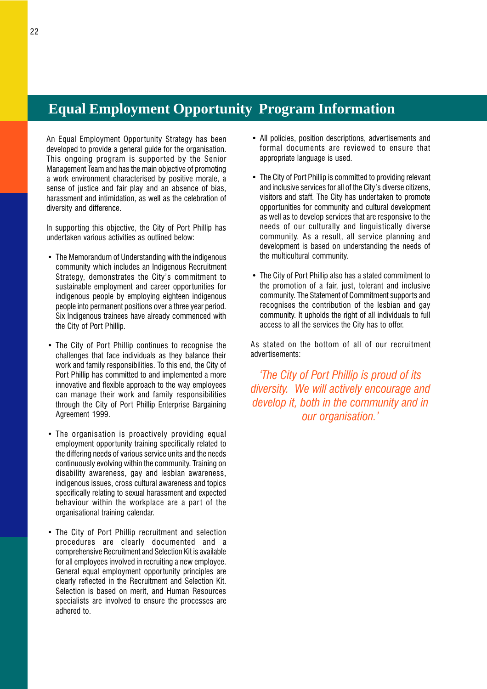## <span id="page-23-0"></span>**Equal Employment Opportunity Program Information**

An Equal Employment Opportunity Strategy has been developed to provide a general guide for the organisation. This ongoing program is supported by the Senior Management Team and has the main objective of promoting a work environment characterised by positive morale, a sense of justice and fair play and an absence of bias, harassment and intimidation, as well as the celebration of diversity and difference.

In supporting this objective, the City of Port Phillip has undertaken various activities as outlined below:

- The Memorandum of Understanding with the indigenous community which includes an Indigenous Recruitment Strategy, demonstrates the City's commitment to sustainable employment and career opportunities for indigenous people by employing eighteen indigenous people into permanent positions over a three year period. Six Indigenous trainees have already commenced with the City of Port Phillip.
- The City of Port Phillip continues to recognise the challenges that face individuals as they balance their work and family responsibilities. To this end, the City of Port Phillip has committed to and implemented a more innovative and flexible approach to the way employees can manage their work and family responsibilities through the City of Port Phillip Enterprise Bargaining Agreement 1999.
- The organisation is proactively providing equal employment opportunity training specifically related to the differing needs of various service units and the needs continuously evolving within the community. Training on disability awareness, gay and lesbian awareness, indigenous issues, cross cultural awareness and topics specifically relating to sexual harassment and expected behaviour within the workplace are a part of the organisational training calendar.
- The City of Port Phillip recruitment and selection procedures are clearly documented and a comprehensive Recruitment and Selection Kit is available for all employees involved in recruiting a new employee. General equal employment opportunity principles are clearly reflected in the Recruitment and Selection Kit. Selection is based on merit, and Human Resources specialists are involved to ensure the processes are adhered to.
- All policies, position descriptions, advertisements and formal documents are reviewed to ensure that appropriate language is used.
- The City of Port Phillip is committed to providing relevant and inclusive services for all of the City's diverse citizens, visitors and staff. The City has undertaken to promote opportunities for community and cultural development as well as to develop services that are responsive to the needs of our culturally and linguistically diverse community. As a result, all service planning and development is based on understanding the needs of the multicultural community.
- The City of Port Phillip also has a stated commitment to the promotion of a fair, just, tolerant and inclusive community. The Statement of Commitment supports and recognises the contribution of the lesbian and gay community. It upholds the right of all individuals to full access to all the services the City has to offer.

As stated on the bottom of all of our recruitment advertisements:

The City of Port Phillip is proud of its diversity. We will actively encourage and develop it, both in the community and in our organisation.'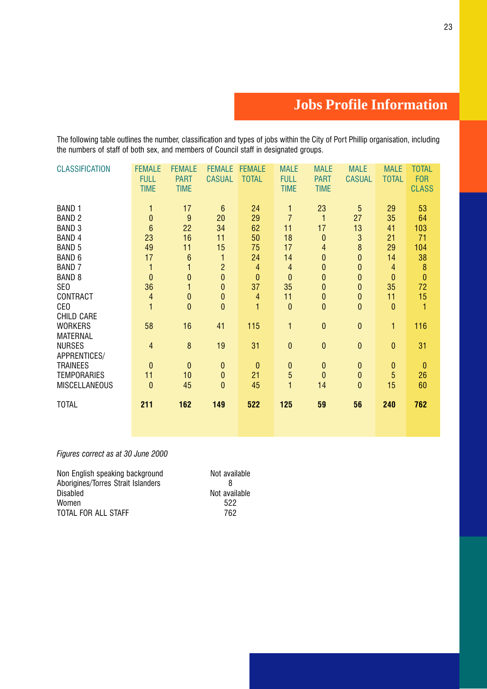## **Jobs Profile Information**

<span id="page-24-0"></span>The following table outlines the number, classification and types of jobs within the City of Port Phillip organisation, including the numbers of staff of both sex, and members of Council staff in designated groups.

| <b>CLASSIFICATION</b> | <b>FEMALE</b><br><b>FULL</b><br><b>TIME</b> | <b>FEMALE</b><br><b>PART</b><br><b>TIME</b> | <b>FEMALE</b><br><b>CASUAL</b> | <b>FEMALE</b><br><b>TOTAL</b> | <b>MALE</b><br><b>FULL</b><br><b>TIME</b> | <b>MALE</b><br><b>PART</b><br><b>TIME</b> | <b>MALE</b><br><b>CASUAL</b> | <b>MALE</b><br><b>TOTAL</b> | <b>TOTAL</b><br><b>FOR</b><br><b>CLASS</b> |
|-----------------------|---------------------------------------------|---------------------------------------------|--------------------------------|-------------------------------|-------------------------------------------|-------------------------------------------|------------------------------|-----------------------------|--------------------------------------------|
| <b>BAND 1</b>         | 1                                           | 17                                          | $6\phantom{1}6$                | 24                            | 1                                         | 23                                        | $\overline{5}$               | 29                          | 53                                         |
| <b>BAND 2</b>         | $\bf{0}$                                    | 9                                           | 20                             | 29                            | $\overline{7}$                            | 1                                         | 27                           | 35                          | 64                                         |
| <b>BAND 3</b>         | $6\phantom{a}$                              | 22                                          | 34                             | 62                            | 11                                        | 17                                        | 13                           | 41                          | 103                                        |
| <b>BAND 4</b>         | 23                                          | 16                                          | 11                             | 50                            | 18                                        | $\mathbf{0}$                              | 3                            | 21                          | 71                                         |
| <b>BAND 5</b>         | 49                                          | 11                                          | 15                             | 75                            | 17                                        | 4                                         | 8                            | 29                          | 104                                        |
| BAND 6                | 17                                          | $6\phantom{1}6$                             | 1                              | 24                            | 14                                        | $\bf{0}$                                  | 0                            | 14                          | 38                                         |
| <b>BAND 7</b>         | 1                                           | 1                                           | $\overline{2}$                 | 4                             | $\overline{4}$                            | $\mathbf 0$                               | 0                            | $\overline{4}$              | $\boldsymbol{8}$                           |
| <b>BAND 8</b>         | $\bf{0}$                                    | $\bf{0}$                                    | $\overline{0}$                 | $\bf{0}$                      | $\bf{0}$                                  | $\mathbf{0}$                              | $\bf{0}$                     | $\bf{0}$                    | $\mathbf{0}$                               |
| SE <sub>0</sub>       | 36                                          | 1                                           | 0                              | 37                            | 35                                        | $\bf{0}$                                  | $\mathbf{0}$                 | 35                          | 72                                         |
| CONTRACT              | $\overline{4}$                              | $\pmb{0}$                                   | $\pmb{0}$                      | 4                             | 11                                        | $\bf{0}$                                  | $\bf{0}$                     | 11                          | 15                                         |
| CE <sub>0</sub>       | $\mathbf{1}$                                | $\mathbf{0}$                                | $\overline{0}$                 | $\mathbf{1}$                  | $\mathbf{0}$                              | $\mathbf{0}$                              | $\overline{0}$               | $\bf{0}$                    | $\mathbf{1}$                               |
| <b>CHILD CARE</b>     |                                             |                                             |                                |                               |                                           |                                           |                              |                             |                                            |
| <b>WORKERS</b>        | 58                                          | 16                                          | 41                             | 115                           | 1                                         | $\mathbf{0}$                              | $\mathbf{0}$                 | 1                           | 116                                        |
| <b>MATERNAL</b>       |                                             |                                             |                                |                               |                                           |                                           |                              |                             |                                            |
| <b>NURSES</b>         | 4                                           | $\boldsymbol{8}$                            | 19                             | 31                            | $\bf{0}$                                  | $\bf{0}$                                  | $\mathbf{0}$                 | $\pmb{0}$                   | 31                                         |
| APPRENTICES/          |                                             |                                             |                                |                               |                                           |                                           |                              |                             |                                            |
| <b>TRAINEES</b>       | $\mathbf{0}$                                | $\bf{0}$                                    | $\bf{0}$                       | $\theta$                      | $\pmb{0}$                                 | $\bf{0}$                                  | $\mathbf{0}$                 | $\bf{0}$                    | $\bf{0}$                                   |
| <b>TEMPORARIES</b>    | 11                                          | 10                                          | $\bf{0}$                       | 21                            | $\overline{5}$                            | $\mathbf{0}$                              | $\bf{0}$                     | $\overline{5}$              | 26                                         |
| <b>MISCELLANEOUS</b>  | $\mathbf{0}$                                | 45                                          | 0                              | 45                            | $\mathbf{1}$                              | 14                                        | $\bf{0}$                     | 15                          | 60                                         |
| <b>TOTAL</b>          | 211                                         | 162                                         | 149                            | 522                           | 125                                       | 59                                        | 56                           | 240                         | 762                                        |
|                       |                                             |                                             |                                |                               |                                           |                                           |                              |                             |                                            |

### Figures correct as at 30 June 2000

| Non English speaking background    | Not available |
|------------------------------------|---------------|
| Aborigines/Torres Strait Islanders | 8             |
| <b>Disabled</b>                    | Not available |
| Women                              | 522           |
| TOTAL FOR ALL STAFF                | 762           |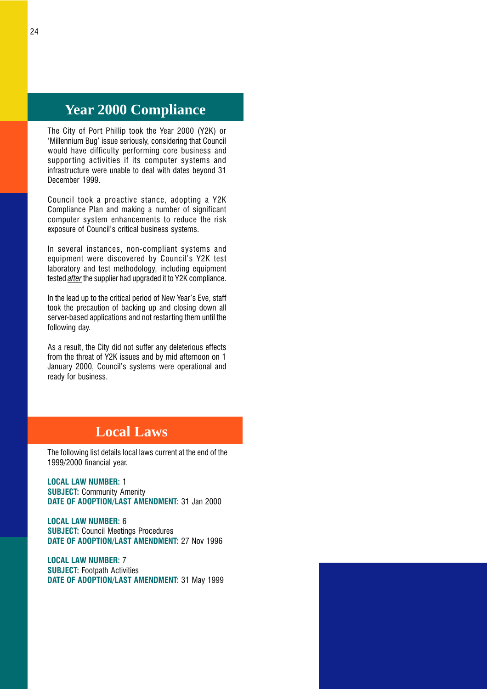## <span id="page-25-0"></span>**Year 2000 Compliance**

The City of Port Phillip took the Year 2000 (Y2K) or 'Millennium Bug' issue seriously, considering that Council would have difficulty performing core business and supporting activities if its computer systems and infrastructure were unable to deal with dates beyond 31 December 1999.

Council took a proactive stance, adopting a Y2K Compliance Plan and making a number of significant computer system enhancements to reduce the risk exposure of Council's critical business systems.

In several instances, non-compliant systems and equipment were discovered by Council's Y2K test laboratory and test methodology, including equipment tested *after* the supplier had upgraded it to Y2K compliance.

In the lead up to the critical period of New Year's Eve, staff took the precaution of backing up and closing down all server-based applications and not restarting them until the following day.

As a result, the City did not suffer any deleterious effects from the threat of Y2K issues and by mid afternoon on 1 January 2000, Council's systems were operational and ready for business.

## **Local Laws**

The following list details local laws current at the end of the 1999/2000 financial year.

LOCAL LAW NUMBER: 1 SUBJECT: Community Amenity DATE OF ADOPTION/LAST AMENDMENT: 31 Jan 2000

LOCAL LAW NUMBER: 6 SUBJECT: Council Meetings Procedures DATE OF ADOPTION/LAST AMENDMENT: 27 Nov 1996

LOCAL LAW NUMBER: 7 SUBJECT: Footpath Activities DATE OF ADOPTION/LAST AMENDMENT: 31 May 1999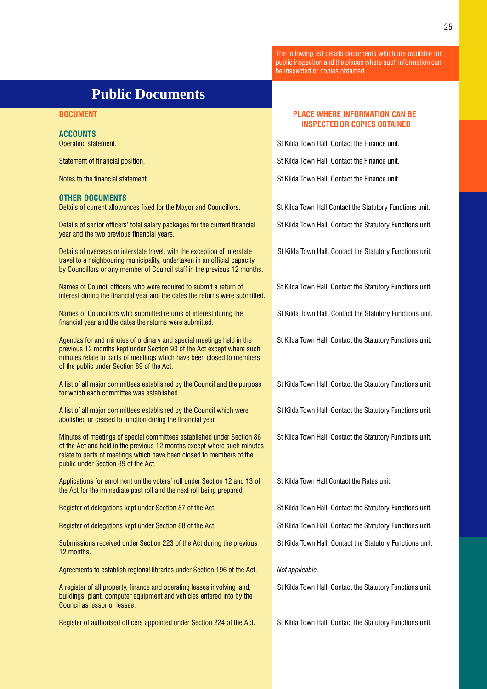The following list details documents which are available for public inspection and the places where such information can be inspected or copies obtained.

## **Public Documents**

### ACCOUNTS

### OTHER DOCUMENTS

Details of current allowances fixed for the Mayor and Councillors. St Kilda Town Hall.Contact the Statutory Functions unit.

Details of senior officers' total salary packages for the current financial St Kilda Town Hall. Contact the Statutory Functions unit. year and the two previous financial years.

Details of overseas or interstate travel, with the exception of interstate St Kilda Town Hall. Contact the Statutory Functions unit. travel to a neighbouring municipality, undertaken in an official capacity by Councillors or any member of Council staff in the previous 12 months.

Names of Council officers who were required to submit a return of St Kilda Town Hall. Contact the Statutory Functions unit. interest during the financial year and the dates the returns were submitted.

Names of Councillors who submitted returns of interest during the St Kilda Town Hall. Contact the Statutory Functions unit. financial year and the dates the returns were submitted.

Agendas for and minutes of ordinary and special meetings held in the St Kilda Town Hall. Contact the Statutory Functions unit. previous 12 months kept under Section 93 of the Act except where such minutes relate to parts of meetings which have been closed to members of the public under Section 89 of the Act.

A list of all major committees established by the Council and the purpose St Kilda Town Hall. Contact the Statutory Functions unit. for which each committee was established.

A list of all major committees established by the Council which were St Kilda Town Hall. Contact the Statutory Functions unit. abolished or ceased to function during the financial year.

Minutes of meetings of special committees established under Section 86 St Kilda Town Hall. Contact the Statutory Functions unit. of the Act and held in the previous 12 months except where such minutes relate to parts of meetings which have been closed to members of the public under Section 89 of the Act.

Applications for enrolment on the voters' roll under Section 12 and 13 of St Kilda Town Hall.Contact the Rates unit. the Act for the immediate past roll and the next roll being prepared.

Register of delegations kept under Section 87 of the Act. St Kilda Town Hall. Contact the Statutory Functions unit.

Register of delegations kept under Section 88 of the Act. St Kilda Town Hall. Contact the Statutory Functions unit.

Submissions received under Section 223 of the Act during the previous St Kilda Town Hall. Contact the Statutory Functions unit. 12 months.

Agreements to establish regional libraries under Section 196 of the Act. Not applicable.

A register of all property, finance and operating leases involving land, St Kilda Town Hall. Contact the Statutory Functions unit. buildings, plant, computer equipment and vehicles entered into by the Council as lessor or lessee.

Register of authorised officers appointed under Section 224 of the Act. St Kilda Town Hall. Contact the Statutory Functions unit.

### <span id="page-26-0"></span>DOCUMENT PLACE WHERE INFORMATION CAN BE INSPECTED OR COPIES OBTAINED

**Operating statement.** St Kilda Town Hall. Contact the Finance unit.

**Statement of financial position.** Statement of finance unit. Statement of finance unit.

Notes to the financial statement. Statement is a statement of the Finance unit. St Kilda Town Hall. Contact the Finance unit.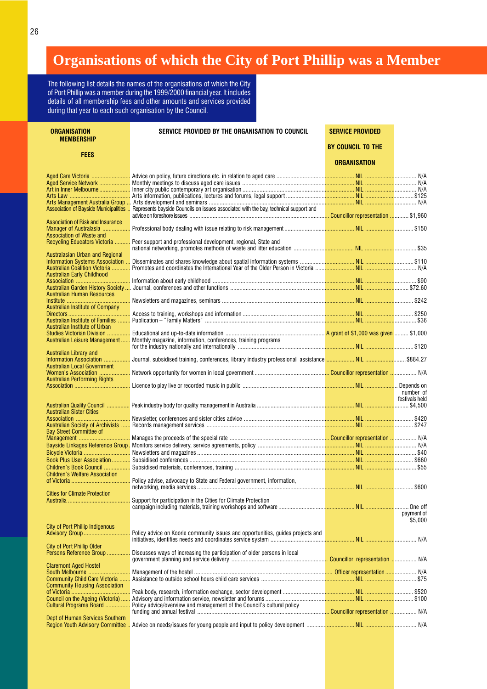## <span id="page-27-0"></span>**Organisations of which the City of Port Phillip was a Member**

The following list details the names of the organisations of which the City of Port Phillip was a member during the 1999/2000 financial year. It includes details of all membership fees and other amounts and services provided during that year to each such organisation by the Council.

| <b>ORGANISATION</b><br><b>MEMBERSHIP</b> | SERVICE PROVIDED BY THE ORGANISATION TO COUNCIL                                                                             | <b>SERVICE PROVIDED</b> |                             |
|------------------------------------------|-----------------------------------------------------------------------------------------------------------------------------|-------------------------|-----------------------------|
|                                          |                                                                                                                             | BY COUNCIL TO THE       |                             |
| <b>FEES</b>                              |                                                                                                                             | <b>ORGANISATION</b>     |                             |
|                                          |                                                                                                                             |                         |                             |
|                                          |                                                                                                                             |                         |                             |
|                                          |                                                                                                                             |                         |                             |
|                                          |                                                                                                                             |                         |                             |
|                                          |                                                                                                                             |                         |                             |
|                                          | Association of Bayside Municipalities  Represents bayside Councils on issues associated with the bay, technical support and |                         |                             |
| Association of Risk and Insurance        |                                                                                                                             |                         |                             |
| Manager of Australasia                   |                                                                                                                             |                         |                             |
| Association of Waste and                 | Recycling Educators Victoria  Peer support and professional development, regional, State and                                |                         |                             |
| Australasian Urban and Regional          |                                                                                                                             |                         |                             |
|                                          |                                                                                                                             |                         |                             |
| Australian Coalition Victoria            |                                                                                                                             |                         |                             |
| Australian Early Childhood               |                                                                                                                             |                         |                             |
|                                          |                                                                                                                             |                         |                             |
|                                          |                                                                                                                             |                         |                             |
| <b>Australian Human Resources</b>        |                                                                                                                             |                         |                             |
|                                          |                                                                                                                             |                         |                             |
| Australian Institute of Company          |                                                                                                                             |                         |                             |
|                                          |                                                                                                                             |                         |                             |
| Australian Institute of Urban            |                                                                                                                             |                         |                             |
|                                          |                                                                                                                             |                         |                             |
|                                          | Australian Leisure Management  Monthly magazine, information, conferences, training programs                                |                         |                             |
| Australian Library and                   |                                                                                                                             |                         |                             |
| <b>Australian Local Government</b>       |                                                                                                                             |                         |                             |
|                                          |                                                                                                                             |                         |                             |
| <b>Australian Performing Rights</b>      |                                                                                                                             |                         |                             |
|                                          |                                                                                                                             |                         | number of<br>festivals held |
|                                          |                                                                                                                             |                         |                             |
| <b>Australian Sister Cities</b>          |                                                                                                                             |                         |                             |
|                                          |                                                                                                                             |                         |                             |
|                                          |                                                                                                                             |                         |                             |
| <b>Bay Street Committee of</b>           |                                                                                                                             |                         |                             |
|                                          |                                                                                                                             |                         |                             |
|                                          |                                                                                                                             |                         |                             |
|                                          |                                                                                                                             |                         |                             |
|                                          |                                                                                                                             |                         |                             |
| <b>Children's Welfare Association</b>    |                                                                                                                             |                         |                             |
|                                          |                                                                                                                             |                         |                             |
|                                          |                                                                                                                             |                         |                             |
| <b>Cities for Climate Protection</b>     |                                                                                                                             |                         |                             |
|                                          | Support for participation in the Cities for Climate Protection                                                              |                         |                             |
|                                          |                                                                                                                             |                         |                             |
|                                          |                                                                                                                             |                         | payment of                  |
|                                          |                                                                                                                             |                         | \$5.000                     |
| <b>City of Port Phillip Indigenous</b>   |                                                                                                                             |                         |                             |
|                                          | Policy advice on Koorie community issues and opportunities, quides projects and                                             |                         |                             |
| <b>City of Port Phillip Older</b>        |                                                                                                                             |                         |                             |
| Persons Reference Group                  | Discusses ways of increasing the participation of older persons in local                                                    |                         |                             |
|                                          |                                                                                                                             |                         |                             |
| <b>Claremont Aged Hostel</b>             |                                                                                                                             |                         |                             |
|                                          |                                                                                                                             |                         |                             |
|                                          |                                                                                                                             |                         |                             |
| <b>Community Housing Association</b>     |                                                                                                                             |                         |                             |
|                                          |                                                                                                                             |                         |                             |
|                                          |                                                                                                                             |                         |                             |
|                                          | Cultural Programs Board  Policy advice/overview and management of the Council's cultural policy                             |                         |                             |
| Dept of Human Services Southern          |                                                                                                                             |                         |                             |
|                                          |                                                                                                                             |                         |                             |
|                                          |                                                                                                                             |                         |                             |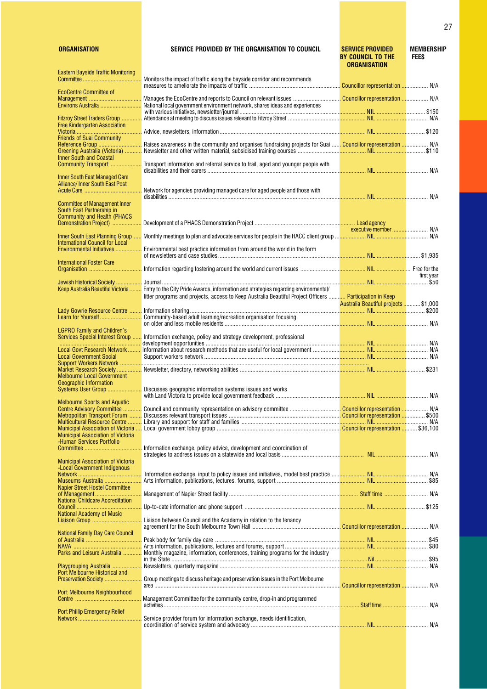### ORGANISATION SERVICE PROVIDED BY THE ORGANISATION TO COUNCIL SERVICE PROVIDED MEMBERSHIP

|                                                                                                         |                                                                                                                                                                                                                                    | BY COUNCIL TO THE<br>ORGANISATION    | <b>FEES</b> |
|---------------------------------------------------------------------------------------------------------|------------------------------------------------------------------------------------------------------------------------------------------------------------------------------------------------------------------------------------|--------------------------------------|-------------|
| Eastern Bayside Traffic Monitoring                                                                      | Monitors the impact of traffic along the bayside corridor and recommends                                                                                                                                                           |                                      |             |
| <b>EcoCentre Committee of</b><br>Management                                                             |                                                                                                                                                                                                                                    |                                      |             |
| Environs Australia                                                                                      | National local government environment network, shares ideas and experiences                                                                                                                                                        |                                      |             |
| Fitzroy Street Traders Group                                                                            |                                                                                                                                                                                                                                    |                                      |             |
| <b>Free Kindergarten Association</b>                                                                    |                                                                                                                                                                                                                                    |                                      |             |
| Friends of Suai Community                                                                               | Raises awareness in the community and organises fundraising projects for Suai  Councillor representation  N/A                                                                                                                      |                                      |             |
| <b>Inner South and Coastal</b>                                                                          |                                                                                                                                                                                                                                    |                                      |             |
| Community Transport                                                                                     | Transport information and referral service to frail, aged and younger people with                                                                                                                                                  |                                      |             |
| Inner South East Managed Care<br>Alliance/Inner South East Post                                         | Network for agencies providing managed care for aged people and those with                                                                                                                                                         |                                      |             |
| <b>Committee of Management Inner</b><br>South East Partnership in<br><b>Community and Health (PHACS</b> |                                                                                                                                                                                                                                    |                                      |             |
| Demonstration Project)                                                                                  |                                                                                                                                                                                                                                    |                                      |             |
| Inner South East Planning Group                                                                         |                                                                                                                                                                                                                                    |                                      |             |
| <b>International Council for Local</b><br>Environmental Initiatives                                     | Environmental best practice information from around the world in the form                                                                                                                                                          |                                      |             |
| <b>International Foster Care</b>                                                                        | <mark>Organisation ………………………………</mark> Information regarding fostering around the world and current issues ……………………… <mark>…………………………</mark> … Free for the                                                                        |                                      |             |
| Jewish Historical Society                                                                               |                                                                                                                                                                                                                                    |                                      | first vear  |
|                                                                                                         | Keep Australia Beautiful Victoria  Entry to the City Pride Awards, information and strategies regarding environmental/<br>litter programs and projects, access to Keep Australia Beautiful Project Officers  Participation in Keep | Australia Beautiful projects \$1,000 |             |
| Lady Gowrie Resource Centre<br>Learn for Yourself                                                       | Community-based adult learning/recreation organisation focusing                                                                                                                                                                    |                                      |             |
| <b>LGPRO Family and Children's</b>                                                                      | <mark>Services Special Interest Group </mark> Information exchange, policy and strategy development, professional                                                                                                                  |                                      |             |
|                                                                                                         |                                                                                                                                                                                                                                    |                                      |             |
| <b>Local Government Social</b>                                                                          | L <mark>ocal Govt Research Network ………</mark> Information about research methods that are useful for local government ……………… <mark>…………………… NIL ……………………</mark> …………… N/A                                                          |                                      |             |
|                                                                                                         |                                                                                                                                                                                                                                    |                                      |             |
| Melbourne Local Government<br><b>Geographic Information</b>                                             |                                                                                                                                                                                                                                    |                                      |             |
|                                                                                                         |                                                                                                                                                                                                                                    |                                      |             |
| <b>Melbourne Sports and Aquatic</b><br>Centre Advisory Committee                                        |                                                                                                                                                                                                                                    |                                      |             |
| Metropolitan Transport Forum                                                                            |                                                                                                                                                                                                                                    |                                      |             |
| Multicultural Resource Centre                                                                           |                                                                                                                                                                                                                                    |                                      |             |
| <b>Municipal Association of Victoria</b><br><b>-Human Services Portfolio</b>                            | Information exchange, policy advice, development and coordination of                                                                                                                                                               |                                      |             |
| <b>Municipal Association of Victoria</b>                                                                |                                                                                                                                                                                                                                    |                                      |             |
| -Local Government Indigenous                                                                            |                                                                                                                                                                                                                                    |                                      |             |
| Museums Australia<br>Napier Street Hostel Committee                                                     |                                                                                                                                                                                                                                    |                                      |             |
| of Management<br><b>National Childcare Accreditation</b>                                                |                                                                                                                                                                                                                                    |                                      |             |
| National Academy of Music                                                                               |                                                                                                                                                                                                                                    |                                      |             |
| <b>National Family Day Care Council</b>                                                                 |                                                                                                                                                                                                                                    |                                      |             |
|                                                                                                         |                                                                                                                                                                                                                                    |                                      |             |
| Parks and Leisure Australia                                                                             | Monthly magazine, information, conferences, training programs for the industry                                                                                                                                                     |                                      |             |
|                                                                                                         |                                                                                                                                                                                                                                    |                                      |             |
| Playgrouping Australia<br>Port Melbourne Historical and<br>Preservation Society                         | Group meetings to discuss heritage and preservation issues in the Port Melbourne                                                                                                                                                   |                                      |             |
| Port Melbourne Neighbourhood                                                                            |                                                                                                                                                                                                                                    |                                      |             |
|                                                                                                         | Management Committee for the community centre, drop-in and programmed                                                                                                                                                              |                                      |             |
| Port Phillip Emergency Relief                                                                           | Service provider forum for information exchange, needs identification,                                                                                                                                                             |                                      |             |
|                                                                                                         |                                                                                                                                                                                                                                    |                                      |             |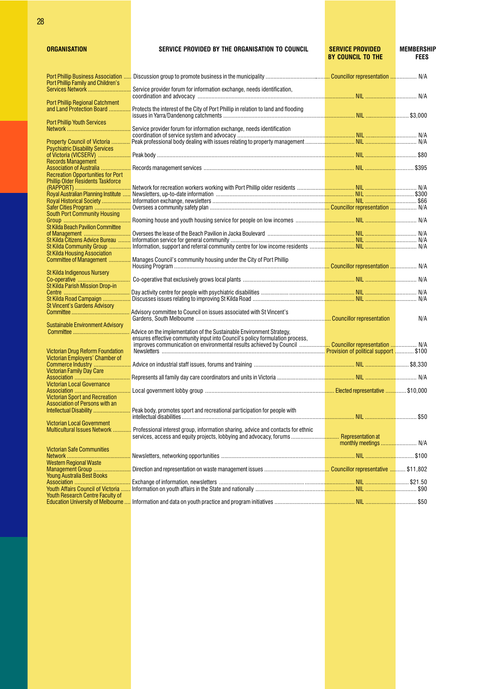| ORGANISATIOI |  |  |  |  |
|--------------|--|--|--|--|
|              |  |  |  |  |

| <b>ORGANISATION</b>                                                     | SERVICE PROVIDED BY THE ORGANISATION TO COUNCIL                                                                                                                                                                                                                           | <b>SERVICE PROVIDED</b><br><b>BY COUNCIL TO THE</b> | <b>MEMBERSHIP</b><br><b>FEES</b> |
|-------------------------------------------------------------------------|---------------------------------------------------------------------------------------------------------------------------------------------------------------------------------------------------------------------------------------------------------------------------|-----------------------------------------------------|----------------------------------|
| <b>Port Phillip Business Association </b>                               |                                                                                                                                                                                                                                                                           |                                                     |                                  |
| Port Phillip Family and Children's<br>Services Network                  | Service provider forum for information exchange, needs identification,                                                                                                                                                                                                    |                                                     |                                  |
| <b>Port Phillip Regional Catchment</b>                                  |                                                                                                                                                                                                                                                                           |                                                     |                                  |
| and Land Protection Board                                               | Protects the interest of the City of Port Phillip in relation to land and flooding                                                                                                                                                                                        |                                                     |                                  |
| <b>Port Phillip Youth Services</b>                                      | Service provider forum for information exchange, needs identification                                                                                                                                                                                                     |                                                     |                                  |
| Property Council of Victoria                                            |                                                                                                                                                                                                                                                                           |                                                     |                                  |
| <b>Psychiatric Disability Services</b><br><b>Records Management</b>     |                                                                                                                                                                                                                                                                           |                                                     |                                  |
| <b>Recreation Opportunities for Port</b>                                |                                                                                                                                                                                                                                                                           |                                                     |                                  |
| <b>Phillip Older Residents Taskforce</b>                                | Network for recreation workers working with Port Phillip older residents ……………… <mark>………………… NIL ……………………</mark> ………… N/A                                                                                                                                                |                                                     |                                  |
|                                                                         |                                                                                                                                                                                                                                                                           |                                                     |                                  |
|                                                                         |                                                                                                                                                                                                                                                                           |                                                     |                                  |
| <b>South Port Community Housing</b>                                     |                                                                                                                                                                                                                                                                           |                                                     |                                  |
| <b>St Kilda Beach Pavilion Committee</b>                                |                                                                                                                                                                                                                                                                           |                                                     |                                  |
| of Management<br>St Kilda Citizens Advice Bureau                        |                                                                                                                                                                                                                                                                           |                                                     |                                  |
| <b>St Kilda Housing Association</b>                                     |                                                                                                                                                                                                                                                                           |                                                     |                                  |
| Committee of Management                                                 | Manages Council's community housing under the City of Port Phillip                                                                                                                                                                                                        |                                                     |                                  |
| St Kilda Indigenous Nursery                                             |                                                                                                                                                                                                                                                                           |                                                     |                                  |
| <b>St Kilda Parish Mission Drop-in</b>                                  |                                                                                                                                                                                                                                                                           |                                                     |                                  |
| St Kilda Road Campaign                                                  |                                                                                                                                                                                                                                                                           |                                                     |                                  |
| St Vincent's Gardens Advisory                                           | Advisory committee to Council on issues associated with St Vincent's                                                                                                                                                                                                      |                                                     |                                  |
| <b>Sustainable Environment Advisory</b>                                 |                                                                                                                                                                                                                                                                           |                                                     | N/A                              |
| Victorian Drug Reform Foundation                                        | Advice on the implementation of the Sustainable Environment Strategy,<br>ensures effective community input into Council's policy formulation process,<br>improves communication on environmental results achieved by Council <mark> Councillor representation </mark> N/A |                                                     |                                  |
| Victorian Employers' Chamber of                                         |                                                                                                                                                                                                                                                                           |                                                     |                                  |
| <b>Victorian Family Day Care</b>                                        |                                                                                                                                                                                                                                                                           |                                                     |                                  |
| Victorian Local Governance                                              | n second to the contract of the contract of the contract of the contract of the contract of the contract of the contract of the contract of the contract of the contract of the contract of the contract of the contract of th                                            |                                                     |                                  |
| <b>Victorian Sport and Recreation</b><br>Association of Persons with an |                                                                                                                                                                                                                                                                           |                                                     |                                  |
| Intellectual Disability                                                 | Peak body, promotes sport and recreational participation for people with                                                                                                                                                                                                  |                                                     |                                  |
| <b>Victorian Local Government</b><br>Multicultural Issues Network       |                                                                                                                                                                                                                                                                           |                                                     |                                  |
|                                                                         | Professional interest group, information sharing, advice and contacts for ethnic                                                                                                                                                                                          |                                                     |                                  |
| <b>Victorian Safe Communities</b>                                       |                                                                                                                                                                                                                                                                           |                                                     |                                  |
| <b>Western Regional Waste</b><br>Management Group                       |                                                                                                                                                                                                                                                                           |                                                     |                                  |
| Young Australia Best Books                                              |                                                                                                                                                                                                                                                                           |                                                     |                                  |
|                                                                         |                                                                                                                                                                                                                                                                           |                                                     |                                  |
| Youth Research Centre Faculty of                                        |                                                                                                                                                                                                                                                                           |                                                     |                                  |
|                                                                         |                                                                                                                                                                                                                                                                           |                                                     |                                  |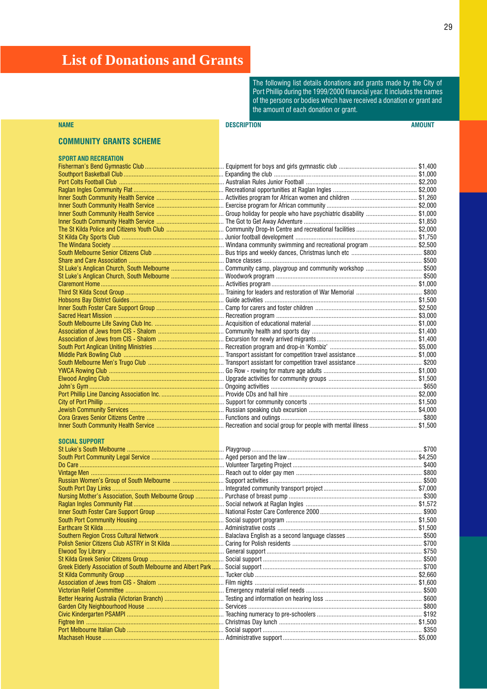## <span id="page-30-0"></span>**List of Donations and Grants**

The following list details donations and grants made by the City of Port Phillip during the 1999/2000 financial year. It includes the names of the persons or bodies which have received a donation or grant and the amount of each donation or grant.

### NAME DESCRIPTION AMOUNT

### COMMUNITY GRANTS SCHEME

| SPORT AND RECREATION                                                                                                                                         |
|--------------------------------------------------------------------------------------------------------------------------------------------------------------|
| Fisherman's Bend Gymnastic Club                                                                                                                              |
| Southport Basketball Club                                                                                                                                    |
|                                                                                                                                                              |
| Raglan Ingles Community Flat                                                                                                                                 |
| Inner South Community Health Service                                                                                                                         |
| Inner South Community Health Service                                                                                                                         |
| Inner South Community Health Service                                                                                                                         |
| Inner South Community Health Service                                                                                                                         |
| The St Kilda Police and Citizens Youth Club                                                                                                                  |
| St Kilda City Sports Club                                                                                                                                    |
|                                                                                                                                                              |
| South Melbourne Senior Citizens Club                                                                                                                         |
| Share and Care Association                                                                                                                                   |
| St Luke's Anglican Church, South Melbourne                                                                                                                   |
| St Luke's Anglican Church, South Melbourne                                                                                                                   |
|                                                                                                                                                              |
| Third St Kilda Scout Group                                                                                                                                   |
|                                                                                                                                                              |
| Inner South Foster Care Support Group                                                                                                                        |
|                                                                                                                                                              |
| South Melbourne Life Saving Club Inc.                                                                                                                        |
| Association of Jews from CIS - Shalom                                                                                                                        |
| Association of Jews from CIS - Shalom                                                                                                                        |
| South Port Anglican Uniting Ministries                                                                                                                       |
| Middle Park Bowling Club                                                                                                                                     |
| South Melbourne Men's Trugo Club                                                                                                                             |
|                                                                                                                                                              |
|                                                                                                                                                              |
|                                                                                                                                                              |
| Port Phillip Line Dancing Association Inc.                                                                                                                   |
|                                                                                                                                                              |
| Jewish Community Services                                                                                                                                    |
| Cora Graves Senior Citizens Centre                                                                                                                           |
| Inner South Community Health Service<br><b>STATE OF STATE OF STATE OF STATE OF STATE OF STATE OF STATE OF STATE OF STATE OF STATE OF STATE OF STATE OF S</b> |
|                                                                                                                                                              |

### SOCIAL SUPPORT

| Russian Women's Group of South Melbourne                           |
|--------------------------------------------------------------------|
|                                                                    |
| Nursing Mother's Association, South Melbourne Group                |
|                                                                    |
|                                                                    |
|                                                                    |
|                                                                    |
| Southern Region Cross Cultural Network                             |
| Polish Senior Citizens Club ASTRY in St Kilda                      |
|                                                                    |
|                                                                    |
| <b>Greek Elderly Association of South Melbourne and Albert Par</b> |
|                                                                    |
|                                                                    |
|                                                                    |
| Better Hearing Australia (Victorian Branch)                        |
|                                                                    |
|                                                                    |
|                                                                    |
|                                                                    |
| Machaeah House                                                     |

| SPORT AND RECREATION |                                                                                                                                         |  |
|----------------------|-----------------------------------------------------------------------------------------------------------------------------------------|--|
|                      |                                                                                                                                         |  |
|                      |                                                                                                                                         |  |
|                      |                                                                                                                                         |  |
|                      |                                                                                                                                         |  |
|                      |                                                                                                                                         |  |
|                      |                                                                                                                                         |  |
|                      |                                                                                                                                         |  |
|                      |                                                                                                                                         |  |
|                      |                                                                                                                                         |  |
|                      |                                                                                                                                         |  |
|                      |                                                                                                                                         |  |
|                      |                                                                                                                                         |  |
|                      |                                                                                                                                         |  |
|                      |                                                                                                                                         |  |
|                      | St Luke's Anglican Church, South Melbourne ……………………………… Woodwork program …………………………………………………………………… \$500                               |  |
|                      | <mark>Claremont Home ………………………………………………………………</mark> … Activities program ……………………………………………………………………………………… \$1,000                     |  |
|                      |                                                                                                                                         |  |
|                      | <mark>Hobsons Bay District Guides ……………………………………………</mark> … Guide activities …………………………………………………………………………………… \$1,500                  |  |
|                      |                                                                                                                                         |  |
|                      |                                                                                                                                         |  |
|                      |                                                                                                                                         |  |
|                      |                                                                                                                                         |  |
|                      |                                                                                                                                         |  |
|                      |                                                                                                                                         |  |
|                      |                                                                                                                                         |  |
|                      |                                                                                                                                         |  |
|                      |                                                                                                                                         |  |
|                      | <mark>Elwood Angling Club …………………………………………………………</mark> … Upgrade activities for community groups ………………………………………………………………………………\$1,500 |  |
|                      |                                                                                                                                         |  |
|                      |                                                                                                                                         |  |
|                      |                                                                                                                                         |  |
|                      |                                                                                                                                         |  |
|                      | Cora Graves Senior Citizens Centre ……………………………………………………Functions and outings ……………………………………………………………………………………\$800                      |  |
|                      |                                                                                                                                         |  |

|                                                     |                                                                                                                             | \$700   |
|-----------------------------------------------------|-----------------------------------------------------------------------------------------------------------------------------|---------|
|                                                     |                                                                                                                             |         |
|                                                     | <mark>Do Care …………………………………………………………………………</mark> … Volunteer Targeting Project ………………………………………………………………………… \$400          |         |
|                                                     |                                                                                                                             |         |
|                                                     |                                                                                                                             |         |
|                                                     |                                                                                                                             |         |
| Nursing Mother's Association, South Melbourne Group |                                                                                                                             |         |
|                                                     |                                                                                                                             |         |
|                                                     |                                                                                                                             |         |
|                                                     |                                                                                                                             |         |
|                                                     |                                                                                                                             |         |
|                                                     |                                                                                                                             |         |
| Polish Senior Citizens Club ASTRY in St Kilda       |                                                                                                                             | \$700   |
|                                                     |                                                                                                                             |         |
|                                                     |                                                                                                                             |         |
|                                                     |                                                                                                                             |         |
|                                                     |                                                                                                                             | \$2,660 |
|                                                     |                                                                                                                             |         |
|                                                     | <mark>Victorian Relief Committee …………………………………………………</mark> … Emergency material relief needs …………………………………………………………… \$500 |         |
|                                                     |                                                                                                                             |         |
|                                                     | <mark>Garden City Neighbourhood House ……………………………………</mark> … Services …………………………………………………………………………………… \$800               |         |
|                                                     | <mark>Civic Kindergarten PSAMPI ………………………………………………</mark> … Teaching numeracy to pre-schoolers …………………………………………………… \$192   |         |
|                                                     | <mark>Figtree Inn …………………………………………………………………………</mark> … Christmas Day Iunch ……………………………………………………………………………… \$1.500          |         |
|                                                     |                                                                                                                             |         |
|                                                     | <mark>Machaseh House ………………………………………………………………</mark> … Administrative support ………………………………………………………………………… \$5,000          |         |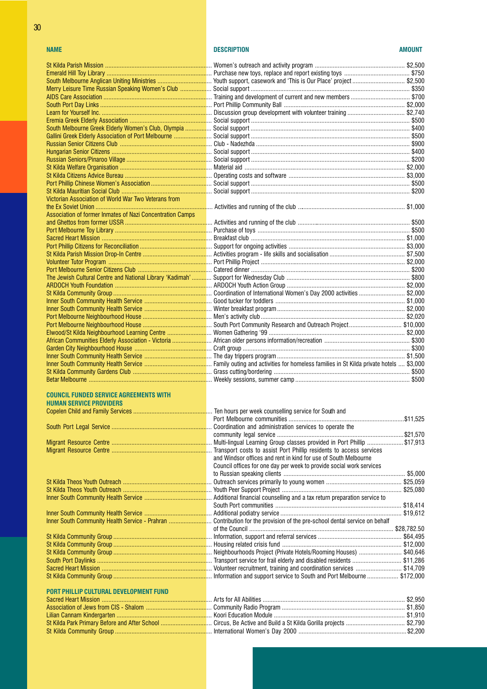### Emerald Hill Toy Library ................................................................ Purchase new toys, replace and report existing toys ........................................ \$750 South Melbourne Anglican Uniting Ministries ................................. Youth support, casework and This is Our Place project ................................ \$2,500 Merry Leisure Time Russian Speaking Women's Club ................................ AIDS Care Association .................................................................. Training and development of current and new members .................................... \$700 South Port Day Links .................................................................... Port Phillip Community Ball .......................................................................... \$2,000 Learn for Yourself Inc. ................................................................... Discussion group development with volunteer training ................................... \$2,740 Eremia Greek Elderly Association .................................................. Social support ................................................................................................. \$500 South Melbourne Greek Elderly Women's Club, Olympia ................. Gallini Greek Elderly Association of Port Melbourne ............................ Russian Senior Citizens Club ........................................................ Club - Nadezhda .............................................................................................. \$900 Hungarian Senior Citizens ............................................................. Social support ................................................................................................. \$400 Russian Seniors/Pinaroo Village .................................................... Social support ................................................................................................. \$200 St Kilda Welfare Organisation ........................................................ Material aid .................................................................................................. \$2,000 St Kilda Citizens Advice Bureau ..................................................... Operating costs and software ....................................................................... \$3,000 Port Phillip Chinese Womens Association ..................................... Social support ................................................................................................. \$500 St Kilda Mauritian Social Club ....................................................... Social support ................................................................................................. \$200 Victorian Association of World War Two Veterans from the Ex Soviet Union ....................................................................... Activities and running of the club .................................................................. \$1,000 Association of former Inmates of Nazi Concentration Camps and Ghettos from former USSR ..................................................... Activities and running of the club ..................................................................... \$500 Port Melbourne Toy Library ........................................................... Purchase of toys ............................................................................................. \$500 Sacred Heart Mission ................................................................... Breakfast club .............................................................................................. \$1,000 Port Phillip Citizens for Reconciliation ............................................ Support for ongoing activities ....................................................................... \$3,000 St Kilda Parish Mission Drop-In Centre .......................................... Activities program - life skills and socialisation .............................................. \$7,500 Volunteer Tutor Program ............................................................... Port Phillip Project ........................................................................................ \$2,000 Port Melbourne Senior Citizens Club ............................................. Catered dinner ................................................................................................. \$200 The Jewish Cultural Centre and National Library 'Kadimah' ............. ARDOCH Youth Foundation ........................................................... ARDOCH Youth Action Group ........................................................................ \$2,000 St Kilda Community Group ............................................................ Coordination of International Womens Day 2000 activities ............................ \$2,000 Inner South Community Health Service ......................................... Good tucker for toddlers ............................................................................... \$1,000 Inner South Community Health Service ......................................... Winter breakfast program .............................................................................. \$2,000 Port Melbourne Neighbourhood House .......................................... Mens activity club ........................................................................................ \$2,020 Port Melbourne Neighbourhood House .......................................... South Port Community Research and Outreach Project................................ \$10,000 Elwood/St Kilda Neighbourhood Learning Centre .................................. African Communities Elderly Association - Victoria ............................. Garden City Neighbourhood House ............................................... Craft group ...................................................................................................... \$300 Inner South Community Health Service ......................................... The day trippers program .............................................................................. \$1,500 Inner South Community Health Service ......................................... Family outing and activities for homeless families in St Kilda private hotels .... \$3,000 St Kilda Community Gardens Club ................................................ Grass cutting/bordering ................................................................................... \$500 Betar Melbourne ........................................................................... Weekly sessions, summer camp ...................................................................... \$500

### COUNCIL FUNDED SERVICE AGREEMENTS WITH HUMAN SERVICE PROVIDERS Copelen Child and Family Services ................................................ Ten hours per week counselling service for South and

South Port Legal Service ............................................................. Coordination and administration services to operate the

Migrant Resource Centre ............................................................. Multi-lingual Learning Group classes provided in Port Phillip ...................... \$17,913 Migrant Resource Centre ............................................................. Transport costs to assist Port Phillip residents to access services

St Kilda Theos Youth Outreach ...................................................... Outreach services primarily to young women .............................................. \$25,059 St Kilda Theos Youth Outreach ...................................................... Youth Peer Support Project ......................................................................... \$25,080 Inner South Community Health Service ......................................... Additional financial counselling and a tax return preparation service to

Inner South Community Health Service ......................................... Additional podiatry service .......................................................................... \$19,612 Inner South Community Health Service - Prahran ..................................

St Kilda Community Group ............................................................ Information, support and referral services ................................................... \$64,495 St Kilda Community Group ............................................................ Housing related crisis fund ......................................................................... \$12,000 St Kilda Community Group ............................................................ Neighbourhoods Project (Private Hotels/Rooming Houses) .......................... \$40,646 South Port Daylinks ...................................................................... Transport service for frail elderly and disabled residents .............................. \$11,286 Sacred Heart Mission ................................................................... Volunteer recruitment, training and coordination services ............................ \$14,709 St Kilda Community Group ............................................................ Information and support service to South and Port Melbourne ................... \$172,000

### PORT PHILLIP CULTURAL DEVELOPMENT FUND

Sacred Heart Mission ................................................................... Arts for All Abilities ....................................................................................... \$2,950 Association of Jews from CIS - Shalom ........................................ Community Radio Program ........................................................................... \$1,850 Lilian Cannam Kindergarten .......................................................... Koori Education Module ................................................................................ \$1,910 St Kilda Park Primary Before and After School ............................... Circus, Be Active and Build a St Kilda Gorilla projects .................................... \$2,790 St Kilda Community Group ........................................................... International Womens Day 2000 .................................................................. \$2,200

### NAME DESCRIPTION AMOUNT

|                                                                                                                     | Eremia Greek Elderly Association ……………………………………………………Social support ………………………………………………………………………………………… \$500           |       |
|---------------------------------------------------------------------------------------------------------------------|------------------------------------------------------------------------------------------------------------------------|-------|
|                                                                                                                     |                                                                                                                        |       |
|                                                                                                                     |                                                                                                                        |       |
|                                                                                                                     | <mark>Russian Senior Citizens Club ………………………………………………</mark> … Club - Nadezhda ………………………………………………………………………… \$900      |       |
|                                                                                                                     |                                                                                                                        |       |
|                                                                                                                     | Russian Seniors/Pinaroo Village …………………………………………………… Social support ……………………………………………………………………………… \$200               |       |
|                                                                                                                     |                                                                                                                        |       |
|                                                                                                                     |                                                                                                                        |       |
|                                                                                                                     |                                                                                                                        |       |
|                                                                                                                     | St Kilda Mauritian Social Club ………………………………………………………… Social support …………………………………………………………………………… \$200               |       |
| Victorian Association of World War Two Veterans from                                                                |                                                                                                                        |       |
|                                                                                                                     |                                                                                                                        |       |
| Association of former Inmates of Nazi Concentration Camps                                                           |                                                                                                                        |       |
|                                                                                                                     |                                                                                                                        |       |
|                                                                                                                     |                                                                                                                        |       |
|                                                                                                                     |                                                                                                                        |       |
|                                                                                                                     |                                                                                                                        |       |
|                                                                                                                     |                                                                                                                        |       |
|                                                                                                                     | <mark>Volunteer Tutor Program ………………………………………………………</mark> … Port Phillip Project ………………………………………………………………………… \$2,000 |       |
|                                                                                                                     |                                                                                                                        |       |
|                                                                                                                     |                                                                                                                        |       |
|                                                                                                                     |                                                                                                                        |       |
|                                                                                                                     |                                                                                                                        |       |
|                                                                                                                     | Inner South Community Health Service ………………………………………………Good tucker for toddlers ………………………………………………………………………………\$1,000  |       |
|                                                                                                                     | Inner South Community Health Service ……………………………………… Winter breakfast program …………………………………………………………………………… \$2,000    |       |
|                                                                                                                     |                                                                                                                        |       |
|                                                                                                                     |                                                                                                                        |       |
|                                                                                                                     |                                                                                                                        |       |
|                                                                                                                     |                                                                                                                        |       |
|                                                                                                                     |                                                                                                                        |       |
|                                                                                                                     |                                                                                                                        |       |
|                                                                                                                     |                                                                                                                        |       |
|                                                                                                                     |                                                                                                                        |       |
| <b>Retar Melhourne</b><br>the control of the control of the control of the control of the control of the control of | Weekly sessions summer camp                                                                                            | \$500 |

| . Ten nours ber week counseiling service for South and                      |  |
|-----------------------------------------------------------------------------|--|
|                                                                             |  |
| . Coordination and administration services to operate the                   |  |
|                                                                             |  |
| . Multi-lingual Learning Group classes provided in Port Phillip \$17,913    |  |
| . Transport costs to assist Port Phillip residents to access services       |  |
| and Windsor offices and rent in kind for use of South Melbourne             |  |
| Council offices for one day per week to provide social work services        |  |
|                                                                             |  |
|                                                                             |  |
|                                                                             |  |
| . Additional financial counselling and a tax return preparation service to  |  |
|                                                                             |  |
|                                                                             |  |
| . Contribution for the provision of the pre-school dental service on behalf |  |
|                                                                             |  |
|                                                                             |  |
|                                                                             |  |
| Neighbourhoods Project (Private Hotels/Rooming Houses)  \$40,646            |  |
| . Transport service for frail elderly and disabled residents \$11,286       |  |
| . Volunteer recruitment, training and coordination services \$14,709        |  |
| . Information and support service to South and Port Melbourne  \$172,000    |  |
|                                                                             |  |
|                                                                             |  |

| . Arts for All Abilities ……………………………………………………………………………… \$2,950 |  |
|-----------------------------------------------------------------|--|
|                                                                 |  |
| . Koori Education Module ……………………………………………………………………… \$1.910    |  |
|                                                                 |  |
|                                                                 |  |
|                                                                 |  |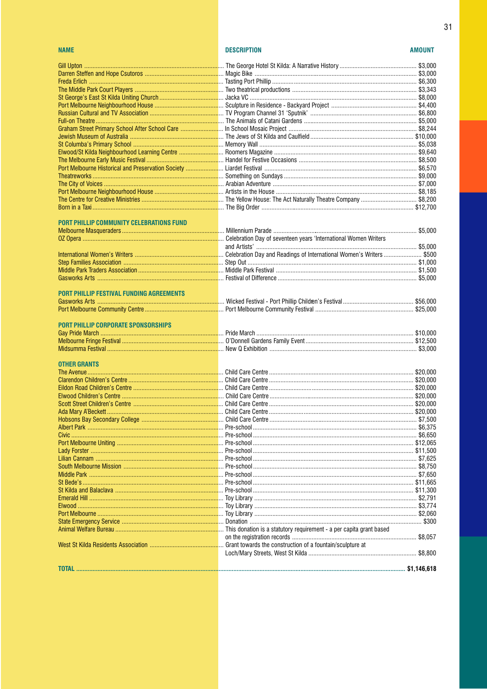### **NAME**

 $31$ 

| PORT PHILLIP COMMUNITY CELEBRATIONS FUND   |  |
|--------------------------------------------|--|
|                                            |  |
|                                            |  |
|                                            |  |
|                                            |  |
|                                            |  |
|                                            |  |
|                                            |  |
|                                            |  |
| PORT PHILLIP FESTIVAL FUNDING AGREEMENTS   |  |
|                                            |  |
|                                            |  |
| <b>PORT PHILLIP CORPORATE SPONSORSHIPS</b> |  |
|                                            |  |
|                                            |  |
|                                            |  |
|                                            |  |
| <b>OTHER GRANTS</b>                        |  |
|                                            |  |
|                                            |  |
|                                            |  |
|                                            |  |
|                                            |  |
|                                            |  |
|                                            |  |
|                                            |  |
|                                            |  |
|                                            |  |
|                                            |  |
|                                            |  |
|                                            |  |
|                                            |  |
|                                            |  |
|                                            |  |
|                                            |  |
|                                            |  |
|                                            |  |
|                                            |  |
|                                            |  |
|                                            |  |
|                                            |  |
|                                            |  |
|                                            |  |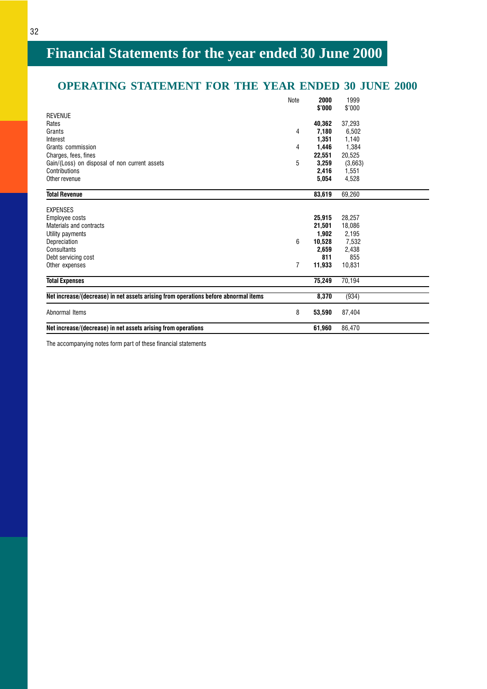## <span id="page-33-0"></span>**OPERATING STATEMENT FOR THE YEAR ENDED 30 JUNE 2000**

| Net increase/(decrease) in net assets arising from operations                       |      | 61,960         | 86,470         |  |
|-------------------------------------------------------------------------------------|------|----------------|----------------|--|
| Abnormal Items                                                                      | 8    | 53,590         | 87,404         |  |
| Net increase/(decrease) in net assets arising from operations before abnormal items |      | 8,370          | (934)          |  |
| <b>Total Expenses</b>                                                               |      | 75,249         | 70,194         |  |
| Other expenses                                                                      | 7    | 11,933         | 10,831         |  |
| Debt servicing cost                                                                 |      | 811            | 855            |  |
| Consultants                                                                         |      | 2,659          | 2,438          |  |
| Depreciation                                                                        | 6    | 10,528         | 7,532          |  |
| Utility payments                                                                    |      | 1,902          | 2,195          |  |
| Materials and contracts                                                             |      | 21,501         | 18,086         |  |
| Employee costs                                                                      |      | 25,915         | 28,257         |  |
| <b>EXPENSES</b>                                                                     |      |                |                |  |
| <b>Total Revenue</b>                                                                |      | 83,619         | 69,260         |  |
| Other revenue                                                                       |      | 5,054          | 4,528          |  |
| Contributions                                                                       |      | 2,416          | 1,551          |  |
| Gain/(Loss) on disposal of non current assets                                       | 5    | 3,259          | (3,663)        |  |
| Charges, fees, fines                                                                |      | 22,551         | 20,525         |  |
| Grants commission                                                                   | 4    | 1,446          | 1,384          |  |
| Interest                                                                            |      | 1,351          | 1,140          |  |
| Grants                                                                              | 4    | 7,180          | 6.502          |  |
| Rates                                                                               |      | 40.362         | 37,293         |  |
| <b>REVENUE</b>                                                                      |      |                |                |  |
|                                                                                     | Note | 2000<br>\$'000 | 1999<br>\$'000 |  |
|                                                                                     |      |                |                |  |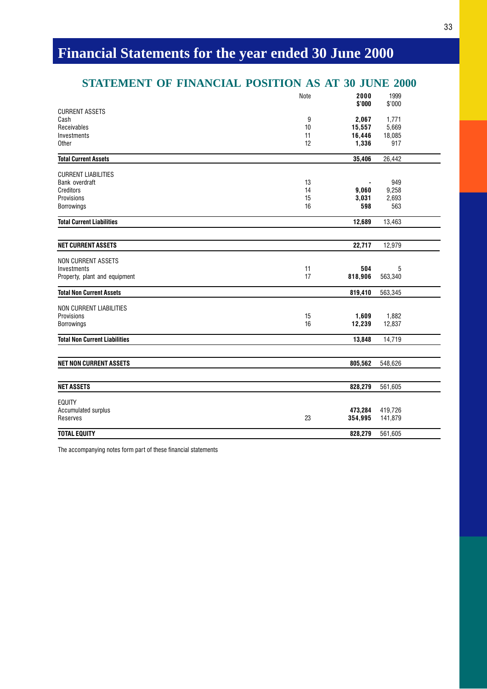## **STATEMENT OF FINANCIAL POSITION AS AT 30 JUNE 2000**

|                                      | Note | 2000<br>\$'000     | 1999               |  |
|--------------------------------------|------|--------------------|--------------------|--|
| <b>CURRENT ASSETS</b>                |      |                    | \$'000             |  |
| Cash                                 | 9    | 2,067              | 1,771              |  |
| Receivables                          | 10   | 15,557             | 5,669              |  |
| Investments                          | 11   | 16,446             | 18,085             |  |
| Other                                | 12   | 1,336              | 917                |  |
| <b>Total Current Assets</b>          |      | 35,406             | 26,442             |  |
| <b>CURRENT LIABILITIES</b>           |      |                    |                    |  |
| Bank overdraft                       | 13   |                    | 949                |  |
| Creditors                            | 14   | 9,060              | 9,258              |  |
| Provisions                           | 15   | 3,031              | 2,693              |  |
| <b>Borrowings</b>                    | 16   | 598                | 563                |  |
| <b>Total Current Liabilities</b>     |      | 12,689             | 13,463             |  |
| <b>NET CURRENT ASSETS</b>            |      | 22,717             | 12,979             |  |
| <b>NON CURRENT ASSETS</b>            |      |                    |                    |  |
| Investments                          | 11   | 504                | 5                  |  |
| Property, plant and equipment        | 17   | 818,906            | 563,340            |  |
| <b>Total Non Current Assets</b>      |      | 819,410            | 563,345            |  |
| <b>NON CURRENT LIABILITIES</b>       |      |                    |                    |  |
| Provisions                           | 15   | 1,609              | 1,882              |  |
| <b>Borrowings</b>                    | 16   | 12,239             | 12,837             |  |
| <b>Total Non Current Liabilities</b> |      | 13,848             | 14,719             |  |
|                                      |      |                    |                    |  |
| <b>NET NON CURRENT ASSETS</b>        |      | 805,562            | 548,626            |  |
| <b>NET ASSETS</b>                    |      | 828,279            | 561,605            |  |
|                                      |      |                    |                    |  |
| <b>EQUITY</b>                        |      |                    |                    |  |
| Accumulated surplus<br>Reserves      | 23   | 473,284<br>354,995 | 419,726<br>141,879 |  |
| <b>TOTAL EQUITY</b>                  |      | 828,279            | 561,605            |  |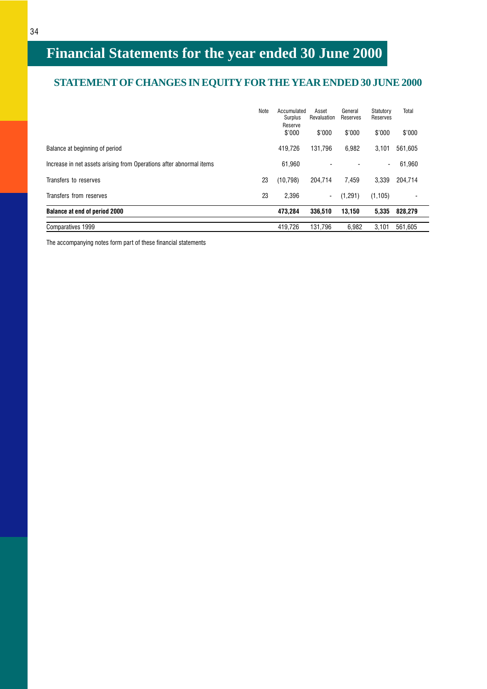## **STATEMENT OF CHANGES IN EQUITY FOR THE YEAR ENDED 30 JUNE 2000**

|                                                                     | Note | Accumulated<br>Surplus<br>Reserve | Asset<br>Revaluation | General<br>Reserves | Statutory<br>Reserves | Total   |
|---------------------------------------------------------------------|------|-----------------------------------|----------------------|---------------------|-----------------------|---------|
|                                                                     |      | \$'000                            | \$'000               | \$'000              | \$'000                | \$'000  |
| Balance at beginning of period                                      |      | 419.726                           | 131.796              | 6,982               | 3,101                 | 561.605 |
| Increase in net assets arising from Operations after abnormal items |      | 61.960                            | ۰                    |                     | $\sim$                | 61,960  |
| Transfers to reserves                                               | 23   | (10, 798)                         | 204.714              | 7.459               | 3,339                 | 204.714 |
| Transfers from reserves                                             | 23   | 2.396                             | $\blacksquare$       | (1,291)             | (1, 105)              |         |
| <b>Balance at end of period 2000</b>                                |      | 473.284                           | 336.510              | 13,150              | 5,335                 | 828,279 |
| Comparatives 1999                                                   |      | 419.726                           | 131.796              | 6.982               | 3.101                 | 561.605 |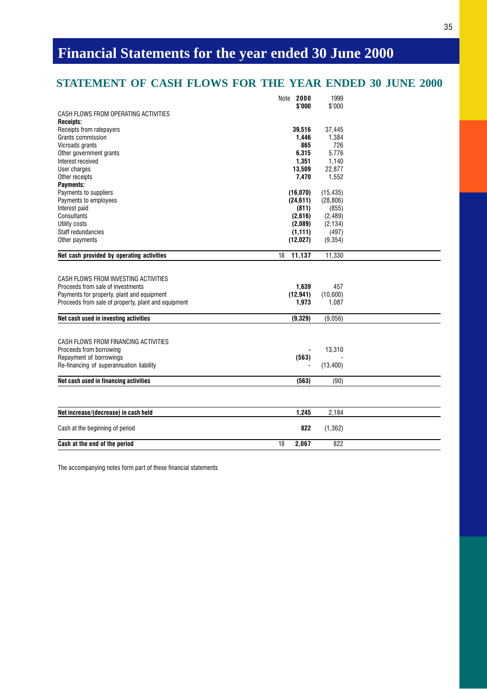## **STATEMENT OF CASH FLOWS FOR THE YEAR ENDED 30 JUNE 2000**

| \$'000<br>\$'000<br>CASH FLOWS FROM OPERATING ACTIVITIES<br><b>Receipts:</b><br>Receipts from ratepayers<br>39,516<br>37,445<br>Grants commission<br>1.446<br>1,384<br>865<br>Vicroads grants<br>726<br>6.315<br>5.776<br>Other government grants<br>1,351<br>Interest received<br>1,140<br>13,509<br>22,877<br>User charges<br>Other receipts<br>7,470<br>1,552<br>Payments:<br>Payments to suppliers<br>(16,070)<br>(15, 435)<br>Payments to employees<br>(24, 611)<br>(28, 806)<br>Interest paid<br>(811)<br>(855)<br>Consultants<br>(2,616)<br>(2, 489)<br>(2, 134)<br>Utility costs<br>(2,089)<br>Staff redundancies<br>(1, 111)<br>(497)<br>(12,027)<br>(9, 354)<br>Other payments<br>Net cash provided by operating activities<br>11,137<br>11,330<br>18<br>CASH FLOWS FROM INVESTING ACTIVITIES<br>Proceeds from sale of investments<br>1,639<br>457<br>(12, 941)<br>(10,600)<br>Payments for property, plant and equipment<br>Proceeds from sale of property, plant and equipment<br>1,973<br>1,087<br>Net cash used in investing activities<br>(9, 329)<br>(9,056)<br>CASH FLOWS FROM FINANCING ACTIVITIES<br>Proceeds from borrowing<br>13,310<br>Repayment of borrowings<br>(563)<br>Re-financing of superannuation liability<br>(13, 400)<br>Net cash used in financing activities<br>(563)<br>(90)<br>1.245<br>Net increase/(decrease) in cash held<br>2.184<br>822<br>(1, 362)<br>Cash at the beginning of period<br>18<br>2,067<br>822<br>Cash at the end of the period | 2000<br>Note | 1999 |  |
|-----------------------------------------------------------------------------------------------------------------------------------------------------------------------------------------------------------------------------------------------------------------------------------------------------------------------------------------------------------------------------------------------------------------------------------------------------------------------------------------------------------------------------------------------------------------------------------------------------------------------------------------------------------------------------------------------------------------------------------------------------------------------------------------------------------------------------------------------------------------------------------------------------------------------------------------------------------------------------------------------------------------------------------------------------------------------------------------------------------------------------------------------------------------------------------------------------------------------------------------------------------------------------------------------------------------------------------------------------------------------------------------------------------------------------------------------------------------------------------------|--------------|------|--|
|                                                                                                                                                                                                                                                                                                                                                                                                                                                                                                                                                                                                                                                                                                                                                                                                                                                                                                                                                                                                                                                                                                                                                                                                                                                                                                                                                                                                                                                                                         |              |      |  |
|                                                                                                                                                                                                                                                                                                                                                                                                                                                                                                                                                                                                                                                                                                                                                                                                                                                                                                                                                                                                                                                                                                                                                                                                                                                                                                                                                                                                                                                                                         |              |      |  |
|                                                                                                                                                                                                                                                                                                                                                                                                                                                                                                                                                                                                                                                                                                                                                                                                                                                                                                                                                                                                                                                                                                                                                                                                                                                                                                                                                                                                                                                                                         |              |      |  |
|                                                                                                                                                                                                                                                                                                                                                                                                                                                                                                                                                                                                                                                                                                                                                                                                                                                                                                                                                                                                                                                                                                                                                                                                                                                                                                                                                                                                                                                                                         |              |      |  |
|                                                                                                                                                                                                                                                                                                                                                                                                                                                                                                                                                                                                                                                                                                                                                                                                                                                                                                                                                                                                                                                                                                                                                                                                                                                                                                                                                                                                                                                                                         |              |      |  |
|                                                                                                                                                                                                                                                                                                                                                                                                                                                                                                                                                                                                                                                                                                                                                                                                                                                                                                                                                                                                                                                                                                                                                                                                                                                                                                                                                                                                                                                                                         |              |      |  |
|                                                                                                                                                                                                                                                                                                                                                                                                                                                                                                                                                                                                                                                                                                                                                                                                                                                                                                                                                                                                                                                                                                                                                                                                                                                                                                                                                                                                                                                                                         |              |      |  |
|                                                                                                                                                                                                                                                                                                                                                                                                                                                                                                                                                                                                                                                                                                                                                                                                                                                                                                                                                                                                                                                                                                                                                                                                                                                                                                                                                                                                                                                                                         |              |      |  |
|                                                                                                                                                                                                                                                                                                                                                                                                                                                                                                                                                                                                                                                                                                                                                                                                                                                                                                                                                                                                                                                                                                                                                                                                                                                                                                                                                                                                                                                                                         |              |      |  |
|                                                                                                                                                                                                                                                                                                                                                                                                                                                                                                                                                                                                                                                                                                                                                                                                                                                                                                                                                                                                                                                                                                                                                                                                                                                                                                                                                                                                                                                                                         |              |      |  |
|                                                                                                                                                                                                                                                                                                                                                                                                                                                                                                                                                                                                                                                                                                                                                                                                                                                                                                                                                                                                                                                                                                                                                                                                                                                                                                                                                                                                                                                                                         |              |      |  |
|                                                                                                                                                                                                                                                                                                                                                                                                                                                                                                                                                                                                                                                                                                                                                                                                                                                                                                                                                                                                                                                                                                                                                                                                                                                                                                                                                                                                                                                                                         |              |      |  |
|                                                                                                                                                                                                                                                                                                                                                                                                                                                                                                                                                                                                                                                                                                                                                                                                                                                                                                                                                                                                                                                                                                                                                                                                                                                                                                                                                                                                                                                                                         |              |      |  |
|                                                                                                                                                                                                                                                                                                                                                                                                                                                                                                                                                                                                                                                                                                                                                                                                                                                                                                                                                                                                                                                                                                                                                                                                                                                                                                                                                                                                                                                                                         |              |      |  |
|                                                                                                                                                                                                                                                                                                                                                                                                                                                                                                                                                                                                                                                                                                                                                                                                                                                                                                                                                                                                                                                                                                                                                                                                                                                                                                                                                                                                                                                                                         |              |      |  |
|                                                                                                                                                                                                                                                                                                                                                                                                                                                                                                                                                                                                                                                                                                                                                                                                                                                                                                                                                                                                                                                                                                                                                                                                                                                                                                                                                                                                                                                                                         |              |      |  |
|                                                                                                                                                                                                                                                                                                                                                                                                                                                                                                                                                                                                                                                                                                                                                                                                                                                                                                                                                                                                                                                                                                                                                                                                                                                                                                                                                                                                                                                                                         |              |      |  |
|                                                                                                                                                                                                                                                                                                                                                                                                                                                                                                                                                                                                                                                                                                                                                                                                                                                                                                                                                                                                                                                                                                                                                                                                                                                                                                                                                                                                                                                                                         |              |      |  |
|                                                                                                                                                                                                                                                                                                                                                                                                                                                                                                                                                                                                                                                                                                                                                                                                                                                                                                                                                                                                                                                                                                                                                                                                                                                                                                                                                                                                                                                                                         |              |      |  |
|                                                                                                                                                                                                                                                                                                                                                                                                                                                                                                                                                                                                                                                                                                                                                                                                                                                                                                                                                                                                                                                                                                                                                                                                                                                                                                                                                                                                                                                                                         |              |      |  |
|                                                                                                                                                                                                                                                                                                                                                                                                                                                                                                                                                                                                                                                                                                                                                                                                                                                                                                                                                                                                                                                                                                                                                                                                                                                                                                                                                                                                                                                                                         |              |      |  |
|                                                                                                                                                                                                                                                                                                                                                                                                                                                                                                                                                                                                                                                                                                                                                                                                                                                                                                                                                                                                                                                                                                                                                                                                                                                                                                                                                                                                                                                                                         |              |      |  |
|                                                                                                                                                                                                                                                                                                                                                                                                                                                                                                                                                                                                                                                                                                                                                                                                                                                                                                                                                                                                                                                                                                                                                                                                                                                                                                                                                                                                                                                                                         |              |      |  |
|                                                                                                                                                                                                                                                                                                                                                                                                                                                                                                                                                                                                                                                                                                                                                                                                                                                                                                                                                                                                                                                                                                                                                                                                                                                                                                                                                                                                                                                                                         |              |      |  |
|                                                                                                                                                                                                                                                                                                                                                                                                                                                                                                                                                                                                                                                                                                                                                                                                                                                                                                                                                                                                                                                                                                                                                                                                                                                                                                                                                                                                                                                                                         |              |      |  |
|                                                                                                                                                                                                                                                                                                                                                                                                                                                                                                                                                                                                                                                                                                                                                                                                                                                                                                                                                                                                                                                                                                                                                                                                                                                                                                                                                                                                                                                                                         |              |      |  |
|                                                                                                                                                                                                                                                                                                                                                                                                                                                                                                                                                                                                                                                                                                                                                                                                                                                                                                                                                                                                                                                                                                                                                                                                                                                                                                                                                                                                                                                                                         |              |      |  |
|                                                                                                                                                                                                                                                                                                                                                                                                                                                                                                                                                                                                                                                                                                                                                                                                                                                                                                                                                                                                                                                                                                                                                                                                                                                                                                                                                                                                                                                                                         |              |      |  |
|                                                                                                                                                                                                                                                                                                                                                                                                                                                                                                                                                                                                                                                                                                                                                                                                                                                                                                                                                                                                                                                                                                                                                                                                                                                                                                                                                                                                                                                                                         |              |      |  |
|                                                                                                                                                                                                                                                                                                                                                                                                                                                                                                                                                                                                                                                                                                                                                                                                                                                                                                                                                                                                                                                                                                                                                                                                                                                                                                                                                                                                                                                                                         |              |      |  |
|                                                                                                                                                                                                                                                                                                                                                                                                                                                                                                                                                                                                                                                                                                                                                                                                                                                                                                                                                                                                                                                                                                                                                                                                                                                                                                                                                                                                                                                                                         |              |      |  |
|                                                                                                                                                                                                                                                                                                                                                                                                                                                                                                                                                                                                                                                                                                                                                                                                                                                                                                                                                                                                                                                                                                                                                                                                                                                                                                                                                                                                                                                                                         |              |      |  |
|                                                                                                                                                                                                                                                                                                                                                                                                                                                                                                                                                                                                                                                                                                                                                                                                                                                                                                                                                                                                                                                                                                                                                                                                                                                                                                                                                                                                                                                                                         |              |      |  |
|                                                                                                                                                                                                                                                                                                                                                                                                                                                                                                                                                                                                                                                                                                                                                                                                                                                                                                                                                                                                                                                                                                                                                                                                                                                                                                                                                                                                                                                                                         |              |      |  |
|                                                                                                                                                                                                                                                                                                                                                                                                                                                                                                                                                                                                                                                                                                                                                                                                                                                                                                                                                                                                                                                                                                                                                                                                                                                                                                                                                                                                                                                                                         |              |      |  |
|                                                                                                                                                                                                                                                                                                                                                                                                                                                                                                                                                                                                                                                                                                                                                                                                                                                                                                                                                                                                                                                                                                                                                                                                                                                                                                                                                                                                                                                                                         |              |      |  |
|                                                                                                                                                                                                                                                                                                                                                                                                                                                                                                                                                                                                                                                                                                                                                                                                                                                                                                                                                                                                                                                                                                                                                                                                                                                                                                                                                                                                                                                                                         |              |      |  |
|                                                                                                                                                                                                                                                                                                                                                                                                                                                                                                                                                                                                                                                                                                                                                                                                                                                                                                                                                                                                                                                                                                                                                                                                                                                                                                                                                                                                                                                                                         |              |      |  |
|                                                                                                                                                                                                                                                                                                                                                                                                                                                                                                                                                                                                                                                                                                                                                                                                                                                                                                                                                                                                                                                                                                                                                                                                                                                                                                                                                                                                                                                                                         |              |      |  |
|                                                                                                                                                                                                                                                                                                                                                                                                                                                                                                                                                                                                                                                                                                                                                                                                                                                                                                                                                                                                                                                                                                                                                                                                                                                                                                                                                                                                                                                                                         |              |      |  |
|                                                                                                                                                                                                                                                                                                                                                                                                                                                                                                                                                                                                                                                                                                                                                                                                                                                                                                                                                                                                                                                                                                                                                                                                                                                                                                                                                                                                                                                                                         |              |      |  |
|                                                                                                                                                                                                                                                                                                                                                                                                                                                                                                                                                                                                                                                                                                                                                                                                                                                                                                                                                                                                                                                                                                                                                                                                                                                                                                                                                                                                                                                                                         |              |      |  |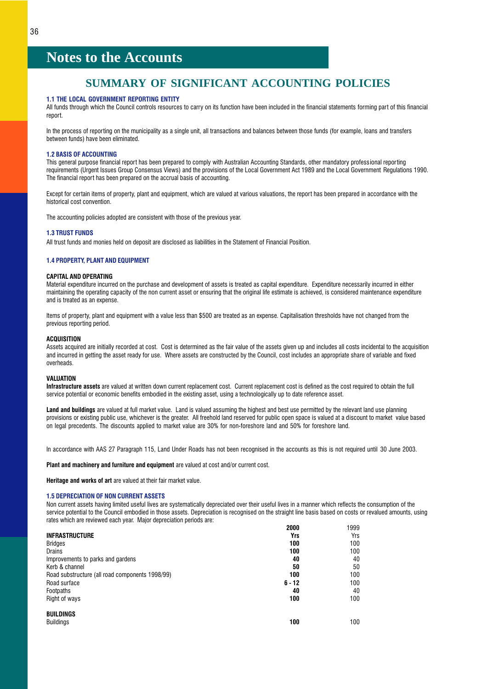### **SUMMARY OF SIGNIFICANT ACCOUNTING POLICIES**

### <span id="page-37-0"></span>1.1 THE LOCAL GOVERNMENT REPORTING ENTITY

All funds through which the Council controls resources to carry on its function have been included in the financial statements forming part of this financial report.

In the process of reporting on the municipality as a single unit, all transactions and balances between those funds (for example, loans and transfers between funds) have been eliminated.

### 1.2 BASIS OF ACCOUNTING

This general purpose financial report has been prepared to comply with Australian Accounting Standards, other mandatory professional reporting requirements (Urgent Issues Group Consensus Views) and the provisions of the Local Government Act 1989 and the Local Government Regulations 1990. The financial report has been prepared on the accrual basis of accounting.

Except for certain items of property, plant and equipment, which are valued at various valuations, the report has been prepared in accordance with the historical cost convention.

The accounting policies adopted are consistent with those of the previous year.

### 1.3 TRUST FUNDS

All trust funds and monies held on deposit are disclosed as liabilities in the Statement of Financial Position.

### 1.4 PROPERTY, PLANT AND EQUIPMENT

### CAPITAL AND OPERATING

Material expenditure incurred on the purchase and development of assets is treated as capital expenditure. Expenditure necessarily incurred in either maintaining the operating capacity of the non current asset or ensuring that the original life estimate is achieved, is considered maintenance expenditure and is treated as an expense.

Items of property, plant and equipment with a value less than \$500 are treated as an expense. Capitalisation thresholds have not changed from the previous reporting period.

### **ACQUISITION**

Assets acquired are initially recorded at cost. Cost is determined as the fair value of the assets given up and includes all costs incidental to the acquisition and incurred in getting the asset ready for use. Where assets are constructed by the Council, cost includes an appropriate share of variable and fixed overheads.

### VALUATION

Infrastructure assets are valued at written down current replacement cost. Current replacement cost is defined as the cost required to obtain the full service potential or economic benefits embodied in the existing asset, using a technologically up to date reference asset.

Land and buildings are valued at full market value. Land is valued assuming the highest and best use permitted by the relevant land use planning provisions or existing public use, whichever is the greater. All freehold land reserved for public open space is valued at a discount to market value based on legal precedents. The discounts applied to market value are 30% for non-foreshore land and 50% for foreshore land.

In accordance with AAS 27 Paragraph 115, Land Under Roads has not been recognised in the accounts as this is not required until 30 June 2003.

Plant and machinery and furniture and equipment are valued at cost and/or current cost.

Heritage and works of art are valued at their fair market value.

### 1.5 DEPRECIATION OF NON CURRENT ASSETS

Non current assets having limited useful lives are systematically depreciated over their useful lives in a manner which reflects the consumption of the service potential to the Council embodied in those assets. Depreciation is recognised on the straight line basis based on costs or revalued amounts, using rates which are reviewed each year. Major depreciation periods are:

|                                                 | 2000     | 1999 |
|-------------------------------------------------|----------|------|
| <b>INFRASTRUCTURE</b>                           | Yrs      | Yrs  |
| <b>Bridges</b>                                  | 100      | 100  |
| Drains                                          | 100      | 100  |
| Improvements to parks and gardens               | 40       | 40   |
| Kerb & channel                                  | 50       | 50   |
| Road substructure (all road components 1998/99) | 100      | 100  |
| Road surface                                    | $6 - 12$ | 100  |
| Footpaths                                       | 40       | 40   |
| Right of ways                                   | 100      | 100  |
| <b>BUILDINGS</b>                                |          |      |
| <b>Buildings</b>                                | 100      | 100  |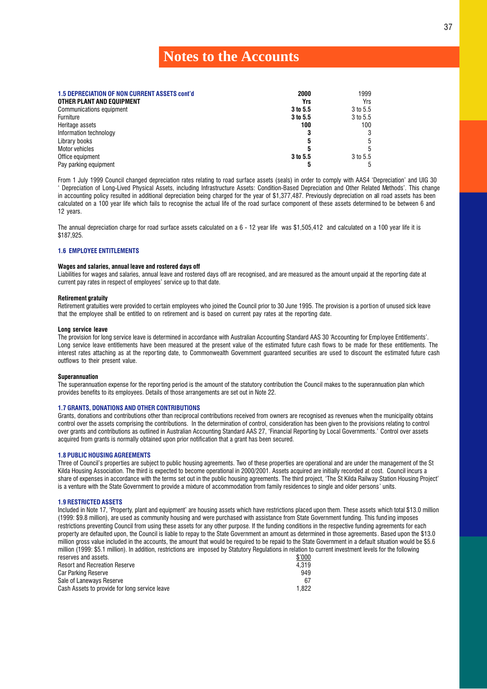| <b>1.5 DEPRECIATION OF NON CURRENT ASSETS cont'd</b><br>OTHER PLANT AND EQUIPMENT | 2000<br>Yrs | 1999<br>Yrs |
|-----------------------------------------------------------------------------------|-------------|-------------|
| Communications equipment                                                          | 3 to 5.5    | 3 to 5.5    |
| Furniture                                                                         | 3 to 5.5    | 3 to 5.5    |
| Heritage assets                                                                   | 100         | 100         |
| Information technology                                                            |             |             |
| Library books                                                                     | 5           |             |
| Motor vehicles                                                                    |             |             |
| Office equipment                                                                  | 3 to 5.5    | 3 to 5.5    |
| Pay parking equipment                                                             |             |             |

From 1 July 1999 Council changed depreciation rates relating to road surface assets (seals) in order to comply with AAS4 'Depreciation' and UIG 30 Depreciation of Long-Lived Physical Assets, including Infrastructure Assets: Condition-Based Depreciation and Other Related Methods. This change in accounting policy resulted in additional depreciation being charged for the year of \$1,377,487. Previously depreciation on all road assets has been calculated on a 100 year life which fails to recognise the actual life of the road surface component of these assets determined to be between 6 and 12 years.

The annual depreciation charge for road surface assets calculated on a 6 - 12 year life was \$1,505,412 and calculated on a 100 year life it is \$187,925.

### 1.6 EMPLOYEE ENTITLEMENTS

### Wages and salaries, annual leave and rostered days off

Liabilities for wages and salaries, annual leave and rostered days off are recognised, and are measured as the amount unpaid at the reporting date at current pay rates in respect of employees' service up to that date.

### Retirement gratuity

Retirement gratuities were provided to certain employees who joined the Council prior to 30 June 1995. The provision is a portion of unused sick leave that the employee shall be entitled to on retirement and is based on current pay rates at the reporting date.

### Long service leave

The provision for long service leave is determined in accordance with Australian Accounting Standard AAS 30 'Accounting for Employee Entitlements'. Long service leave entitlements have been measured at the present value of the estimated future cash flows to be made for these entitlements. The interest rates attaching as at the reporting date, to Commonwealth Government guaranteed securities are used to discount the estimated future cash outflows to their present value.

### Superannuation

The superannuation expense for the reporting period is the amount of the statutory contribution the Council makes to the superannuation plan which provides benefits to its employees. Details of those arrangements are set out in Note 22.

### 1.7 GRANTS, DONATIONS AND OTHER CONTRIBUTIONS

Grants, donations and contributions other than reciprocal contributions received from owners are recognised as revenues when the municipality obtains control over the assets comprising the contributions. In the determination of control, consideration has been given to the provisions relating to control over grants and contributions as outlined in Australian Accounting Standard AAS 27, Financial Reporting by Local Governments. Control over assets acquired from grants is normally obtained upon prior notification that a grant has been secured.

### 1.8 PUBLIC HOUSING AGREEMENTS

Three of Council's properties are subject to public housing agreements. Two of these properties are operational and are under the management of the St Kilda Housing Association. The third is expected to become operational in 2000/2001. Assets acquired are initially recorded at cost. Council incurs a share of expenses in accordance with the terms set out in the public housing agreements. The third project, 'The St Kilda Railway Station Housing Project' is a venture with the State Government to provide a mixture of accommodation from family residences to single and older persons' units.

### 1.9 RESTRICTED ASSETS

Included in Note 17, 'Property, plant and equipment' are housing assets which have restrictions placed upon them. These assets which total \$13.0 million (1999: \$9.8 million), are used as community housing and were purchased with assistance from State Government funding. This fund ing imposes restrictions preventing Council from using these assets for any other purpose. If the funding conditions in the respective funding agreements for each property are defaulted upon, the Council is liable to repay to the State Government an amount as determined in those agreements. Based upon the \$13.0 million gross value included in the accounts, the amount that would be required to be repaid to the State Government in a default situation would be \$5.6 million (1999: \$5.1 million). In addition, restrictions are imposed by Statutory Regulations in relation to current investment levels for the following

| reserves and assets.                          | \$'000 |
|-----------------------------------------------|--------|
| <b>Resort and Recreation Reserve</b>          | 4.319  |
| Car Parking Reserve                           | 949    |
| Sale of Laneways Reserve                      | 67     |
| Cash Assets to provide for long service leave | 1.822  |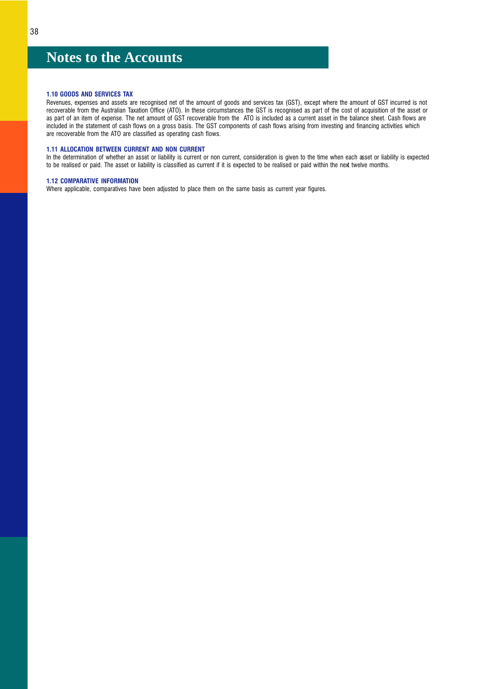### 1.10 GOODS AND SERVICES TAX

Revenues, expenses and assets are recognised net of the amount of goods and services tax (GST), except where the amount of GST incurred is not recoverable from the Australian Taxation Office (ATO). In these circumstances the GST is recognised as part of the cost of acquisition of the asset or as part of an item of expense. The net amount of GST recoverable from the ATO is included as a current asset in the balance sheet. Cash flows are included in the statement of cash flows on a gross basis. The GST components of cash flows arising from investing and financing activities which are recoverable from the ATO are classified as operating cash flows.

### 1.11 ALLOCATION BETWEEN CURRENT AND NON CURRENT

In the determination of whether an asset or liability is current or non current, consideration is given to the time when each asset or liability is expected to be realised or paid. The asset or liability is classified as current if it is expected to be realised or paid within the next twelve months.

### 1.12 COMPARATIVE INFORMATION

Where applicable, comparatives have been adjusted to place them on the same basis as current year figures.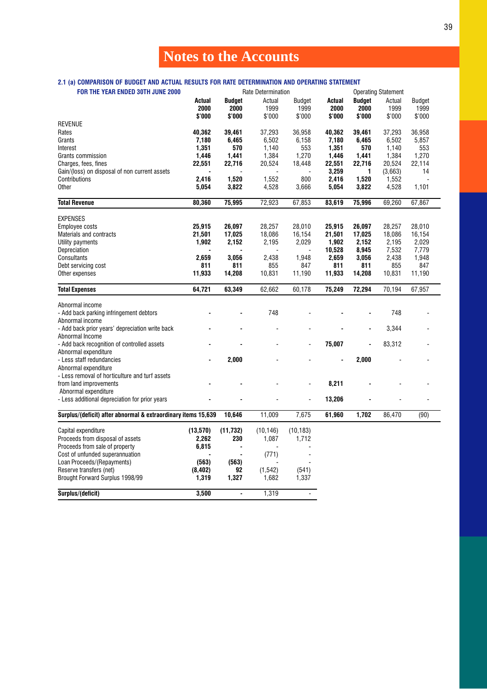### 2.1 (a) COMPARISON OF BUDGET AND ACTUAL RESULTS FOR RATE DETERMINATION AND OPERATING STATEMENT

| FOR THE YEAR ENDED 30TH JUNE 2000                             |          |           | Rate Determination |                      |        |               | <b>Operating Statement</b> |               |  |
|---------------------------------------------------------------|----------|-----------|--------------------|----------------------|--------|---------------|----------------------------|---------------|--|
|                                                               | Actual   | Budget    | Actual             | <b>Budget</b>        | Actual | <b>Budget</b> | Actual                     | <b>Budget</b> |  |
|                                                               | 2000     | 2000      | 1999               | 1999                 | 2000   | 2000          | 1999                       | 1999          |  |
|                                                               | \$'000   | \$'000    | \$'000             | \$'000               | \$'000 | \$'000        | \$'000                     | \$'000        |  |
| <b>REVENUE</b>                                                |          |           |                    |                      |        |               |                            |               |  |
| Rates                                                         | 40,362   | 39,461    | 37,293             | 36,958               | 40,362 | 39,461        | 37,293                     | 36,958        |  |
| Grants                                                        | 7,180    | 6,465     | 6,502              | 6,158                | 7,180  | 6,465         | 6,502                      | 5,857         |  |
| Interest                                                      | 1,351    | 570       | 1,140              | 553                  | 1,351  | 570           | 1,140                      | 553           |  |
| Grants commission                                             | 1,446    | 1,441     | 1,384              | 1,270                | 1,446  | 1,441         | 1,384                      | 1,270         |  |
| Charges, fees, fines                                          | 22,551   | 22,716    | 20,524             | 18,448               | 22,551 | 22,716        | 20,524                     | 22,114        |  |
|                                                               |          |           |                    |                      |        | 1             |                            | 14            |  |
| Gain/(loss) on disposal of non current assets                 |          |           |                    |                      | 3,259  |               | (3,663)                    |               |  |
| Contributions                                                 | 2,416    | 1,520     | 1,552              | 800                  | 2,416  | 1,520         | 1,552                      |               |  |
| <b>Other</b>                                                  | 5,054    | 3,822     | 4,528              | 3,666                | 5,054  | 3,822         | 4,528                      | 1,101         |  |
| <b>Total Revenue</b>                                          | 80,360   | 75,995    | 72,923             | 67,853               | 83,619 | 75,996        | 69,260                     | 67,867        |  |
|                                                               |          |           |                    |                      |        |               |                            |               |  |
| <b>EXPENSES</b>                                               |          |           |                    |                      |        |               |                            |               |  |
| <b>Employee costs</b>                                         | 25,915   | 26,097    | 28,257             | 28,010               | 25,915 | 26,097        | 28,257                     | 28,010        |  |
| Materials and contracts                                       | 21,501   | 17,025    | 18,086             | 16,154               | 21,501 | 17,025        | 18,086                     | 16,154        |  |
| Utility payments                                              | 1,902    | 2,152     | 2,195              | 2,029                | 1,902  | 2,152         | 2,195                      | 2,029         |  |
| Depreciation                                                  |          |           |                    |                      | 10,528 | 8,945         | 7,532                      | 7,779         |  |
| Consultants                                                   | 2,659    | 3,056     | 2,438              | 1,948                | 2,659  | 3,056         | 2,438                      | 1,948         |  |
| Debt servicing cost                                           | 811      | 811       | 855                | 847                  | 811    | 811           | 855                        | 847           |  |
| Other expenses                                                | 11,933   | 14,208    | 10,831             | 11,190               | 11,933 | 14,208        | 10,831                     | 11,190        |  |
| <b>Total Expenses</b>                                         | 64,721   | 63,349    | 62,662             | 60,178               | 75,249 | 72,294        | 70,194                     | 67,957        |  |
| Abnormal income                                               |          |           |                    |                      |        |               |                            |               |  |
|                                                               |          |           | 748                |                      |        |               | 748                        |               |  |
| - Add back parking infringement debtors                       |          |           |                    |                      |        |               |                            |               |  |
| Abnormal income                                               |          |           |                    |                      |        |               |                            |               |  |
| - Add back prior years' depreciation write back               |          |           |                    |                      |        |               | 3,344                      |               |  |
| Abnormal Income                                               |          |           |                    |                      |        |               |                            |               |  |
| - Add back recognition of controlled assets                   |          |           |                    |                      | 75,007 |               | 83,312                     |               |  |
| Abnormal expenditure                                          |          |           |                    |                      |        |               |                            |               |  |
| - Less staff redundancies                                     |          | 2,000     |                    |                      |        | 2,000         |                            |               |  |
| Abnormal expenditure                                          |          |           |                    |                      |        |               |                            |               |  |
| - Less removal of horticulture and turf assets                |          |           |                    |                      |        |               |                            |               |  |
| from land improvements                                        |          |           |                    |                      | 8,211  |               |                            |               |  |
| Abnormal expenditure                                          |          |           |                    |                      |        |               |                            |               |  |
| - Less additional depreciation for prior years                |          |           |                    | $\overline{a}$       | 13,206 |               |                            |               |  |
| Surplus/(deficit) after abnormal & extraordinary items 15,639 |          | 10,646    | 11,009             | 7,675                | 61,960 | 1,702         | 86,470                     | (90)          |  |
| Capital expenditure                                           | (13,570) | (11, 732) | (10, 146)          | (10, 183)            |        |               |                            |               |  |
| Proceeds from disposal of assets                              | 2,262    | 230       | 1,087              | 1,712                |        |               |                            |               |  |
| Proceeds from sale of property                                | 6,815    |           |                    |                      |        |               |                            |               |  |
|                                                               |          |           |                    | $\ddot{\phantom{a}}$ |        |               |                            |               |  |
| Cost of unfunded superannuation                               |          |           | (771)              |                      |        |               |                            |               |  |
| Loan Proceeds/(Repayments)                                    | (563)    | (563)     |                    |                      |        |               |                            |               |  |
| Reserve transfers (net)                                       | (8, 402) | 92        | (1, 542)           | (541)                |        |               |                            |               |  |
| Brought Forward Surplus 1998/99                               | 1,319    | 1,327     | 1,682              | 1,337                |        |               |                            |               |  |
| Surplus/(deficit)                                             | 3.500    |           | 1,319              |                      |        |               |                            |               |  |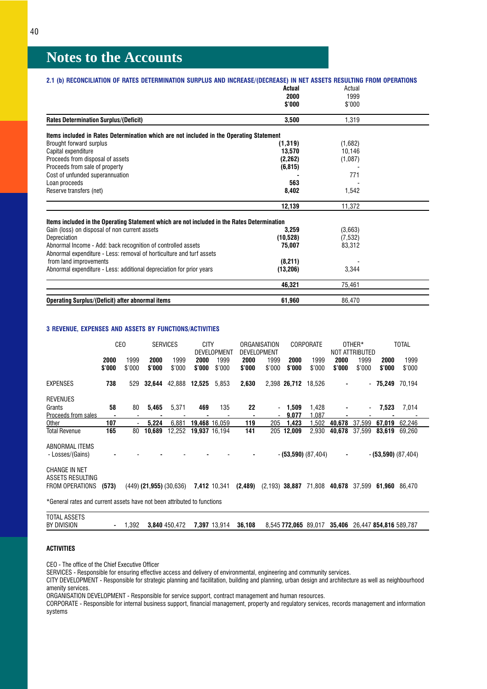| 2.1 (b) RECONCILIATION OF RATES DETERMINATION SURPLUS AND INCREASE/(DECREASE) IN NET ASSETS RESULTING FROM OPERATIONS |           |          |  |
|-----------------------------------------------------------------------------------------------------------------------|-----------|----------|--|
|                                                                                                                       | Actual    | Actual   |  |
|                                                                                                                       | 2000      | 1999     |  |
|                                                                                                                       | \$'000    | \$'000   |  |
| <b>Rates Determination Surplus/(Deficit)</b>                                                                          | 3,500     | 1,319    |  |
| Items included in Rates Determination which are not included in the Operating Statement                               |           |          |  |
| Brought forward surplus                                                                                               | (1, 319)  | (1,682)  |  |
| Capital expenditure                                                                                                   | 13,570    | 10,146   |  |
| Proceeds from disposal of assets                                                                                      | (2, 262)  | (1,087)  |  |
| Proceeds from sale of property                                                                                        | (6, 815)  |          |  |
| Cost of unfunded superannuation                                                                                       |           | 771      |  |
| Loan proceeds                                                                                                         | 563       |          |  |
| Reserve transfers (net)                                                                                               | 8,402     | 1,542    |  |
|                                                                                                                       | 12,139    | 11,372   |  |
| Items included in the Operating Statement which are not included in the Rates Determination                           |           |          |  |
| Gain (loss) on disposal of non current assets                                                                         | 3.259     | (3,663)  |  |
| Depreciation                                                                                                          | (10,528)  | (7, 532) |  |
| Abnormal Income - Add: back recognition of controlled assets                                                          | 75.007    | 83,312   |  |
| Abnormal expenditure - Less: removal of horticulture and turf assets                                                  |           |          |  |
| from land improvements                                                                                                | (8,211)   |          |  |
| Abnormal expenditure - Less: additional depreciation for prior years                                                  | (13, 206) | 3,344    |  |
|                                                                                                                       | 46,321    | 75,461   |  |
| <b>Operating Surplus/(Deficit) after abnormal items</b>                                                               | 61,960    | 86,470   |  |

### 3 REVENUE, EXPENSES AND ASSETS BY FUNCTIONS/ACTIVITIES

|                                                                         | CE <sub>0</sub> |                |                             |                |                |                | <b>SERVICES</b> |                                  | <b>CITY</b><br>DEVELOPMENT |                       | ORGANISATION<br><b>DEVELOPMENT</b> |                | <b>CORPORATE</b>     |                | OTHER*<br>NOT ATTRIBUTED |  | <b>TOTAL</b> |  |
|-------------------------------------------------------------------------|-----------------|----------------|-----------------------------|----------------|----------------|----------------|-----------------|----------------------------------|----------------------------|-----------------------|------------------------------------|----------------|----------------------|----------------|--------------------------|--|--------------|--|
|                                                                         | 2000<br>\$'000  | 1999<br>\$'000 | 2000<br>\$'000              | 1999<br>\$'000 | 2000<br>\$'000 | 1999<br>\$'000 | 2000<br>\$'000  | 1999<br>\$'000                   | 2000<br>\$'000             | 1999<br>\$'000        | 2000<br>\$'000                     | 1999<br>\$'000 | 2000<br>\$'000       | 1999<br>\$'000 |                          |  |              |  |
| <b>EXPENSES</b>                                                         | 738             | 529            | 32.644                      | 42,888         | 12,525         | 5.853          | 2,630           | 2.398                            | 26,712                     | 18.526                |                                    | ٠              | 75,249               | 70,194         |                          |  |              |  |
| REVENUES<br>Grants<br>Proceeds from sales                               | 58              | 80             | 5,465                       | 5,371          | 469            | 135            | 22              | $\blacksquare$<br>$\blacksquare$ | 1,509<br>9.077             | 1,428<br>1.087        |                                    | $\blacksquare$ | 7,523                | 7,014          |                          |  |              |  |
| Other                                                                   | 107             |                | 5.224                       | 6.881          |                | 19.468 16.059  | 119             | 205                              | 1.423                      | 1.502                 | 40.678                             | 37,599         | 67.019               | 62,246         |                          |  |              |  |
| Total Revenue                                                           | 165             | 80             | 10.689                      | 12.252         |                | 19.937 16.194  | 141             | 205                              | 12.009                     | 2,930                 | 40.678                             | 37,599         | 83.619               | 69,260         |                          |  |              |  |
| ABNORMAL ITEMS<br>- Losses/(Gains)                                      |                 |                |                             |                |                |                | $\blacksquare$  |                                  |                            | $-$ (53,590) (87,404) | $\overline{\phantom{a}}$           |                | $-(53,590)$ (87,404) |                |                          |  |              |  |
| <b>CHANGE IN NET</b><br>ASSETS RESULTING<br>FROM OPERATIONS             | (573)           |                | $(449)$ (21,955) $(30,636)$ |                |                | 7,412 10,341   | (2,489)         | $(2, 193)$ 38,887                |                            | 71,808                | 40,678                             | 37.599         | 61.960               | 86.470         |                          |  |              |  |
| *General rates and current assets have not been attributed to functions |                 |                |                             |                |                |                |                 |                                  |                            |                       |                                    |                |                      |                |                          |  |              |  |

| <b>TOTAL ASSETS</b> |      |               |                     |        |  |                                                    |
|---------------------|------|---------------|---------------------|--------|--|----------------------------------------------------|
| BY DIVISION         | .392 | 3.840 450.472 | <b>7.397</b> 13.914 | 36.108 |  | 8,545 772,065 89,017 35,406 26,447 854,816 589,787 |

### ACTIVITIES

CEO - The office of the Chief Executive Officer

SERVICES - Responsible for ensuring effective access and delivery of environmental, engineering and community services.

CITY DEVELOPMENT - Responsible for strategic planning and facilitation, building and planning, urban design and architecture as well as neighbourhood amenity services.

ORGANISATION DEVELOPMENT - Responsible for service support, contract management and human resources.

CORPORATE - Responsible for internal business support, financial management, property and regulatory services, records management and information systems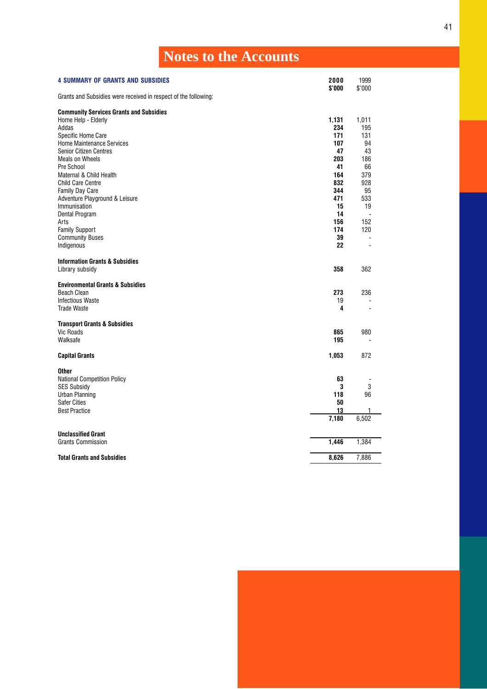<span id="page-42-0"></span>

| <b>Notes to the Accounts</b>                                                                                                                                                                                                                                                                                                                                                                                                                    |                                                                                                                 |                                                                                                                     |
|-------------------------------------------------------------------------------------------------------------------------------------------------------------------------------------------------------------------------------------------------------------------------------------------------------------------------------------------------------------------------------------------------------------------------------------------------|-----------------------------------------------------------------------------------------------------------------|---------------------------------------------------------------------------------------------------------------------|
| <b>4 SUMMARY OF GRANTS AND SUBSIDIES</b>                                                                                                                                                                                                                                                                                                                                                                                                        | 2000<br>\$'000                                                                                                  | 1999<br>\$'000                                                                                                      |
| Grants and Subsidies were received in respect of the following:                                                                                                                                                                                                                                                                                                                                                                                 |                                                                                                                 |                                                                                                                     |
| <b>Community Services Grants and Subsidies</b><br>Home Help - Elderly<br>Addas<br>Specific Home Care<br><b>Home Maintenance Services</b><br><b>Senior Citizen Centres</b><br><b>Meals on Wheels</b><br>Pre School<br>Maternal & Child Health<br><b>Child Care Centre</b><br><b>Family Day Care</b><br>Adventure Playground & Leisure<br>Immunisation<br>Dental Program<br>Arts<br><b>Family Support</b><br><b>Community Buses</b><br>Indigenous | 1,131<br>234<br>171<br>107<br>47<br>203<br>41<br>164<br>832<br>344<br>471<br>15<br>14<br>156<br>174<br>39<br>22 | 1,011<br>195<br>131<br>94<br>43<br>186<br>66<br>379<br>928<br>95<br>533<br>19<br>152<br>120<br>ä,<br>$\blacksquare$ |
| <b>Information Grants &amp; Subsidies</b><br>Library subsidy                                                                                                                                                                                                                                                                                                                                                                                    | 358                                                                                                             | 362                                                                                                                 |
| <b>Environmental Grants &amp; Subsidies</b><br><b>Beach Clean</b><br><b>Infectious Waste</b><br><b>Trade Waste</b>                                                                                                                                                                                                                                                                                                                              | 273<br>19<br>4                                                                                                  | 236                                                                                                                 |
| <b>Transport Grants &amp; Subsidies</b><br><b>Vic Roads</b><br>Walksafe                                                                                                                                                                                                                                                                                                                                                                         | 865<br>195                                                                                                      | 980                                                                                                                 |
| <b>Capital Grants</b>                                                                                                                                                                                                                                                                                                                                                                                                                           | 1,053                                                                                                           | 872                                                                                                                 |
| <b>Other</b><br><b>National Competition Policy</b><br><b>SES Subsidy</b><br>Urban Planning<br><b>Safer Cities</b><br><b>Best Practice</b>                                                                                                                                                                                                                                                                                                       | 63<br>3<br>118<br>50<br>13<br>7,180                                                                             | 3<br>96<br>1<br>6,502                                                                                               |
| <b>Unclassified Grant</b><br><b>Grants Commission</b>                                                                                                                                                                                                                                                                                                                                                                                           | 1,446                                                                                                           | 1,384                                                                                                               |
| <b>Total Grants and Subsidies</b>                                                                                                                                                                                                                                                                                                                                                                                                               | 8.626                                                                                                           | 7.886                                                                                                               |



41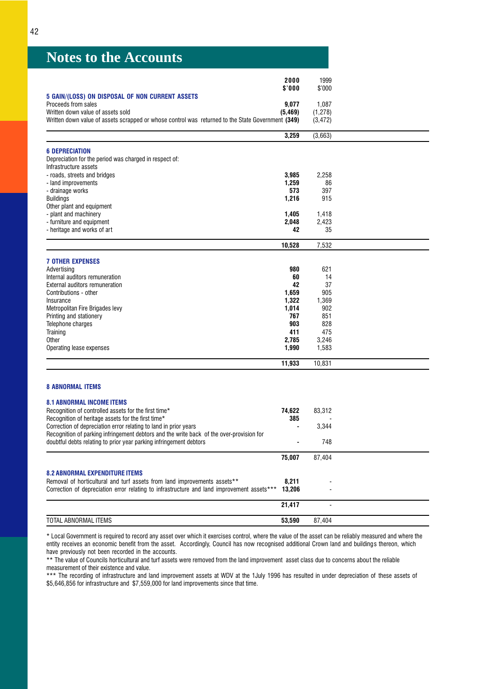<span id="page-43-0"></span>

|                                                                                                   | 2000     | 1999     |  |
|---------------------------------------------------------------------------------------------------|----------|----------|--|
|                                                                                                   | \$'000   | \$'000   |  |
| 5 GAIN/(LOSS) ON DISPOSAL OF NON CURRENT ASSETS                                                   |          |          |  |
| Proceeds from sales                                                                               | 9.077    | 1,087    |  |
| Written down value of assets sold                                                                 | (5, 469) | (1, 278) |  |
| Written down value of assets scrapped or whose control was returned to the State Government (349) |          | (3, 472) |  |
|                                                                                                   | 3,259    | (3,663)  |  |
|                                                                                                   |          |          |  |
| <b>6 DEPRECIATION</b>                                                                             |          |          |  |
| Depreciation for the period was charged in respect of:                                            |          |          |  |
| Infrastructure assets                                                                             |          |          |  |
| - roads, streets and bridges                                                                      | 3,985    | 2,258    |  |
| - land improvements                                                                               | 1,259    | 86       |  |
| - drainage works                                                                                  | 573      | 397      |  |
| <b>Buildings</b>                                                                                  | 1,216    | 915      |  |
| Other plant and equipment                                                                         |          |          |  |
| - plant and machinery                                                                             | 1,405    | 1,418    |  |
| - furniture and equipment                                                                         | 2,048    | 2,423    |  |
| - heritage and works of art                                                                       | 42       | 35       |  |
|                                                                                                   |          |          |  |
|                                                                                                   | 10,528   | 7,532    |  |
|                                                                                                   |          |          |  |
| <b>7 OTHER EXPENSES</b>                                                                           |          |          |  |
| Advertising                                                                                       | 980      | 621      |  |
| Internal auditors remuneration                                                                    | 60       | 14       |  |
| External auditors remuneration                                                                    | 42       | 37       |  |
| Contributions - other                                                                             | 1,659    | 905      |  |
| Insurance                                                                                         | 1,322    | 1,369    |  |
| Metropolitan Fire Brigades levy                                                                   | 1,014    | 902      |  |
| Printing and stationery                                                                           | 767      | 851      |  |
| Telephone charges                                                                                 | 903      | 828      |  |
| Training                                                                                          | 411      | 475      |  |
| <b>Other</b>                                                                                      | 2,785    | 3,246    |  |
| Operating lease expenses                                                                          | 1,990    | 1,583    |  |
|                                                                                                   | 11,933   | 10,831   |  |
|                                                                                                   |          |          |  |
| <b>8 ABNORMAL ITEMS</b>                                                                           |          |          |  |
| <b>8.1 ABNORMAL INCOME ITEMS</b>                                                                  |          |          |  |
| Recognition of controlled assets for the first time*                                              | 74,622   | 83,312   |  |
| Recognition of heritage assets for the first time*                                                | 385      |          |  |
| Correction of depreciation error relating to land in prior years                                  |          | 3,344    |  |
| Recognition of parking infringement debtors and the write back of the over-provision for          |          |          |  |
| doubtful debts relating to prior year parking infringement debtors                                |          | 748      |  |
|                                                                                                   |          |          |  |
|                                                                                                   | 75,007   | 87,404   |  |
| <b>8.2 ABNORMAL EXPENDITURE ITEMS</b>                                                             |          |          |  |
| Removal of horticultural and turf assets from land improvements assets**                          | 8,211    |          |  |
| Correction of depreciation error relating to infrastructure and land improvement assets***        | 13.206   |          |  |

|                                       | 117<br>O4. | -         |
|---------------------------------------|------------|-----------|
| <b>TOTAL</b><br><b>ABNORMAL ITEMS</b> | 53.590     | 87<br>404 |

\* Local Government is required to record any asset over which it exercises control, where the value of the asset can be reliably measured and where the entity receives an economic benefit from the asset. Accordingly, Council has now recognised additional Crown land and buildings thereon, which have previously not been recorded in the accounts.

\*\* The value of Councils horticultural and turf assets were removed from the land improvement asset class due to concerns about the reliable measurement of their existence and value.

\*\*\* The recording of infrastructure and land improvement assets at WDV at the 1July 1996 has resulted in under depreciation of these assets of \$5,646,856 for infrastructure and \$7,559,000 for land improvements since that time.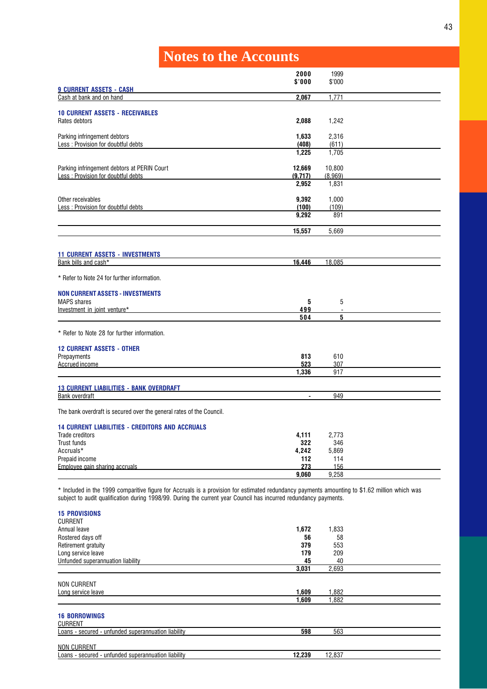<span id="page-44-0"></span>

|                                                                      | 2000           | 1999    |  |
|----------------------------------------------------------------------|----------------|---------|--|
| <b>9 CURRENT ASSETS - CASH</b>                                       | \$'000         | \$'000  |  |
| Cash at bank and on hand                                             | 2,067          | 1,771   |  |
|                                                                      |                |         |  |
| <b>10 CURRENT ASSETS - RECEIVABLES</b><br>Rates debtors              | 2,088          | 1,242   |  |
|                                                                      |                |         |  |
| Parking infringement debtors                                         | 1,633          | 2,316   |  |
| Less: Provision for doubtful debts                                   | (408)          | (611)   |  |
|                                                                      | 1,225          | 1,705   |  |
| Parking infringement debtors at PERIN Court                          | 12,669         | 10,800  |  |
| Less: Provision for doubtful debts                                   | (9,717)        | (8.969) |  |
|                                                                      | 2,952          | 1,831   |  |
| Other receivables                                                    | 9,392          | 1,000   |  |
| Less: Provision for doubtful debts                                   | (100)          | (109)   |  |
|                                                                      | 9,292          | 891     |  |
|                                                                      |                |         |  |
|                                                                      | 15,557         | 5,669   |  |
|                                                                      |                |         |  |
| <b>11 CURRENT ASSETS - INVESTMENTS</b>                               |                |         |  |
| Bank bills and cash*                                                 | 16,446         | 18,085  |  |
| * Refer to Note 24 for further information.                          |                |         |  |
| <b>NON CURRENT ASSETS - INVESTMENTS</b>                              |                |         |  |
| <b>MAPS</b> shares                                                   | 5              | 5       |  |
| Investment in joint venture*                                         | 499            |         |  |
|                                                                      | 504            | 5       |  |
| * Refer to Note 28 for further information.                          |                |         |  |
| <b>12 CURRENT ASSETS - OTHER</b>                                     |                |         |  |
| Prepayments                                                          | 813            | 610     |  |
| Accrued income                                                       | 523            | 307     |  |
|                                                                      | 1,336          | 917     |  |
| <b>13 CURRENT LIABILITIES - BANK OVERDRAFT</b>                       |                |         |  |
| <b>Bank overdraft</b>                                                | $\blacksquare$ | 949     |  |
|                                                                      |                |         |  |
| The bank overdraft is secured over the general rates of the Council. |                |         |  |
| <b>14 CURRENT LIABILITIES - CREDITORS AND ACCRUALS</b>               |                |         |  |
| <b>Trade creditors</b>                                               | 4,111          | 2,773   |  |
| Trust funds                                                          | 322            | 346     |  |
| Accruals*                                                            | 4,242          | 5,869   |  |
| Prepaid income                                                       | 112            | 114     |  |
| Employee gain sharing accruals                                       | 273            | 156     |  |
|                                                                      | 9,060          | 9,258   |  |

subject to audit qualification during 1998/99. During the current year Council has incurred redundancy payments.

| <b>15 PROVISIONS</b><br><b>CURRENT</b>              |        |        |  |
|-----------------------------------------------------|--------|--------|--|
|                                                     |        |        |  |
| Annual leave                                        | 1,672  | 1,833  |  |
| Rostered days off                                   | 56     | 58     |  |
| Retirement gratuity                                 | 379    | 553    |  |
| Long service leave                                  | 179    | 209    |  |
| Unfunded superannuation liability                   | 45     | 40     |  |
|                                                     | 3,031  | 2,693  |  |
| <b>NON CURRENT</b>                                  |        |        |  |
| Long service leave                                  | 1,609  | 1,882  |  |
|                                                     | 1,609  | 1,882  |  |
| <b>16 BORROWINGS</b><br><b>CURRENT</b>              |        |        |  |
| Loans - secured - unfunded superannuation liability | 598    | 563    |  |
| <b>NON CURRENT</b>                                  |        |        |  |
| Loans - secured - unfunded superannuation liability | 12,239 | 12,837 |  |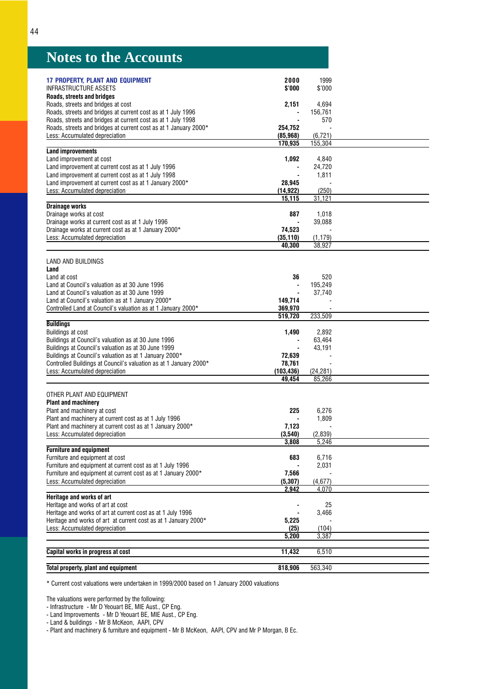<span id="page-45-0"></span>

| <b>17 PROPERTY, PLANT AND EQUIPMENT</b>                                                                                          | 2000                               | 1999              |
|----------------------------------------------------------------------------------------------------------------------------------|------------------------------------|-------------------|
| <b>INFRASTRUCTURE ASSETS</b>                                                                                                     | \$'000                             | \$'000            |
| Roads, streets and bridges                                                                                                       |                                    |                   |
| Roads, streets and bridges at cost                                                                                               | 2,151                              | 4,694             |
| Roads, streets and bridges at current cost as at 1 July 1996                                                                     |                                    | 156,761           |
| Roads, streets and bridges at current cost as at 1 July 1998<br>Roads, streets and bridges at current cost as at 1 January 2000* | 254,752                            | 570               |
| Less: Accumulated depreciation                                                                                                   | (85, 968)                          | (6, 721)          |
|                                                                                                                                  | 170,935                            | 155,304           |
| <b>Land improvements</b>                                                                                                         |                                    |                   |
| Land improvement at cost                                                                                                         | 1,092                              | 4,840             |
| Land improvement at current cost as at 1 July 1996                                                                               |                                    | 24,720            |
| Land improvement at current cost as at 1 July 1998                                                                               | $\overline{\phantom{a}}$<br>28,945 | 1,811             |
| Land improvement at current cost as at 1 January 2000*<br>Less: Accumulated depreciation                                         | (14, 922)                          | (250)             |
|                                                                                                                                  | 15,115                             | 31,121            |
| <b>Drainage works</b>                                                                                                            |                                    |                   |
| Drainage works at cost                                                                                                           | 887                                | 1,018             |
| Drainage works at current cost as at 1 July 1996                                                                                 | $\blacksquare$                     | 39,088            |
| Drainage works at current cost as at 1 January 2000*                                                                             | 74,523                             |                   |
| Less: Accumulated depreciation                                                                                                   | (35, 110)                          | (1, 179)          |
|                                                                                                                                  | 40,300                             | 38,927            |
| LAND AND BUILDINGS                                                                                                               |                                    |                   |
| Land                                                                                                                             |                                    |                   |
| Land at cost                                                                                                                     | 36                                 | 520               |
| Land at Council's valuation as at 30 June 1996                                                                                   | $\overline{\phantom{a}}$           | 195,249           |
| Land at Council's valuation as at 30 June 1999                                                                                   | $\blacksquare$                     | 37,740            |
| Land at Council's valuation as at 1 January 2000*<br>Controlled Land at Council's valuation as at 1 January 2000*                | 149.714<br>369,970                 |                   |
|                                                                                                                                  | 519,720                            | 233,509           |
| <b>Buildings</b>                                                                                                                 |                                    |                   |
| Buildings at cost                                                                                                                | 1,490                              | 2,892             |
| Buildings at Council's valuation as at 30 June 1996                                                                              |                                    | 63,464            |
| Buildings at Council's valuation as at 30 June 1999                                                                              |                                    | 43,191            |
| Buildings at Council's valuation as at 1 January 2000*                                                                           | 72,639                             |                   |
| Controlled Buildings at Council's valuation as at 1 January 2000*<br>Less: Accumulated depreciation                              | 78,761<br>(103, 436)               | (24, 281)         |
|                                                                                                                                  | 49,454                             | 85,266            |
|                                                                                                                                  |                                    |                   |
| OTHER PLANT AND EQUIPMENT                                                                                                        |                                    |                   |
| <b>Plant and machinery</b>                                                                                                       |                                    |                   |
| Plant and machinery at cost                                                                                                      | 225                                | 6,276             |
| Plant and machinery at current cost as at 1 July 1996<br>Plant and machinery at current cost as at 1 January 2000*               | 7,123                              | 1,809             |
| Less: Accumulated depreciation                                                                                                   | (3,540)                            | (2,839)           |
|                                                                                                                                  | 3,808                              | 5,246             |
| <b>Furniture and equipment</b>                                                                                                   |                                    |                   |
| Furniture and equipment at cost                                                                                                  | 683                                | 6,716             |
| Furniture and equipment at current cost as at 1 July 1996                                                                        |                                    | 2,031             |
| Furniture and equipment at current cost as at 1 January 2000*                                                                    | 7,566                              |                   |
| Less: Accumulated depreciation                                                                                                   | (5, 307)<br>2,942                  | (4, 677)<br>4,070 |
| Heritage and works of art                                                                                                        |                                    |                   |
| Heritage and works of art at cost                                                                                                |                                    | 25                |
| Heritage and works of art at current cost as at 1 July 1996                                                                      |                                    | 3,466             |
| Heritage and works of art at current cost as at 1 January 2000*                                                                  | 5,225                              |                   |
| Less: Accumulated depreciation                                                                                                   | (25)                               | (104)             |
|                                                                                                                                  | 5,200                              | 3,387             |
| Capital works in progress at cost                                                                                                | 11,432                             | 6,510             |
|                                                                                                                                  |                                    |                   |
| Total property, plant and equipment                                                                                              | 818,906                            | 563,340           |
|                                                                                                                                  |                                    |                   |

\* Current cost valuations were undertaken in 1999/2000 based on 1 January 2000 valuations

The valuations were performed by the following:

- Infrastructure - Mr D Yeouart BE, MIE Aust., CP Eng.

- Land Improvements - Mr D Yeouart BE, MIE Aust., CP Eng.

- Land & buildings - Mr B McKeon, AAPI, CPV

- Plant and machinery & furniture and equipment - Mr B McKeon, AAPI, CPV and Mr P Morgan, B Ec.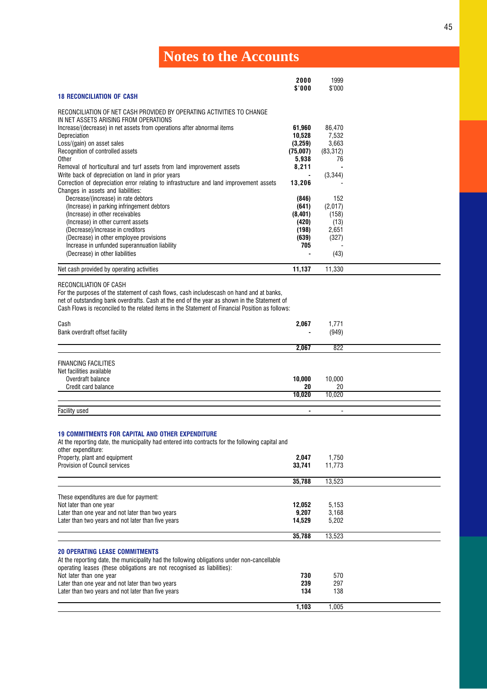<span id="page-46-0"></span>

|                                  | 2000            | 1999   |
|----------------------------------|-----------------|--------|
|                                  | $$^{\prime}000$ | \$'000 |
| <b>18 RECONCILIATION OF CASH</b> |                 |        |

RECONCILIATION OF NET CASH PROVIDED BY OPERATING ACTIVITIES TO CHANGE

| IN NET ASSETS ARISING FROM OPERATIONS                                                   |          |           |  |
|-----------------------------------------------------------------------------------------|----------|-----------|--|
| Increase/(decrease) in net assets from operations after abnormal items                  | 61,960   | 86,470    |  |
| Depreciation                                                                            | 10,528   | 7,532     |  |
| Loss/(gain) on asset sales                                                              | (3,259)  | 3,663     |  |
| Recognition of controlled assets                                                        | (75,007) | (83, 312) |  |
| Other                                                                                   | 5,938    | 76        |  |
| Removal of horticultural and turf assets from land improvement assets                   | 8,211    |           |  |
| Write back of depreciation on land in prior years                                       |          | (3,344)   |  |
| Correction of depreciation error relating to infrastructure and land improvement assets | 13,206   |           |  |
| Changes in assets and liabilities:                                                      |          |           |  |
| Decrease/(increase) in rate debtors                                                     | (846)    | 152       |  |
| (Increase) in parking infringement debtors                                              | (641)    | (2,017)   |  |
| (Increase) in other receivables                                                         | (8,401)  | (158)     |  |
| (Increase) in other current assets                                                      | (420)    | (13)      |  |
| (Decrease)/increase in creditors                                                        | (198)    | 2,651     |  |
| (Decrease) in other employee provisions                                                 | (639)    | (327)     |  |
| Increase in unfunded superannuation liability                                           | 705      |           |  |
| (Decrease) in other liabilities                                                         |          | (43)      |  |
| Net cash provided by operating activities                                               | 11,137   | 11.330    |  |

RECONCILIATION OF CASH

For the purposes of the statement of cash flows, cash includescash on hand and at banks,

net of outstanding bank overdrafts. Cash at the end of the year as shown in the Statement of

Cash Flows is reconciled to the related items in the Statement of Financial Position as follows:

| Cash<br>Bank overdraft offset facility                                                              | 2,067          | 1,771<br>(949) |  |
|-----------------------------------------------------------------------------------------------------|----------------|----------------|--|
|                                                                                                     | 2,067          | 822            |  |
| <b>FINANCING FACILITIES</b><br>Net facilities available<br>Overdraft balance<br>Credit card balance | 10,000<br>20   | 10,000<br>20   |  |
|                                                                                                     | 10,020         | 10,020         |  |
| <b>Facility used</b>                                                                                | $\blacksquare$ | $\blacksquare$ |  |

### 19 COMMITMENTS FOR CAPITAL AND OTHER EXPENDITURE

At the reporting date, the municipality had entered into contracts for the following capital and

| other expenditure:                                                                                                                                                     |        |        |  |
|------------------------------------------------------------------------------------------------------------------------------------------------------------------------|--------|--------|--|
| Property, plant and equipment                                                                                                                                          | 2,047  | 1,750  |  |
| <b>Provision of Council services</b>                                                                                                                                   | 33.741 | 11.773 |  |
|                                                                                                                                                                        | 35,788 | 13,523 |  |
| These expenditures are due for payment:                                                                                                                                |        |        |  |
| Not later than one year                                                                                                                                                | 12,052 | 5,153  |  |
| Later than one year and not later than two years                                                                                                                       | 9,207  | 3,168  |  |
| Later than two years and not later than five years                                                                                                                     | 14,529 | 5,202  |  |
|                                                                                                                                                                        | 35,788 | 13,523 |  |
| <b>20 OPERATING LEASE COMMITMENTS</b>                                                                                                                                  |        |        |  |
| At the reporting date, the municipality had the following obligations under non-cancellable<br>operating leases (these obligations are not recognised as liabilities): |        |        |  |
| Not later than one year                                                                                                                                                | 730    | 570    |  |
| Later than one year and not later than two years                                                                                                                       | 239    | 297    |  |
| Later than two years and not later than five years                                                                                                                     | 134    | 138    |  |
|                                                                                                                                                                        | 1,103  | 1,005  |  |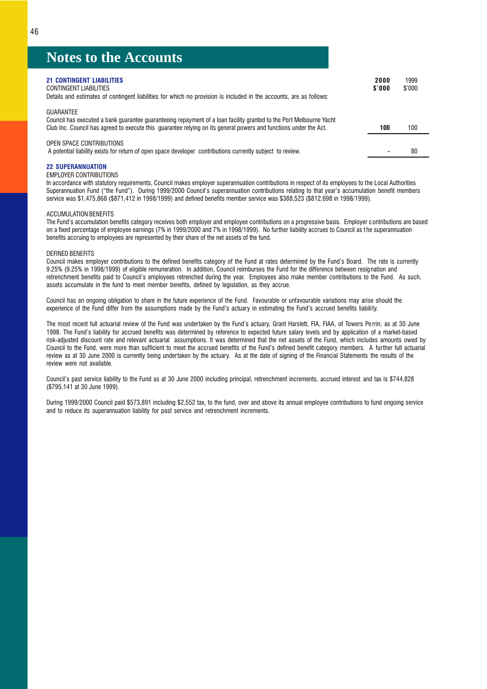| <b>21 CONTINGENT LIABILITIES</b><br>CONTINGENT LIABILITIES<br>Details and estimates of contingent liabilities for which no provision is included in the accounts, are as follows:                                                                            | 2000<br>\$'000 | 1999<br>\$'000 |
|--------------------------------------------------------------------------------------------------------------------------------------------------------------------------------------------------------------------------------------------------------------|----------------|----------------|
| <b>GUARANTEE</b><br>Council has executed a bank guarantee guaranteeing repayment of a loan facility granted to the Port Melbourne Yacht<br>Club Inc. Council has agreed to execute this quarantee relying on its general powers and functions under the Act. | 100            | 100            |
| OPEN SPACE CONTRIBUTIONS<br>A potential liability exists for return of open space developer contributions currently subject to review.                                                                                                                       |                | 80             |

### 22 SUPERANNUATION

### EMPLOYER CONTRIBUTIONS

In accordance with statutory requirements, Council makes employer superannuation contributions in respect of its employees to the Local Authorities Superannuation Fund ("the Fund"). During 1999/2000 Council's superannuation contributions relating to that year's accumulation benefit members service was \$1,475,868 (\$871,412 in 1998/1999) and defined benefits member service was \$388,523 (\$812,698 in 1998/1999).

### ACCUMULATION BENEFITS

The Fund's accumulation benefits category receives both employer and employee contributions on a progressive basis. Employer contributions are based on a fixed percentage of employee earnings (7% in 1999/2000 and 7% in 1998/1999). No further liability accrues to Council as t he superannuation benefits accruing to employees are represented by their share of the net assets of the fund.

### DEFINED BENEFITS

Council makes employer contributions to the defined benefits category of the Fund at rates determined by the Fund's Board. The rate is currently 9.25% (9.25% in 1998/1999) of eligible remuneration. In addition, Council reimburses the Fund for the difference between resignation and retrenchment benefits paid to Council's employees retrenched during the year. Employees also make member contributions to the Fund. As such, assets accumulate in the fund to meet member benefits, defined by legislation, as they accrue.

Council has an ongoing obligation to share in the future experience of the Fund. Favourable or unfavourable variations may arise should the experience of the Fund differ from the assumptions made by the Fund's actuary in estimating the Fund's accrued benefits liability.

The most recent full actuarial review of the Fund was undertaken by the Fund's actuary, Grant Harslett, FIA, FIAA, of Towers Perrin, as at 30 June 1998. The Fund's liability for accrued benefits was determined by reference to expected future salary levels and by application of a market-based risk-adjusted discount rate and relevant actuarial assumptions. It was determined that the net assets of the Fund, which includes amounts owed by Council to the Fund, were more than sufficient to meet the accrued benefits of the Fund's defined benefit category members. A further full actuarial review as at 30 June 2000 is currently being undertaken by the actuary. As at the date of signing of the Financial Statements the results of the review were not available.

Council's past service liability to the Fund as at 30 June 2000 including principal, retrenchment increments, accrued interest and tax is \$744,828 (\$795,141 at 30 June 1999).

During 1999/2000 Council paid \$573,891 including \$2,552 tax, to the fund, over and above its annual employee contributions to fund ongoing service and to reduce its superannuation liability for past service and retrenchment increments.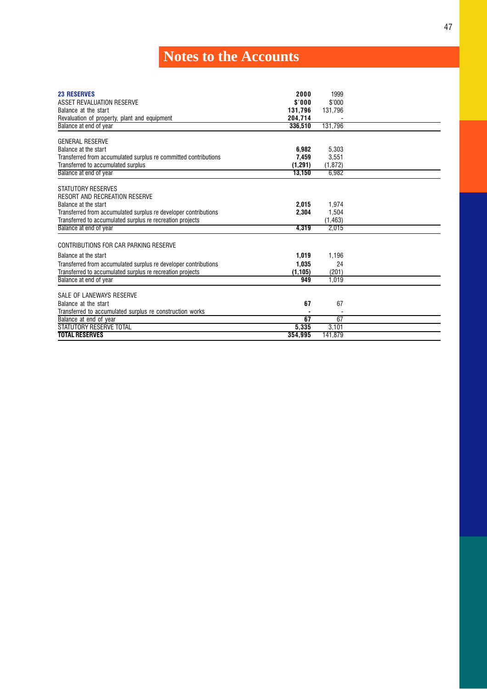<span id="page-48-0"></span>

| <b>23 RESERVES</b><br>ASSET REVALUATION RESERVE<br>Balance at the start<br>Revaluation of property, plant and equipment<br>Balance at end of year | 2000<br>\$'000<br>131,796<br>204.714<br>336.510 | 1999<br>\$'000<br>131,796<br>131.796 |  |
|---------------------------------------------------------------------------------------------------------------------------------------------------|-------------------------------------------------|--------------------------------------|--|
|                                                                                                                                                   |                                                 |                                      |  |
| <b>GENERAL RESERVE</b>                                                                                                                            |                                                 |                                      |  |
| Balance at the start                                                                                                                              | 6,982                                           | 5,303                                |  |
| Transferred from accumulated surplus re committed contributions                                                                                   | 7,459                                           | 3,551                                |  |
| Transferred to accumulated surplus                                                                                                                | (1, 291)                                        | (1, 872)                             |  |
| Balance at end of year                                                                                                                            | 13,150                                          | 6,982                                |  |
|                                                                                                                                                   |                                                 |                                      |  |
| STATUTORY RESERVES<br><b>RESORT AND RECREATION RESERVE</b>                                                                                        |                                                 |                                      |  |
| Balance at the start                                                                                                                              | 2,015                                           | 1,974                                |  |
| Transferred from accumulated surplus re developer contributions                                                                                   | 2.304                                           | 1,504                                |  |
| Transferred to accumulated surplus re recreation projects                                                                                         |                                                 | (1, 463)                             |  |
| Balance at end of year                                                                                                                            | 4.319                                           | 2.015                                |  |
|                                                                                                                                                   |                                                 |                                      |  |
| CONTRIBUTIONS FOR CAR PARKING RESERVE                                                                                                             |                                                 |                                      |  |
| Balance at the start                                                                                                                              | 1,019                                           | 1,196                                |  |
| Transferred from accumulated surplus re developer contributions                                                                                   | 1.035                                           | 24                                   |  |
| Transferred to accumulated surplus re recreation projects                                                                                         | (1, 105)                                        | (201)                                |  |
| Balance at end of year                                                                                                                            | 949                                             | 1.019                                |  |
|                                                                                                                                                   |                                                 |                                      |  |
| SALE OF LANEWAYS RESERVE                                                                                                                          |                                                 |                                      |  |
| Balance at the start                                                                                                                              | 67                                              | 67                                   |  |
| Transferred to accumulated surplus re construction works                                                                                          |                                                 |                                      |  |
| Balance at end of year                                                                                                                            | 67                                              | 67                                   |  |
| STATUTORY RESERVE TOTAL                                                                                                                           | 5,335                                           | 3,101                                |  |
| <b>TOTAL RESERVES</b>                                                                                                                             | 354.995                                         | 141.879                              |  |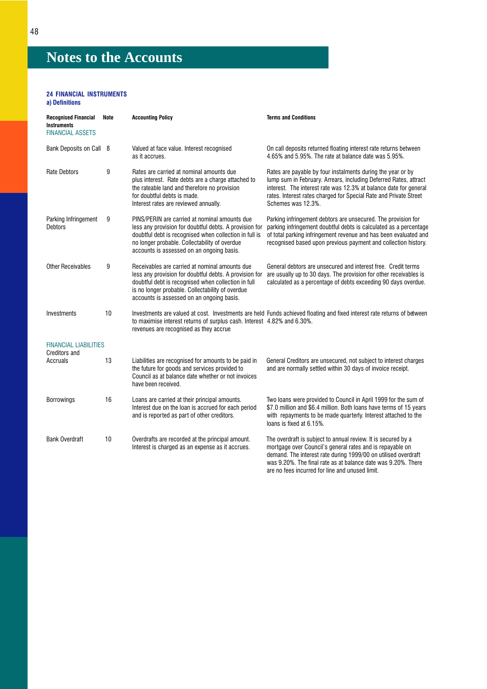### 24 FINANCIAL INSTRUMENTS

### a) Definitions

| <b>Recognised Financial</b><br><b>Instruments</b><br><b>FINANCIAL ASSETS</b> | Note | <b>Accounting Policy</b>                                                                                                                                                                                                                                         | <b>Terms and Conditions</b>                                                                                                                                                                                                                                                                     |
|------------------------------------------------------------------------------|------|------------------------------------------------------------------------------------------------------------------------------------------------------------------------------------------------------------------------------------------------------------------|-------------------------------------------------------------------------------------------------------------------------------------------------------------------------------------------------------------------------------------------------------------------------------------------------|
| Bank Deposits on Call 8                                                      |      | Valued at face value. Interest recognised<br>as it accrues.                                                                                                                                                                                                      | On call deposits returned floating interest rate returns between<br>4.65% and 5.95%. The rate at balance date was 5.95%.                                                                                                                                                                        |
| <b>Rate Debtors</b>                                                          | 9    | Rates are carried at nominal amounts due<br>plus interest. Rate debts are a charge attached to<br>the rateable land and therefore no provision<br>for doubtful debts is made.<br>Interest rates are reviewed annually.                                           | Rates are payable by four instalments during the year or by<br>lump sum in February. Arrears, including Deferred Rates, attract<br>interest. The interest rate was 12.3% at balance date for general<br>rates. Interest rates charged for Special Rate and Private Street<br>Schemes was 12.3%. |
| Parking Infringement<br><b>Debtors</b>                                       | 9    | PINS/PERIN are carried at nominal amounts due<br>less any provision for doubtful debts. A provision for<br>doubtful debt is recognised when collection in full is<br>no longer probable. Collectability of overdue<br>accounts is assessed on an ongoing basis.  | Parking infringement debtors are unsecured. The provision for<br>parking infringement doubtful debts is calculated as a percentage<br>of total parking infringement revenue and has been evaluated and<br>recognised based upon previous payment and collection history.                        |
| <b>Other Receivables</b>                                                     | 9    | Receivables are carried at nominal amounts due<br>less any provision for doubtful debts. A provision for<br>doubtful debt is recognised when collection in full<br>is no longer probable. Collectability of overdue<br>accounts is assessed on an ongoing basis. | General debtors are unsecured and interest free. Credit terms<br>are usually up to 30 days. The provision for other receivables is<br>calculated as a percentage of debts exceeding 90 days overdue.                                                                                            |
| Investments                                                                  | 10   | to maximise interest returns of surplus cash. Interest 4.82% and 6.30%.<br>revenues are recognised as they accrue                                                                                                                                                | Investments are valued at cost. Investments are held Funds achieved floating and fixed interest rate returns of between                                                                                                                                                                         |
| <b>FINANCIAL LIABILITIES</b><br><b>Creditors and</b>                         |      |                                                                                                                                                                                                                                                                  |                                                                                                                                                                                                                                                                                                 |
| Accruals                                                                     | 13   | Liabilities are recognised for amounts to be paid in<br>the future for goods and services provided to<br>Council as at balance date whether or not invoices<br>have been received.                                                                               | General Creditors are unsecured, not subject to interest charges<br>and are normally settled within 30 days of invoice receipt.                                                                                                                                                                 |
| <b>Borrowings</b>                                                            | 16   | Loans are carried at their principal amounts.<br>Interest due on the loan is accrued for each period<br>and is reported as part of other creditors.                                                                                                              | Two loans were provided to Council in April 1999 for the sum of<br>\$7.0 million and \$6.4 million. Both loans have terms of 15 years<br>with repayments to be made quarterly. Interest attached to the<br>loans is fixed at 6.15%.                                                             |
| <b>Bank Overdraft</b>                                                        | 10   | Overdrafts are recorded at the principal amount.<br>Interest is charged as an expense as it accrues.                                                                                                                                                             | The overdraft is subject to annual review. It is secured by a<br>mortgage over Council's general rates and is repayable on<br>demand. The interest rate during 1999/00 on utilised overdraft<br>was 9.20%. The final rate as at balance date was 9.20%. There                                   |

are no fees incurred for line and unused limit.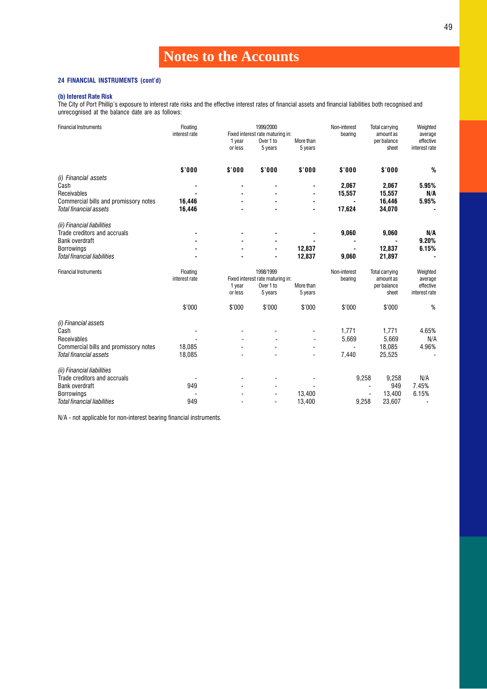### 24 FINANCIAL INSTRUMENTS (cont'd)

### (b) Interest Rate Risk

The City of Port Phillip's exposure to interest rate risks and the effective interest rates of financial assets and financial liabilities both recognised and unrecognised at the balance date are as follows:

| <b>Financial Instruments</b>                                    | Floating      |         | 1999/2000                                     |           | Non-interest | <b>Total carrying</b>    | Weighted             |
|-----------------------------------------------------------------|---------------|---------|-----------------------------------------------|-----------|--------------|--------------------------|----------------------|
|                                                                 | interest rate | 1 year  | Fixed interest rate maturing in:<br>Over 1 to | More than | bearing      | amount as<br>per balance | average<br>effective |
|                                                                 |               | or less | 5 years                                       | 5 years   |              | sheet                    | interest rate        |
|                                                                 |               |         |                                               |           |              |                          |                      |
|                                                                 | \$'000        | \$'000  | \$'000                                        | \$'000    | \$'000       | \$'000                   | %                    |
| (i) Financial assets                                            |               |         |                                               |           |              |                          |                      |
| Cash                                                            |               |         |                                               |           | 2,067        | 2,067                    | 5.95%                |
| Receivables                                                     |               |         |                                               |           | 15,557       | 15,557                   | N/A                  |
| Commercial bills and promissory notes                           | 16,446        |         |                                               |           |              | 16,446                   | 5.95%                |
| Total financial assets                                          | 16,446        |         |                                               |           | 17,624       | 34,070                   |                      |
| (ii) Financial liabilities                                      |               |         |                                               |           |              |                          |                      |
| Trade creditors and accruals                                    |               |         |                                               |           | 9,060        | 9,060                    | N/A                  |
| <b>Bank overdraft</b>                                           |               |         |                                               |           |              |                          | 9.20%                |
| <b>Borrowings</b>                                               |               |         |                                               | 12,837    |              | 12,837                   | 6.15%                |
| <b>Total financial liabilities</b>                              |               |         |                                               | 12,837    | 9,060        | 21,897                   | ٠                    |
|                                                                 |               |         |                                               |           |              |                          |                      |
| <b>Financial Instruments</b>                                    | Floating      |         | 1998/1999                                     |           | Non-interest | Total carrying           | Weighted             |
|                                                                 | interest rate |         | Fixed interest rate maturing in:              |           | bearing      | amount as                | average              |
|                                                                 |               | 1 year  | Over 1 to                                     | More than |              | per balance              | effective            |
|                                                                 |               | or less | 5 years                                       | 5 years   |              | sheet                    | interest rate        |
|                                                                 | \$'000        | \$'000  | \$'000                                        | \$'000    | \$'000       | \$'000                   | %                    |
|                                                                 |               |         |                                               |           |              |                          |                      |
| (i) Financial assets<br>Cash                                    |               |         |                                               |           | 1,771        | 1,771                    | 4.65%                |
| Receivables                                                     |               |         |                                               |           | 5,669        |                          | N/A                  |
|                                                                 | 18,085        |         |                                               |           |              | 5,669<br>18,085          | 4.96%                |
| Commercial bills and promissory notes<br>Total financial assets | 18,085        |         |                                               |           | 7,440        | 25,525                   |                      |
| (ii) Financial liabilities                                      |               |         |                                               |           |              |                          |                      |
| Trade creditors and accruals                                    |               |         |                                               |           |              | 9,258                    | N/A                  |
| <b>Bank overdraft</b>                                           | 949           |         |                                               |           | 9,258        | 949<br>÷.                | 7.45%                |
| <b>Borrowings</b>                                               |               |         |                                               | 13,400    |              | 13,400                   | 6.15%                |

N/A - not applicable for non-interest bearing financial instruments.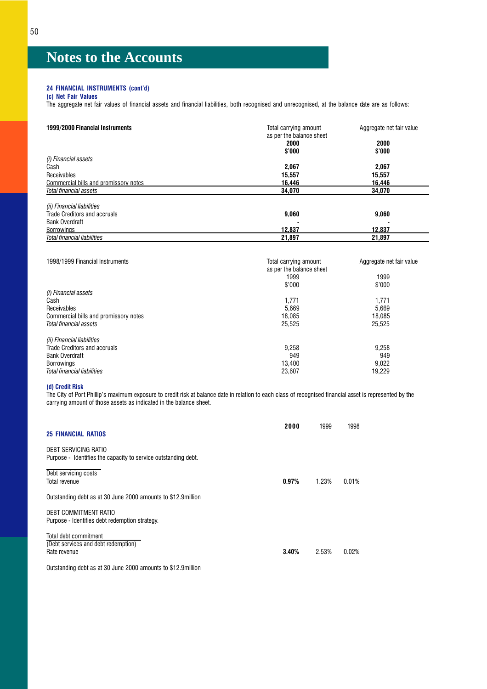### 24 FINANCIAL INSTRUMENTS (cont'd)

(c) Net Fair Values

The aggregate net fair values of financial assets and financial liabilities, both recognised and unrecognised, at the balance date are as follows:

| 1999/2000 Financial Instruments       | Total carrying amount<br>as per the balance sheet | Aggregate net fair value |
|---------------------------------------|---------------------------------------------------|--------------------------|
|                                       | 2000                                              | 2000                     |
|                                       | \$'000                                            | \$'000                   |
| (i) Financial assets                  |                                                   |                          |
| Cash                                  | 2,067                                             | 2,067                    |
| Receivables                           | 15,557                                            | 15,557                   |
| Commercial bills and promissory notes | 16.446                                            | 16.446                   |
| Total financial assets                | 34.070                                            | 34.070                   |
| (ii) Financial liabilities            |                                                   |                          |
| Trade Creditors and accruals          | 9,060                                             | 9,060                    |
| <b>Bank Overdraft</b>                 |                                                   |                          |
| <b>Borrowings</b>                     | 12.837                                            | 12,837                   |
| <b>Total financial liabilities</b>    | 21.897                                            | 21.897                   |

| Total carrying amount    | Aggregate net fair value |
|--------------------------|--------------------------|
| as per the balance sheet |                          |
| 1999                     | 1999                     |
| \$'000                   | \$'000                   |
|                          |                          |
| 1,771                    | 1,771                    |
| 5,669                    | 5.669                    |
| 18.085                   | 18.085                   |
| 25.525                   | 25.525                   |
|                          |                          |
| 9,258                    | 9.258                    |
| 949                      | 949                      |
| 13.400                   | 9.022                    |
| 23.607                   | 19.229                   |
|                          |                          |

### (d) Credit Risk

The City of Port Phillip's maximum exposure to credit risk at balance date in relation to each class of recognised financial asset is represented by the carrying amount of those assets as indicated in the balance sheet.

| <b>25 FINANCIAL RATIOS</b>                                                             | 2000  | 1999  | 1998  |
|----------------------------------------------------------------------------------------|-------|-------|-------|
| DEBT SERVICING RATIO<br>Purpose - Identifies the capacity to service outstanding debt. |       |       |       |
| Debt servicing costs<br>Total revenue                                                  | 0.97% | 1.23% | 0.01% |
| Outstanding debt as at 30 June 2000 amounts to \$12.9 million                          |       |       |       |
| DEBT COMMITMENT RATIO<br>Purpose - Identifies debt redemption strategy.                |       |       |       |
| Total debt commitment<br>(Debt services and debt redemption)<br>Rate revenue           | 3.40% | 2.53% | 0.02% |

Outstanding debt as at 30 June 2000 amounts to \$12.9million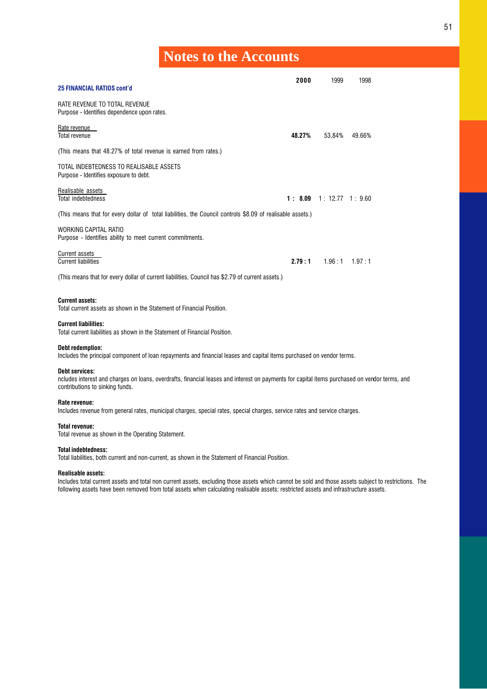|                                                                                                                                                                                                           | 2000   | 1999                     | 1998              |  |
|-----------------------------------------------------------------------------------------------------------------------------------------------------------------------------------------------------------|--------|--------------------------|-------------------|--|
| <b>25 FINANCIAL RATIOS cont'd</b>                                                                                                                                                                         |        |                          |                   |  |
| RATE REVENUE TO TOTAL REVENUE<br>Purpose - Identifies dependence upon rates.                                                                                                                              |        |                          |                   |  |
| Rate revenue<br><b>Total revenue</b>                                                                                                                                                                      | 48.27% | 53.84%                   | 49.66%            |  |
| (This means that 48.27% of total revenue is earned from rates.)                                                                                                                                           |        |                          |                   |  |
| TOTAL INDEBTEDNESS TO REALISABLE ASSETS<br>Purpose - Identifies exposure to debt.                                                                                                                         |        |                          |                   |  |
| Realisable assets<br><b>Total indebtedness</b>                                                                                                                                                            |        | 1: 8.09 1: 12.77 1: 9.60 |                   |  |
| (This means that for every dollar of total liabilities, the Council controls \$8.09 of realisable assets.)                                                                                                |        |                          |                   |  |
| WORKING CAPITAL RATIO<br>Purpose - Identifies ability to meet current commitments.                                                                                                                        |        |                          |                   |  |
| <b>Current assets</b><br><b>Current liabilities</b>                                                                                                                                                       | 2.79:1 |                          | $1.96:1$ $1.97:1$ |  |
| (This means that for every dollar of current liabilities, Council has \$2.79 of current assets.)                                                                                                          |        |                          |                   |  |
| <b>Current assets:</b><br>Total current assets as shown in the Statement of Financial Position.                                                                                                           |        |                          |                   |  |
| <b>Current liabilities:</b><br>Total current liabilities as shown in the Statement of Financial Position.                                                                                                 |        |                          |                   |  |
| Debt redemption:<br>Includes the principal component of loan repayments and financial leases and capital items purchased on vendor terms.                                                                 |        |                          |                   |  |
| <b>Debt services:</b><br>ncludes interest and charges on loans, overdrafts, financial leases and interest on payments for capital items purchased on vendor terms, and<br>contributions to sinking funds. |        |                          |                   |  |
| Rate revenue:<br>Includes revenue from general rates, municipal charges, special rates, special charges, service rates and service charges.                                                               |        |                          |                   |  |
| Total revenue:<br>Total revenue as shown in the Operating Statement.                                                                                                                                      |        |                          |                   |  |
| <b>Total indebtedness:</b><br>Total liabilities, both current and non-current, as shown in the Statement of Financial Position.                                                                           |        |                          |                   |  |
| <b>Realisable assets:</b>                                                                                                                                                                                 |        |                          |                   |  |

Includes total current assets and total non current assets, excluding those assets which cannot be sold and those assets subject to restrictions. The following assets have been removed from total assets when calculating realisable assets: restricted assets and infrastructure assets.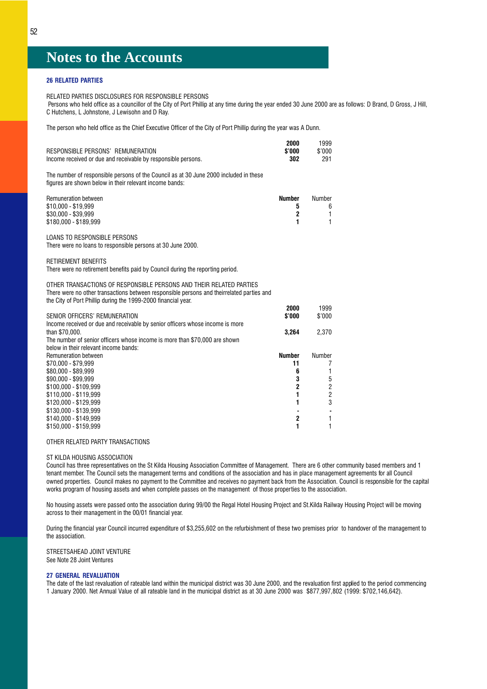### 26 RELATED PARTIES

RELATED PARTIES DISCLOSURES FOR RESPONSIBLE PERSONS

Persons who held office as a councillor of the City of Port Phillip at any time during the year ended 30 June 2000 are as follows: D Brand, D Gross, J Hill, C Hutchens, L Johnstone, J Lewisohn and D Ray.

2000 1999

The person who held office as the Chief Executive Officer of the City of Port Phillip during the year was A Dunn.

| \$'000<br>302                                                    | \$'000<br>291                                                                              |
|------------------------------------------------------------------|--------------------------------------------------------------------------------------------|
|                                                                  |                                                                                            |
| <b>Number</b><br>5<br>$\mathbf 2$<br>1                           | Number<br>6<br>1<br>1                                                                      |
|                                                                  |                                                                                            |
|                                                                  |                                                                                            |
|                                                                  |                                                                                            |
| 2000                                                             | 1999<br>\$'000                                                                             |
| 3,264                                                            | 2,370                                                                                      |
| <b>Number</b><br>11<br>6<br>3<br>2<br>1<br>1<br>$\mathbf 2$<br>1 | Number<br>7<br>1<br>5<br>$\overline{\mathbf{c}}$<br>$\overline{\mathbf{c}}$<br>3<br>1<br>1 |
|                                                                  | \$'000                                                                                     |

### OTHER RELATED PARTY TRANSACTIONS

### ST KILDA HOUSING ASSOCIATION

Council has three representatives on the St Kilda Housing Association Committee of Management. There are 6 other community based members and 1 tenant member. The Council sets the management terms and conditions of the association and has in place management agreements for all Council owned properties. Council makes no payment to the Committee and receives no payment back from the Association. Council is responsible for the capital works program of housing assets and when complete passes on the management of those properties to the association.

No housing assets were passed onto the association during 99/00 the Regal Hotel Housing Project and St.Kilda Railway Housing Project will be moving across to their management in the 00/01 financial year.

During the financial year Council incurred expenditure of \$3,255,602 on the refurbishment of these two premises prior to handover of the management to the association.

STREETSAHEAD JOINT VENTURE See Note 28 Joint Ventures

### 27 GENERAL REVALUATION

The date of the last revaluation of rateable land within the municipal district was 30 June 2000, and the revaluation first applied to the period commencing 1 January 2000. Net Annual Value of all rateable land in the municipal district as at 30 June 2000 was \$877,997,802 (1999: \$702,146,642).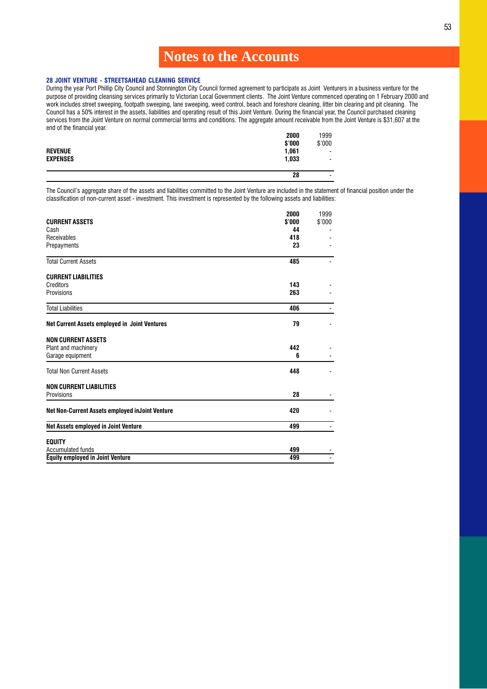### 28 JOINT VENTURE - STREETSAHEAD CLEANING SERVICE

During the year Port Phillip City Council and Stonnington City Council formed agreement to participate as Joint Venturers in a business venture for the purpose of providing cleansing services primarily to Victorian Local Government clients. The Joint Venture commenced operating on 1 February 2000 and work includes street sweeping, footpath sweeping, lane sweeping, weed control, beach and foreshore cleaning, litter bin clearing and pit cleaning. The work includes street sweeping, footpath sweeping, lane sweeping, weed c Council has a 50% interest in the assets, liabilities and operating result of this Joint Venture. During the financial year, the Council purchased cleaning services from the Joint Venture on normal commercial terms and conditions. The aggregate amount receivable from the Joint Venture is \$31,607 at the end of the financial year.

|                 | 2000   | 1999           |
|-----------------|--------|----------------|
|                 | \$'000 | \$'000         |
| <b>REVENUE</b>  | 1,061  |                |
| <b>EXPENSES</b> | 1,033  | $\blacksquare$ |
|                 |        |                |
|                 | 28     | ٠              |

The Council's aggregate share of the assets and liabilities committed to the Joint Venture are included in the statement of financial position under the classification of non-current asset - investment. This investment is represented by the following assets and liabilities:

|                                                      | 2000   | 1999   |
|------------------------------------------------------|--------|--------|
| <b>CURRENT ASSETS</b>                                | \$'000 | \$'000 |
| Cash                                                 | 44     |        |
| Receivables                                          | 418    |        |
| Prepayments                                          | 23     |        |
| <b>Total Current Assets</b>                          | 485    |        |
| <b>CURRENT LIABILITIES</b>                           |        |        |
| Creditors                                            | 143    |        |
| Provisions                                           | 263    |        |
| <b>Total Liabilities</b>                             | 406    |        |
| <b>Net Current Assets employed in Joint Ventures</b> | 79     |        |
| <b>NON CURRENT ASSETS</b>                            |        |        |
| Plant and machinery                                  | 442    |        |
| Garage equipment                                     | 6      |        |
| <b>Total Non Current Assets</b>                      | 448    |        |
| <b>NON CURRENT LIABILITIES</b>                       |        |        |
| Provisions                                           | 28     |        |
| Net Non-Current Assets employed inJoint Venture      | 420    |        |
| Net Assets employed in Joint Venture                 | 499    |        |
| <b>EQUITY</b>                                        |        |        |
| <b>Accumulated funds</b>                             | 499    |        |
| <b>Equity employed in Joint Venture</b>              | 499    |        |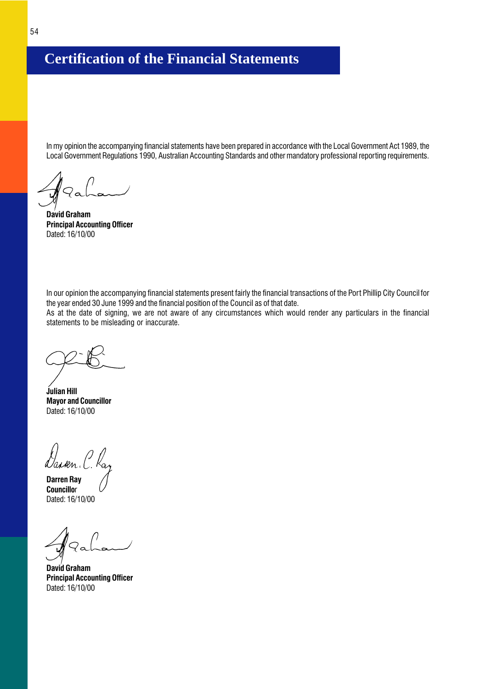## <span id="page-55-0"></span>**Certification of the Financial Statements**

In my opinion the accompanying financial statements have been prepared in accordance with the Local Government Act 1989, the Local Government Regulations 1990, Australian Accounting Standards and other mandatory professional reporting requirements.

David Graham Principal Accounting Officer Dated: 16/10/00

In our opinion the accompanying financial statements present fairly the financial transactions of the Port Phillip City Council for the year ended 30 June 1999 and the financial position of the Council as of that date.

As at the date of signing, we are not aware of any circumstances which would render any particulars in the financial statements to be misleading or inaccurate.

Julian Hill Mayor and Councillor Dated: 16/10/00

Dan sen.

Darren Ray **Councillor** Dated: 16/10/00

David Graham Principal Accounting Officer Dated: 16/10/00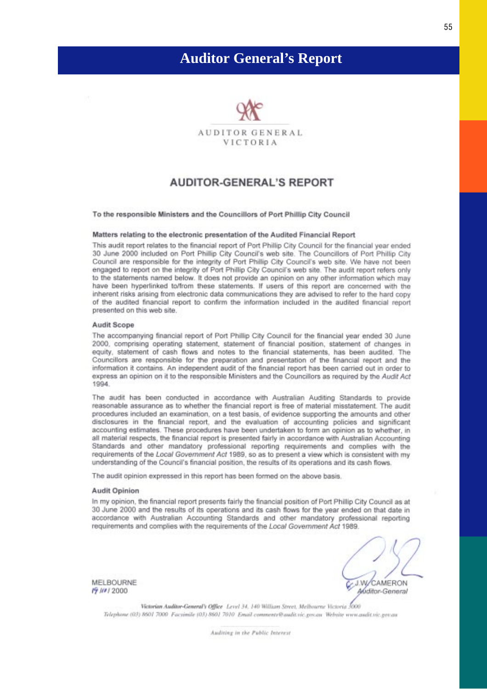## <span id="page-56-0"></span>**Auditor General's Report**



### **AUDITOR-GENERAL'S REPORT**

### To the responsible Ministers and the Councillors of Port Phillip City Council

### Matters relating to the electronic presentation of the Audited Financial Report

This audit report relates to the financial report of Port Phillip City Council for the financial year ended 30 June 2000 included on Port Phillip City Council's web site. The Councillors of Port Phillip City Council are responsible for the integrity of Port Phillip City Council's web site. We have not been engaged to report on the integrity of Port Phillip City Council's web site. The audit report refers only to the statements named below. It does not provide an opinion on any other information which may have been hyperlinked to/from these statements. If users of this report are concerned with the inherent risks arising from electronic data communications they are advised to refer to the hard copy of the audited financial report to confirm the information included in the audited financial report presented on this web site.

### Audit Scope

The accompanying financial report of Port Phillip City Council for the financial year ended 30 June 2000, comprising operating statement, statement of financial position, statement of changes in equity, statement of cash flows and notes to the financial statements, has been audited. The Councillors are responsible for the preparation and presentation of the financial report and the information it contains. An independent audit of the financial report has been carried out in order to express an opinion on it to the responsible Ministers and the Councillors as required by the Audit Act 1994

The audit has been conducted in accordance with Australian Auditing Standards to provide reasonable assurance as to whether the financial report is free of material misstatement. The audit procedures included an examination, on a test basis, of evidence supporting the amounts and other disclosures in the financial report, and the evaluation of accounting policies and significant accounting estimates. These procedures have been undertaken to form an opinion as to whether, in all material respects, the financial report is presented fairly in accordance with Australian Accounting Standards and other mandatory professional reporting requirements and complies with the requirements of the Local Government Act 1989, so as to present a view which is consistent with my understanding of the Council's financial position, the results of its operations and its cash flows.

The audit opinion expressed in this report has been formed on the above basis.

### **Audit Opinion**

In my opinion, the financial report presents fairly the financial position of Port Phillip City Council as at 30 June 2000 and the results of its operations and its cash flows for the year ended on that date in accordance with Australian Accounting Standards and other mandatory professional reporting requirements and complies with the requirements of the Local Government Act 1989.

MELBOURNE **19 In / 2000** 

**J.W/CAMERON** Auditor-General

Victorian Auditor-General's Office Level 34, 140 William Street, Melbourne Victoria 5000 Telephone (03) 8601 7000 Facsimile (03) 8601 7010 Email comments@audit.vic.gov.au Website www.audit.vic.gov.au

Auditing in the Public Interest